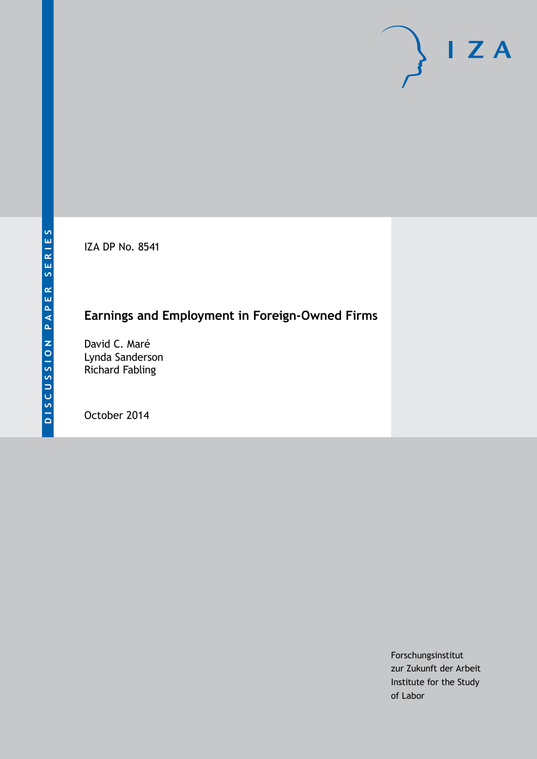IZA DP No. 8541

## **Earnings and Employment in Foreign-Owned Firms**

David C. Maré Lynda Sanderson Richard Fabling

October 2014

Forschungsinstitut zur Zukunft der Arbeit Institute for the Study of Labor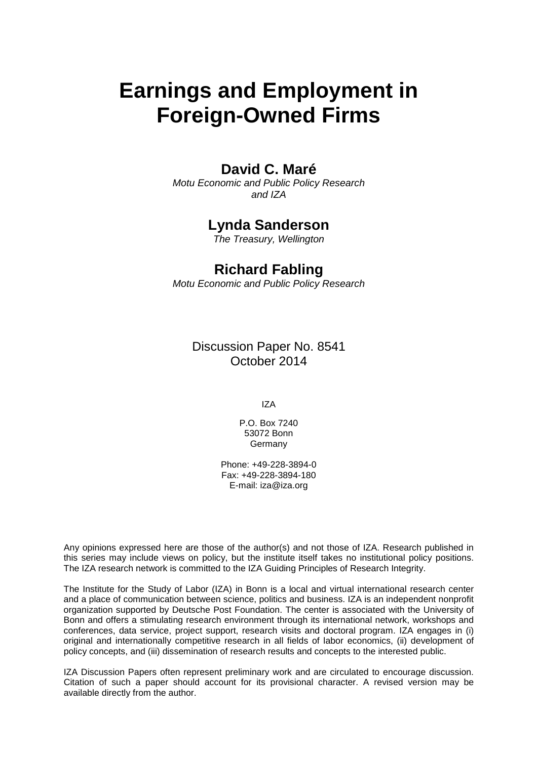# **Earnings and Employment in Foreign-Owned Firms**

#### **David C. Maré**

*Motu Economic and Public Policy Research and IZA*

#### **Lynda Sanderson**

*The Treasury, Wellington*

#### **Richard Fabling**

*Motu Economic and Public Policy Research*

Discussion Paper No. 8541 October 2014

IZA

P.O. Box 7240 53072 Bonn **Germany** 

Phone: +49-228-3894-0 Fax: +49-228-3894-180 E-mail: [iza@iza.org](mailto:iza@iza.org)

Any opinions expressed here are those of the author(s) and not those of IZA. Research published in this series may include views on policy, but the institute itself takes no institutional policy positions. The IZA research network is committed to the IZA Guiding Principles of Research Integrity.

The Institute for the Study of Labor (IZA) in Bonn is a local and virtual international research center and a place of communication between science, politics and business. IZA is an independent nonprofit organization supported by Deutsche Post Foundation. The center is associated with the University of Bonn and offers a stimulating research environment through its international network, workshops and conferences, data service, project support, research visits and doctoral program. IZA engages in (i) original and internationally competitive research in all fields of labor economics, (ii) development of policy concepts, and (iii) dissemination of research results and concepts to the interested public.

<span id="page-1-0"></span>IZA Discussion Papers often represent preliminary work and are circulated to encourage discussion. Citation of such a paper should account for its provisional character. A revised version may be available directly from the author.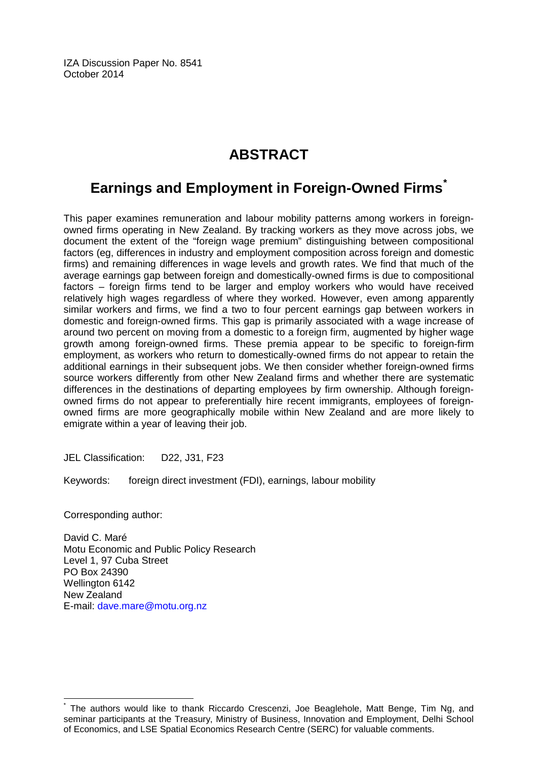IZA Discussion Paper No. 8541 October 2014

## **ABSTRACT**

### **Earnings and Employment in Foreign-Owned Firms[\\*](#page-1-0)**

This paper examines remuneration and labour mobility patterns among workers in foreignowned firms operating in New Zealand. By tracking workers as they move across jobs, we document the extent of the "foreign wage premium" distinguishing between compositional factors (eg, differences in industry and employment composition across foreign and domestic firms) and remaining differences in wage levels and growth rates. We find that much of the average earnings gap between foreign and domestically-owned firms is due to compositional factors – foreign firms tend to be larger and employ workers who would have received relatively high wages regardless of where they worked. However, even among apparently similar workers and firms, we find a two to four percent earnings gap between workers in domestic and foreign-owned firms. This gap is primarily associated with a wage increase of around two percent on moving from a domestic to a foreign firm, augmented by higher wage growth among foreign-owned firms. These premia appear to be specific to foreign-firm employment, as workers who return to domestically-owned firms do not appear to retain the additional earnings in their subsequent jobs. We then consider whether foreign-owned firms source workers differently from other New Zealand firms and whether there are systematic differences in the destinations of departing employees by firm ownership. Although foreignowned firms do not appear to preferentially hire recent immigrants, employees of foreignowned firms are more geographically mobile within New Zealand and are more likely to emigrate within a year of leaving their job.

JEL Classification: D22, J31, F23

Keywords: foreign direct investment (FDI), earnings, labour mobility

Corresponding author:

David C. Maré Motu Economic and Public Policy Research Level 1, 97 Cuba Street PO Box 24390 Wellington 6142 New Zealand E-mail: [dave.mare@motu.org.nz](mailto:dave.mare@motu.org.nz)

The authors would like to thank Riccardo Crescenzi, Joe Beaglehole, Matt Benge, Tim Ng, and seminar participants at the Treasury, Ministry of Business, Innovation and Employment, Delhi School of Economics, and LSE Spatial Economics Research Centre (SERC) for valuable comments.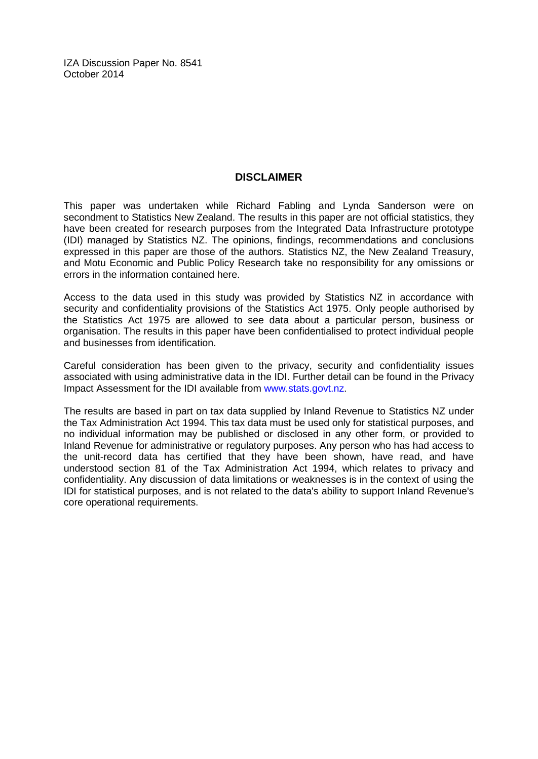IZA Discussion Paper No. 8541 October 2014

#### **DISCLAIMER**

This paper was undertaken while Richard Fabling and Lynda Sanderson were on secondment to Statistics New Zealand. The results in this paper are not official statistics, they have been created for research purposes from the Integrated Data Infrastructure prototype (IDI) managed by Statistics NZ. The opinions, findings, recommendations and conclusions expressed in this paper are those of the authors. Statistics NZ, the New Zealand Treasury, and Motu Economic and Public Policy Research take no responsibility for any omissions or errors in the information contained here.

Access to the data used in this study was provided by Statistics NZ in accordance with security and confidentiality provisions of the Statistics Act 1975. Only people authorised by the Statistics Act 1975 are allowed to see data about a particular person, business or organisation. The results in this paper have been confidentialised to protect individual people and businesses from identification.

Careful consideration has been given to the privacy, security and confidentiality issues associated with using administrative data in the IDI. Further detail can be found in the Privacy Impact Assessment for the IDI available from [www.stats.govt.nz.](http://www.stats.govt.nz/)

The results are based in part on tax data supplied by Inland Revenue to Statistics NZ under the Tax Administration Act 1994. This tax data must be used only for statistical purposes, and no individual information may be published or disclosed in any other form, or provided to Inland Revenue for administrative or regulatory purposes. Any person who has had access to the unit-record data has certified that they have been shown, have read, and have understood section 81 of the Tax Administration Act 1994, which relates to privacy and confidentiality. Any discussion of data limitations or weaknesses is in the context of using the IDI for statistical purposes, and is not related to the data's ability to support Inland Revenue's core operational requirements.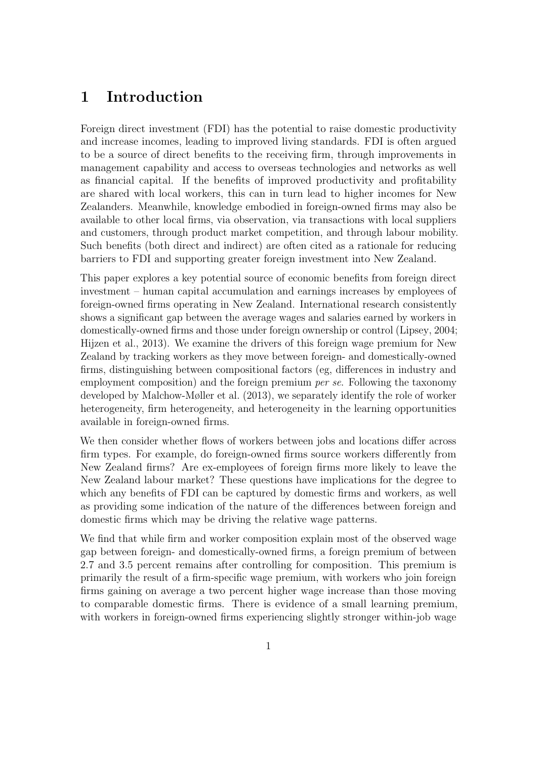### 1 Introduction

Foreign direct investment (FDI) has the potential to raise domestic productivity and increase incomes, leading to improved living standards. FDI is often argued to be a source of direct benefits to the receiving firm, through improvements in management capability and access to overseas technologies and networks as well as financial capital. If the benefits of improved productivity and profitability are shared with local workers, this can in turn lead to higher incomes for New Zealanders. Meanwhile, knowledge embodied in foreign-owned firms may also be available to other local firms, via observation, via transactions with local suppliers and customers, through product market competition, and through labour mobility. Such benefits (both direct and indirect) are often cited as a rationale for reducing barriers to FDI and supporting greater foreign investment into New Zealand.

This paper explores a key potential source of economic benefits from foreign direct investment – human capital accumulation and earnings increases by employees of foreign-owned firms operating in New Zealand. International research consistently shows a significant gap between the average wages and salaries earned by workers in domestically-owned firms and those under foreign ownership or control [\(Lipsey,](#page-55-0) [2004;](#page-55-0) [Hijzen et al.,](#page-54-0) [2013\)](#page-54-0). We examine the drivers of this foreign wage premium for New Zealand by tracking workers as they move between foreign- and domestically-owned firms, distinguishing between compositional factors (eg, differences in industry and employment composition) and the foreign premium *per se*. Following the taxonomy developed by [Malchow-Møller et al.](#page-55-1) [\(2013\)](#page-55-1), we separately identify the role of worker heterogeneity, firm heterogeneity, and heterogeneity in the learning opportunities available in foreign-owned firms.

We then consider whether flows of workers between jobs and locations differ across firm types. For example, do foreign-owned firms source workers differently from New Zealand firms? Are ex-employees of foreign firms more likely to leave the New Zealand labour market? These questions have implications for the degree to which any benefits of FDI can be captured by domestic firms and workers, as well as providing some indication of the nature of the differences between foreign and domestic firms which may be driving the relative wage patterns.

We find that while firm and worker composition explain most of the observed wage gap between foreign- and domestically-owned firms, a foreign premium of between 2.7 and 3.5 percent remains after controlling for composition. This premium is primarily the result of a firm-specific wage premium, with workers who join foreign firms gaining on average a two percent higher wage increase than those moving to comparable domestic firms. There is evidence of a small learning premium, with workers in foreign-owned firms experiencing slightly stronger within-job wage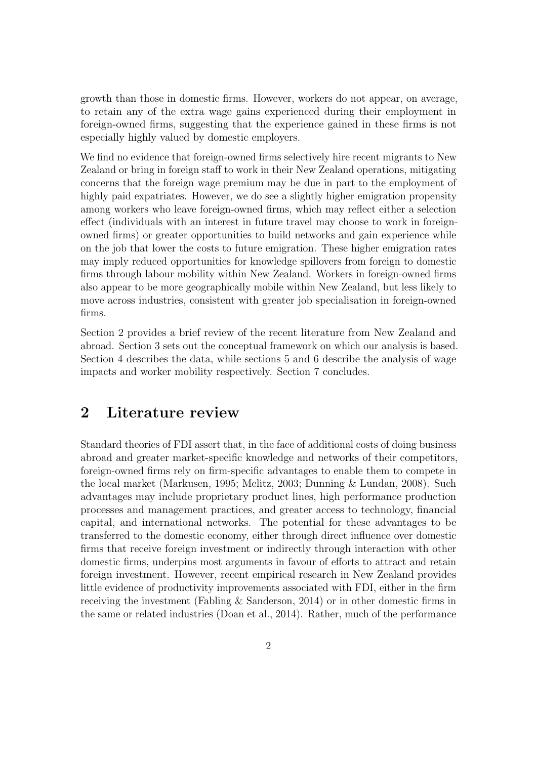growth than those in domestic firms. However, workers do not appear, on average, to retain any of the extra wage gains experienced during their employment in foreign-owned firms, suggesting that the experience gained in these firms is not especially highly valued by domestic employers.

We find no evidence that foreign-owned firms selectively hire recent migrants to New Zealand or bring in foreign staff to work in their New Zealand operations, mitigating concerns that the foreign wage premium may be due in part to the employment of highly paid expatriates. However, we do see a slightly higher emigration propensity among workers who leave foreign-owned firms, which may reflect either a selection effect (individuals with an interest in future travel may choose to work in foreignowned firms) or greater opportunities to build networks and gain experience while on the job that lower the costs to future emigration. These higher emigration rates may imply reduced opportunities for knowledge spillovers from foreign to domestic firms through labour mobility within New Zealand. Workers in foreign-owned firms also appear to be more geographically mobile within New Zealand, but less likely to move across industries, consistent with greater job specialisation in foreign-owned firms.

Section [2](#page-5-0) provides a brief review of the recent literature from New Zealand and abroad. Section [3](#page-10-0) sets out the conceptual framework on which our analysis is based. Section [4](#page-13-0) describes the data, while sections [5](#page-22-0) and [6](#page-34-0) describe the analysis of wage impacts and worker mobility respectively. Section [7](#page-36-0) concludes.

### <span id="page-5-0"></span>2 Literature review

Standard theories of FDI assert that, in the face of additional costs of doing business abroad and greater market-specific knowledge and networks of their competitors, foreign-owned firms rely on firm-specific advantages to enable them to compete in the local market [\(Markusen,](#page-55-2) [1995;](#page-55-2) [Melitz,](#page-55-3) [2003;](#page-55-3) [Dunning & Lundan,](#page-54-1) [2008\)](#page-54-1). Such advantages may include proprietary product lines, high performance production processes and management practices, and greater access to technology, financial capital, and international networks. The potential for these advantages to be transferred to the domestic economy, either through direct influence over domestic firms that receive foreign investment or indirectly through interaction with other domestic firms, underpins most arguments in favour of efforts to attract and retain foreign investment. However, recent empirical research in New Zealand provides little evidence of productivity improvements associated with FDI, either in the firm receiving the investment [\(Fabling & Sanderson,](#page-54-2) [2014\)](#page-54-2) or in other domestic firms in the same or related industries [\(Doan et al.,](#page-53-0) [2014\)](#page-53-0). Rather, much of the performance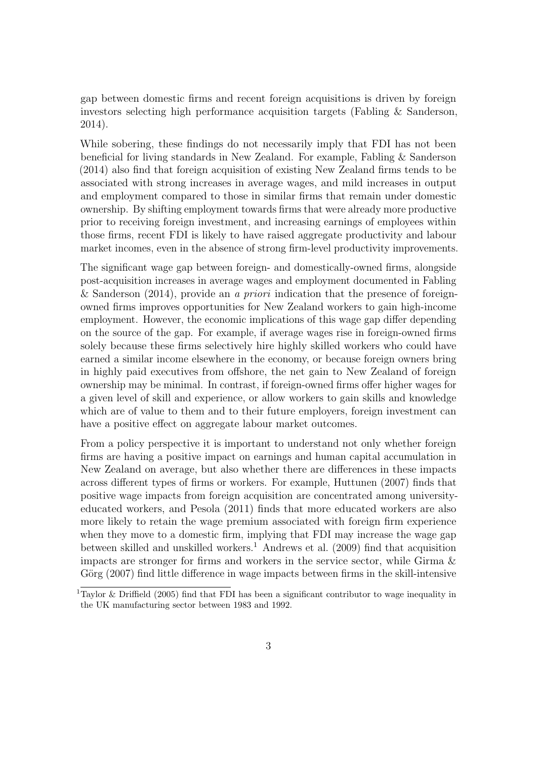gap between domestic firms and recent foreign acquisitions is driven by foreign investors selecting high performance acquisition targets [\(Fabling & Sanderson,](#page-54-2) [2014\)](#page-54-2).

While sobering, these findings do not necessarily imply that FDI has not been beneficial for living standards in New Zealand. For example, [Fabling & Sanderson](#page-54-2) [\(2014\)](#page-54-2) also find that foreign acquisition of existing New Zealand firms tends to be associated with strong increases in average wages, and mild increases in output and employment compared to those in similar firms that remain under domestic ownership. By shifting employment towards firms that were already more productive prior to receiving foreign investment, and increasing earnings of employees within those firms, recent FDI is likely to have raised aggregate productivity and labour market incomes, even in the absence of strong firm-level productivity improvements.

The significant wage gap between foreign- and domestically-owned firms, alongside post-acquisition increases in average wages and employment documented in [Fabling](#page-54-2) [& Sanderson](#page-54-2) [\(2014\)](#page-54-2), provide an a priori indication that the presence of foreignowned firms improves opportunities for New Zealand workers to gain high-income employment. However, the economic implications of this wage gap differ depending on the source of the gap. For example, if average wages rise in foreign-owned firms solely because these firms selectively hire highly skilled workers who could have earned a similar income elsewhere in the economy, or because foreign owners bring in highly paid executives from offshore, the net gain to New Zealand of foreign ownership may be minimal. In contrast, if foreign-owned firms offer higher wages for a given level of skill and experience, or allow workers to gain skills and knowledge which are of value to them and to their future employers, foreign investment can have a positive effect on aggregate labour market outcomes.

From a policy perspective it is important to understand not only whether foreign firms are having a positive impact on earnings and human capital accumulation in New Zealand on average, but also whether there are differences in these impacts across different types of firms or workers. For example, [Huttunen](#page-55-4) [\(2007\)](#page-55-4) finds that positive wage impacts from foreign acquisition are concentrated among universityeducated workers, and [Pesola](#page-56-0) [\(2011\)](#page-56-0) finds that more educated workers are also more likely to retain the wage premium associated with foreign firm experience when they move to a domestic firm, implying that FDI may increase the wage gap between skilled and unskilled workers.<sup>[1](#page--1-0)</sup> [Andrews et al.](#page-53-1)  $(2009)$  find that acquisition impacts are stronger for firms and workers in the service sector, while [Girma &](#page-54-3) Görg [\(2007\)](#page-54-3) find little difference in wage impacts between firms in the skill-intensive

<sup>&</sup>lt;sup>1</sup>[Taylor & Driffield](#page-56-1) [\(2005\)](#page-56-1) find that FDI has been a significant contributor to wage inequality in the UK manufacturing sector between 1983 and 1992.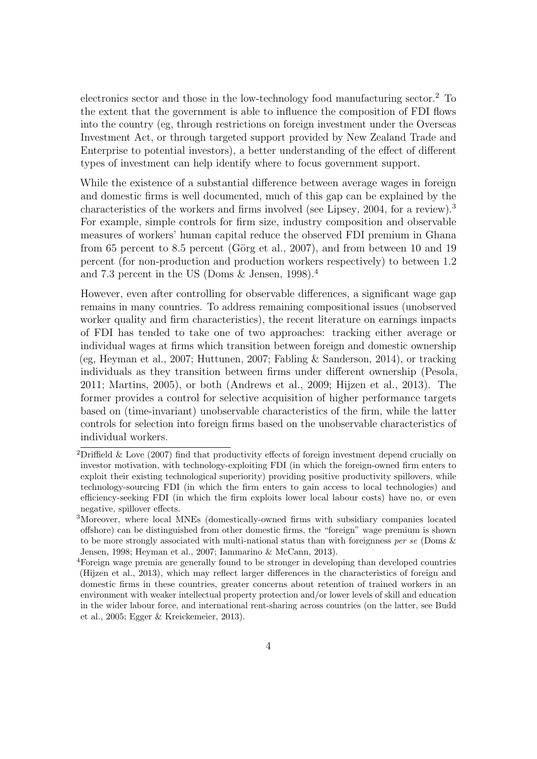electronics sector and those in the low-technology food manufacturing sector.<sup>[2](#page--1-0)</sup> To the extent that the government is able to influence the composition of FDI flows into the country (eg, through restrictions on foreign investment under the Overseas Investment Act, or through targeted support provided by New Zealand Trade and Enterprise to potential investors), a better understanding of the effect of different types of investment can help identify where to focus government support.

While the existence of a substantial difference between average wages in foreign and domestic firms is well documented, much of this gap can be explained by the characteristics of the workers and firms involved (see [Lipsey,](#page-55-0) [2004,](#page-55-0) for a review).[3](#page--1-0) For example, simple controls for firm size, industry composition and observable measures of workers' human capital reduce the observed FDI premium in Ghana from 65 percent to 8.5 percent (Görg et al., [2007\)](#page-54-4), and from between 10 and 19 percent (for non-production and production workers respectively) to between 1.2 and 7.3 percent in the US [\(Doms & Jensen,](#page-53-2) [1998\)](#page-53-2).[4](#page--1-0)

However, even after controlling for observable differences, a significant wage gap remains in many countries. To address remaining compositional issues (unobserved worker quality and firm characteristics), the recent literature on earnings impacts of FDI has tended to take one of two approaches: tracking either average or individual wages at firms which transition between foreign and domestic ownership (eg, [Heyman et al.,](#page-54-5) [2007;](#page-54-5) [Huttunen,](#page-55-4) [2007;](#page-55-4) [Fabling & Sanderson,](#page-54-2) [2014\)](#page-54-2), or tracking individuals as they transition between firms under different ownership [\(Pesola,](#page-56-0) [2011;](#page-56-0) [Martins,](#page-55-5) [2005\)](#page-55-5), or both [\(Andrews et al.,](#page-53-1) [2009;](#page-53-1) [Hijzen et al.,](#page-54-0) [2013\)](#page-54-0). The former provides a control for selective acquisition of higher performance targets based on (time-invariant) unobservable characteristics of the firm, while the latter controls for selection into foreign firms based on the unobservable characteristics of individual workers.

<sup>&</sup>lt;sup>2</sup>[Driffield & Love](#page-54-6) [\(2007\)](#page-54-6) find that productivity effects of foreign investment depend crucially on investor motivation, with technology-exploiting FDI (in which the foreign-owned firm enters to exploit their existing technological superiority) providing positive productivity spillovers, while technology-sourcing FDI (in which the firm enters to gain access to local technologies) and efficiency-seeking FDI (in which the firm exploits lower local labour costs) have no, or even negative, spillover effects.

<sup>3</sup>Moreover, where local MNEs (domestically-owned firms with subsidiary companies located offshore) can be distinguished from other domestic firms, the "foreign" wage premium is shown to be more strongly associated with multi-national status than with foreignness per se (Doms  $\&$ [Jensen,](#page-53-2) [1998;](#page-53-2) [Heyman et al.,](#page-54-5) [2007;](#page-54-5) [Iammarino & McCann,](#page-55-6) [2013\)](#page-55-6).

<sup>4</sup>Foreign wage premia are generally found to be stronger in developing than developed countries [\(Hijzen et al.,](#page-54-0) [2013\)](#page-54-0), which may reflect larger differences in the characteristics of foreign and domestic firms in these countries, greater concerns about retention of trained workers in an environment with weaker intellectual property protection and/or lower levels of skill and education in the wider labour force, and international rent-sharing across countries (on the latter, see [Budd](#page-53-3) [et al.,](#page-53-3) [2005;](#page-53-3) [Egger & Kreickemeier,](#page-54-7) [2013\)](#page-54-7).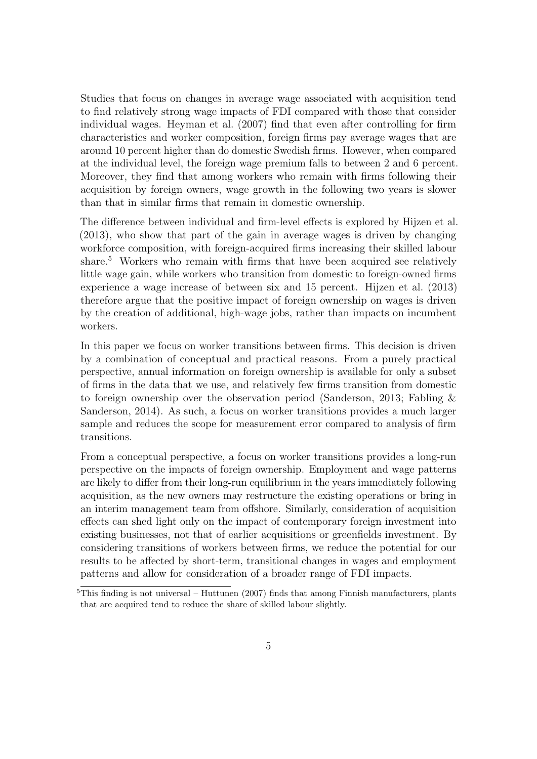Studies that focus on changes in average wage associated with acquisition tend to find relatively strong wage impacts of FDI compared with those that consider individual wages. [Heyman et al.](#page-54-5) [\(2007\)](#page-54-5) find that even after controlling for firm characteristics and worker composition, foreign firms pay average wages that are around 10 percent higher than do domestic Swedish firms. However, when compared at the individual level, the foreign wage premium falls to between 2 and 6 percent. Moreover, they find that among workers who remain with firms following their acquisition by foreign owners, wage growth in the following two years is slower than that in similar firms that remain in domestic ownership.

The difference between individual and firm-level effects is explored by [Hijzen et al.](#page-54-0) [\(2013\)](#page-54-0), who show that part of the gain in average wages is driven by changing workforce composition, with foreign-acquired firms increasing their skilled labour share.<sup>[5](#page--1-0)</sup> Workers who remain with firms that have been acquired see relatively little wage gain, while workers who transition from domestic to foreign-owned firms experience a wage increase of between six and 15 percent. [Hijzen et al.](#page-54-0) [\(2013\)](#page-54-0) therefore argue that the positive impact of foreign ownership on wages is driven by the creation of additional, high-wage jobs, rather than impacts on incumbent workers.

In this paper we focus on worker transitions between firms. This decision is driven by a combination of conceptual and practical reasons. From a purely practical perspective, annual information on foreign ownership is available for only a subset of firms in the data that we use, and relatively few firms transition from domestic to foreign ownership over the observation period [\(Sanderson,](#page-56-2) [2013;](#page-56-2) [Fabling &](#page-54-2) [Sanderson,](#page-54-2) [2014\)](#page-54-2). As such, a focus on worker transitions provides a much larger sample and reduces the scope for measurement error compared to analysis of firm transitions.

From a conceptual perspective, a focus on worker transitions provides a long-run perspective on the impacts of foreign ownership. Employment and wage patterns are likely to differ from their long-run equilibrium in the years immediately following acquisition, as the new owners may restructure the existing operations or bring in an interim management team from offshore. Similarly, consideration of acquisition effects can shed light only on the impact of contemporary foreign investment into existing businesses, not that of earlier acquisitions or greenfields investment. By considering transitions of workers between firms, we reduce the potential for our results to be affected by short-term, transitional changes in wages and employment patterns and allow for consideration of a broader range of FDI impacts.

 $5\overline{\text{This finding is not universal}} - \text{Huttunen (2007)}$  $5\overline{\text{This finding is not universal}} - \text{Huttunen (2007)}$  $5\overline{\text{This finding is not universal}} - \text{Huttunen (2007)}$  $5\overline{\text{This finding is not universal}} - \text{Huttunen (2007)}$  $5\overline{\text{This finding is not universal}} - \text{Huttunen (2007)}$  finds that among Finnish manufacturers, plants that are acquired tend to reduce the share of skilled labour slightly.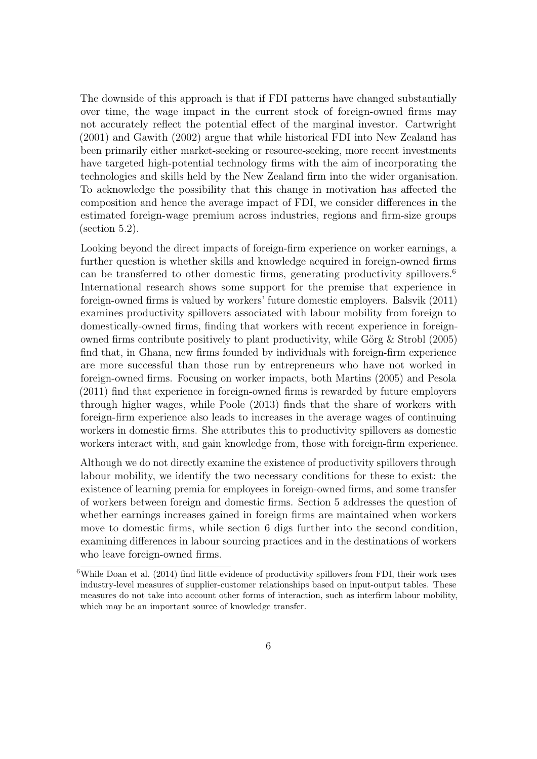The downside of this approach is that if FDI patterns have changed substantially over time, the wage impact in the current stock of foreign-owned firms may not accurately reflect the potential effect of the marginal investor. [Cartwright](#page-53-4) [\(2001\)](#page-53-4) and [Gawith](#page-54-8) [\(2002\)](#page-54-8) argue that while historical FDI into New Zealand has been primarily either market-seeking or resource-seeking, more recent investments have targeted high-potential technology firms with the aim of incorporating the technologies and skills held by the New Zealand firm into the wider organisation. To acknowledge the possibility that this change in motivation has affected the composition and hence the average impact of FDI, we consider differences in the estimated foreign-wage premium across industries, regions and firm-size groups (section [5.2\)](#page-32-0).

Looking beyond the direct impacts of foreign-firm experience on worker earnings, a further question is whether skills and knowledge acquired in foreign-owned firms can be transferred to other domestic firms, generating productivity spillovers.<sup>[6](#page--1-0)</sup> International research shows some support for the premise that experience in foreign-owned firms is valued by workers' future domestic employers. [Balsvik](#page-53-5) [\(2011\)](#page-53-5) examines productivity spillovers associated with labour mobility from foreign to domestically-owned firms, finding that workers with recent experience in foreignowned firms contribute positively to plant productivity, while Görg  $&$  Strobl [\(2005\)](#page-54-9) find that, in Ghana, new firms founded by individuals with foreign-firm experience are more successful than those run by entrepreneurs who have not worked in foreign-owned firms. Focusing on worker impacts, both [Martins](#page-55-5) [\(2005\)](#page-55-5) and [Pesola](#page-56-0) [\(2011\)](#page-56-0) find that experience in foreign-owned firms is rewarded by future employers through higher wages, while [Poole](#page-56-3) [\(2013\)](#page-56-3) finds that the share of workers with foreign-firm experience also leads to increases in the average wages of continuing workers in domestic firms. She attributes this to productivity spillovers as domestic workers interact with, and gain knowledge from, those with foreign-firm experience.

Although we do not directly examine the existence of productivity spillovers through labour mobility, we identify the two necessary conditions for these to exist: the existence of learning premia for employees in foreign-owned firms, and some transfer of workers between foreign and domestic firms. Section [5](#page-22-0) addresses the question of whether earnings increases gained in foreign firms are maintained when workers move to domestic firms, while section [6](#page-34-0) digs further into the second condition, examining differences in labour sourcing practices and in the destinations of workers who leave foreign-owned firms.

 $6$ While [Doan et al.](#page-53-0) [\(2014\)](#page-53-0) find little evidence of productivity spillovers from FDI, their work uses industry-level measures of supplier-customer relationships based on input-output tables. These measures do not take into account other forms of interaction, such as interfirm labour mobility, which may be an important source of knowledge transfer.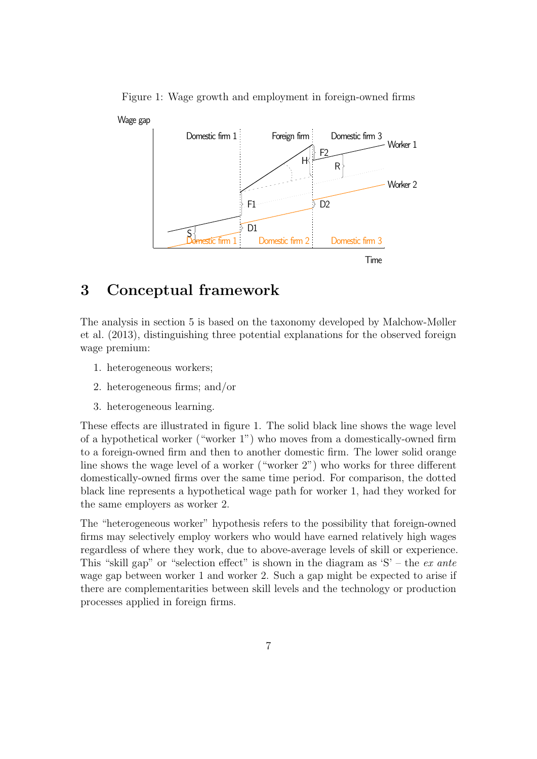

<span id="page-10-1"></span>Figure 1: Wage growth and employment in foreign-owned firms

### <span id="page-10-0"></span>3 Conceptual framework

The analysis in section [5](#page-22-0) is based on the taxonomy developed by [Malchow-Møller](#page-55-1) [et al.](#page-55-1) [\(2013\)](#page-55-1), distinguishing three potential explanations for the observed foreign wage premium:

- 1. heterogeneous workers;
- 2. heterogeneous firms; and/or
- 3. heterogeneous learning.

These effects are illustrated in figure [1.](#page-10-1) The solid black line shows the wage level of a hypothetical worker ("worker 1") who moves from a domestically-owned firm to a foreign-owned firm and then to another domestic firm. The lower solid orange line shows the wage level of a worker ("worker 2") who works for three different domestically-owned firms over the same time period. For comparison, the dotted black line represents a hypothetical wage path for worker 1, had they worked for the same employers as worker 2.

The "heterogeneous worker" hypothesis refers to the possibility that foreign-owned firms may selectively employ workers who would have earned relatively high wages regardless of where they work, due to above-average levels of skill or experience. This "skill gap" or "selection effect" is shown in the diagram as  $S'$  – the ex ante wage gap between worker 1 and worker 2. Such a gap might be expected to arise if there are complementarities between skill levels and the technology or production processes applied in foreign firms.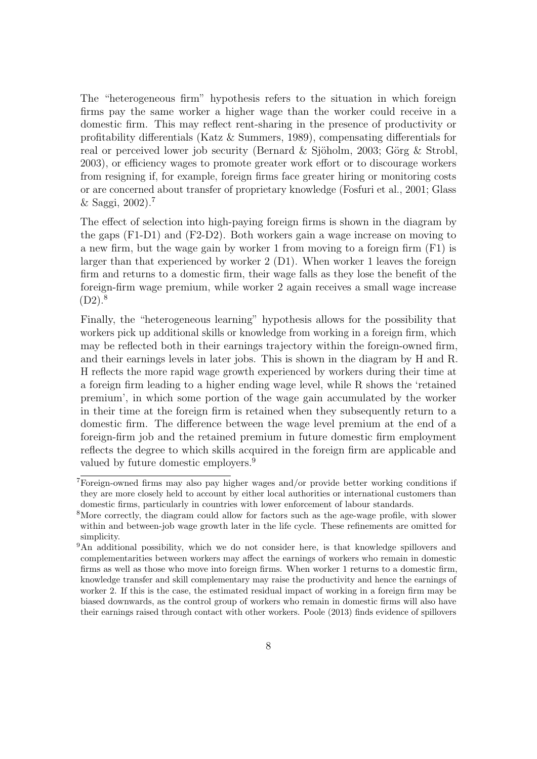The "heterogeneous firm" hypothesis refers to the situation in which foreign firms pay the same worker a higher wage than the worker could receive in a domestic firm. This may reflect rent-sharing in the presence of productivity or profitability differentials [\(Katz & Summers,](#page-55-7) [1989\)](#page-55-7), compensating differentials for real or perceived lower job security (Bernard & Sjöholm, [2003;](#page-53-6) Görg & Strobl, [2003\)](#page-54-10), or efficiency wages to promote greater work effort or to discourage workers from resigning if, for example, foreign firms face greater hiring or monitoring costs or are concerned about transfer of proprietary knowledge [\(Fosfuri et al.,](#page-54-11) [2001;](#page-54-11) [Glass](#page-54-12)  $&$  Saggi, [2002\)](#page-54-12).<sup>[7](#page--1-0)</sup>

The effect of selection into high-paying foreign firms is shown in the diagram by the gaps (F1-D1) and (F2-D2). Both workers gain a wage increase on moving to a new firm, but the wage gain by worker 1 from moving to a foreign firm (F1) is larger than that experienced by worker 2 (D1). When worker 1 leaves the foreign firm and returns to a domestic firm, their wage falls as they lose the benefit of the foreign-firm wage premium, while worker 2 again receives a small wage increase  $(D2).<sup>8</sup>$  $(D2).<sup>8</sup>$  $(D2).<sup>8</sup>$ 

Finally, the "heterogeneous learning" hypothesis allows for the possibility that workers pick up additional skills or knowledge from working in a foreign firm, which may be reflected both in their earnings trajectory within the foreign-owned firm, and their earnings levels in later jobs. This is shown in the diagram by H and R. H reflects the more rapid wage growth experienced by workers during their time at a foreign firm leading to a higher ending wage level, while R shows the 'retained premium', in which some portion of the wage gain accumulated by the worker in their time at the foreign firm is retained when they subsequently return to a domestic firm. The difference between the wage level premium at the end of a foreign-firm job and the retained premium in future domestic firm employment reflects the degree to which skills acquired in the foreign firm are applicable and valued by future domestic employers.<sup>[9](#page--1-0)</sup>

<sup>7</sup>Foreign-owned firms may also pay higher wages and/or provide better working conditions if they are more closely held to account by either local authorities or international customers than domestic firms, particularly in countries with lower enforcement of labour standards.

<sup>8</sup>More correctly, the diagram could allow for factors such as the age-wage profile, with slower within and between-job wage growth later in the life cycle. These refinements are omitted for simplicity.

<sup>&</sup>lt;sup>9</sup>An additional possibility, which we do not consider here, is that knowledge spillovers and complementarities between workers may affect the earnings of workers who remain in domestic firms as well as those who move into foreign firms. When worker 1 returns to a domestic firm, knowledge transfer and skill complementary may raise the productivity and hence the earnings of worker 2. If this is the case, the estimated residual impact of working in a foreign firm may be biased downwards, as the control group of workers who remain in domestic firms will also have their earnings raised through contact with other workers. [Poole](#page-56-3) [\(2013\)](#page-56-3) finds evidence of spillovers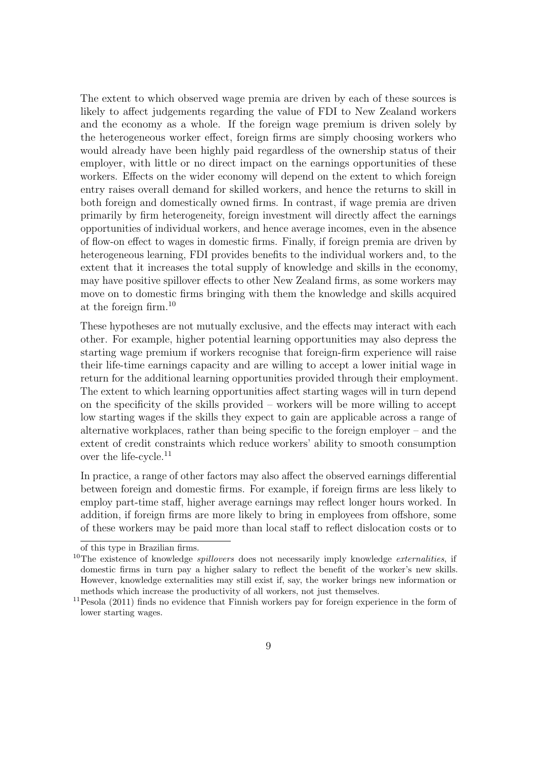The extent to which observed wage premia are driven by each of these sources is likely to affect judgements regarding the value of FDI to New Zealand workers and the economy as a whole. If the foreign wage premium is driven solely by the heterogeneous worker effect, foreign firms are simply choosing workers who would already have been highly paid regardless of the ownership status of their employer, with little or no direct impact on the earnings opportunities of these workers. Effects on the wider economy will depend on the extent to which foreign entry raises overall demand for skilled workers, and hence the returns to skill in both foreign and domestically owned firms. In contrast, if wage premia are driven primarily by firm heterogeneity, foreign investment will directly affect the earnings opportunities of individual workers, and hence average incomes, even in the absence of flow-on effect to wages in domestic firms. Finally, if foreign premia are driven by heterogeneous learning, FDI provides benefits to the individual workers and, to the extent that it increases the total supply of knowledge and skills in the economy, may have positive spillover effects to other New Zealand firms, as some workers may move on to domestic firms bringing with them the knowledge and skills acquired at the foreign firm.[10](#page--1-0)

These hypotheses are not mutually exclusive, and the effects may interact with each other. For example, higher potential learning opportunities may also depress the starting wage premium if workers recognise that foreign-firm experience will raise their life-time earnings capacity and are willing to accept a lower initial wage in return for the additional learning opportunities provided through their employment. The extent to which learning opportunities affect starting wages will in turn depend on the specificity of the skills provided – workers will be more willing to accept low starting wages if the skills they expect to gain are applicable across a range of alternative workplaces, rather than being specific to the foreign employer – and the extent of credit constraints which reduce workers' ability to smooth consumption over the life-cycle.[11](#page--1-0)

In practice, a range of other factors may also affect the observed earnings differential between foreign and domestic firms. For example, if foreign firms are less likely to employ part-time staff, higher average earnings may reflect longer hours worked. In addition, if foreign firms are more likely to bring in employees from offshore, some of these workers may be paid more than local staff to reflect dislocation costs or to

of this type in Brazilian firms.

 $10$ The existence of knowledge *spillovers* does not necessarily imply knowledge *externalities*, if domestic firms in turn pay a higher salary to reflect the benefit of the worker's new skills. However, knowledge externalities may still exist if, say, the worker brings new information or methods which increase the productivity of all workers, not just themselves.

<sup>11</sup>[Pesola](#page-56-0) [\(2011\)](#page-56-0) finds no evidence that Finnish workers pay for foreign experience in the form of lower starting wages.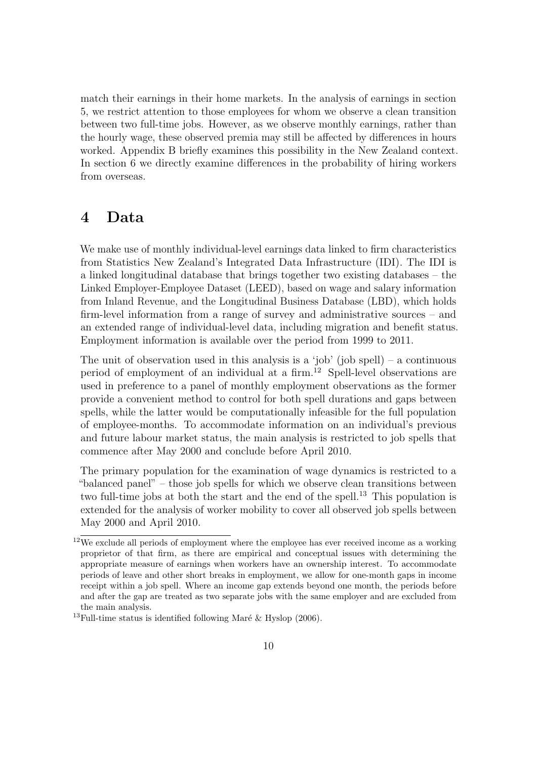match their earnings in their home markets. In the analysis of earnings in section [5,](#page-22-0) we restrict attention to those employees for whom we observe a clean transition between two full-time jobs. However, as we observe monthly earnings, rather than the hourly wage, these observed premia may still be affected by differences in hours worked. Appendix B briefly examines this possibility in the New Zealand context. In section [6](#page-34-0) we directly examine differences in the probability of hiring workers from overseas.

### <span id="page-13-0"></span>4 Data

We make use of monthly individual-level earnings data linked to firm characteristics from Statistics New Zealand's Integrated Data Infrastructure (IDI). The IDI is a linked longitudinal database that brings together two existing databases – the Linked Employer-Employee Dataset (LEED), based on wage and salary information from Inland Revenue, and the Longitudinal Business Database (LBD), which holds firm-level information from a range of survey and administrative sources – and an extended range of individual-level data, including migration and benefit status. Employment information is available over the period from 1999 to 2011.

The unit of observation used in this analysis is a 'job' (job spell) – a continuous period of employment of an individual at a firm.[12](#page--1-0) Spell-level observations are used in preference to a panel of monthly employment observations as the former provide a convenient method to control for both spell durations and gaps between spells, while the latter would be computationally infeasible for the full population of employee-months. To accommodate information on an individual's previous and future labour market status, the main analysis is restricted to job spells that commence after May 2000 and conclude before April 2010.

The primary population for the examination of wage dynamics is restricted to a "balanced panel" – those job spells for which we observe clean transitions between two full-time jobs at both the start and the end of the spell.<sup>[13](#page--1-0)</sup> This population is extended for the analysis of worker mobility to cover all observed job spells between May 2000 and April 2010.

 $12$ We exclude all periods of employment where the employee has ever received income as a working proprietor of that firm, as there are empirical and conceptual issues with determining the appropriate measure of earnings when workers have an ownership interest. To accommodate periods of leave and other short breaks in employment, we allow for one-month gaps in income receipt within a job spell. Where an income gap extends beyond one month, the periods before and after the gap are treated as two separate jobs with the same employer and are excluded from the main analysis.

<sup>&</sup>lt;sup>13</sup>Full-time status is identified following Maré & Hyslop [\(2006\)](#page-55-8).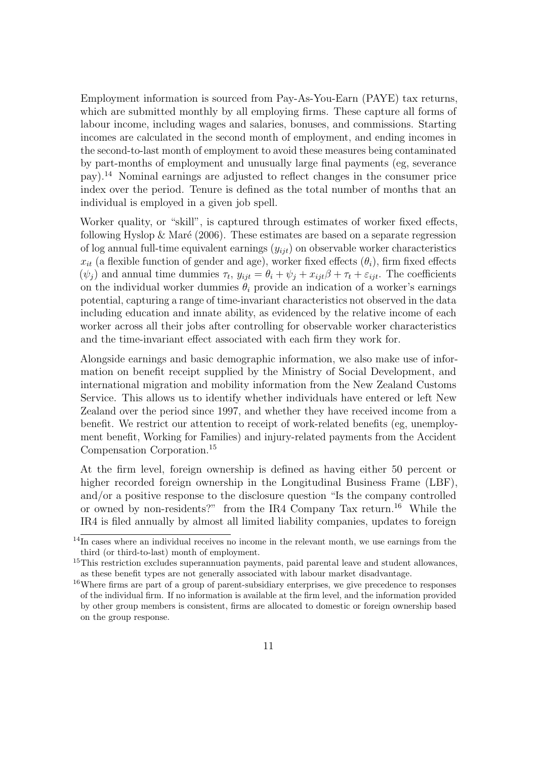Employment information is sourced from Pay-As-You-Earn (PAYE) tax returns, which are submitted monthly by all employing firms. These capture all forms of labour income, including wages and salaries, bonuses, and commissions. Starting incomes are calculated in the second month of employment, and ending incomes in the second-to-last month of employment to avoid these measures being contaminated by part-months of employment and unusually large final payments (eg, severance pay).[14](#page--1-0) Nominal earnings are adjusted to reflect changes in the consumer price index over the period. Tenure is defined as the total number of months that an individual is employed in a given job spell.

Worker quality, or "skill", is captured through estimates of worker fixed effects, following Hyslop & Maré [\(2006\)](#page-55-9). These estimates are based on a separate regression of log annual full-time equivalent earnings  $(y_{ijt})$  on observable worker characteristics  $x_{it}$  (a flexible function of gender and age), worker fixed effects  $(\theta_i)$ , firm fixed effects  $(\psi_j)$  and annual time dummies  $\tau_t$ ,  $y_{ijt} = \theta_i + \psi_j + x_{ijt}\beta + \tau_t + \varepsilon_{ijt}$ . The coefficients on the individual worker dummies  $\theta_i$  provide an indication of a worker's earnings potential, capturing a range of time-invariant characteristics not observed in the data including education and innate ability, as evidenced by the relative income of each worker across all their jobs after controlling for observable worker characteristics and the time-invariant effect associated with each firm they work for.

Alongside earnings and basic demographic information, we also make use of information on benefit receipt supplied by the Ministry of Social Development, and international migration and mobility information from the New Zealand Customs Service. This allows us to identify whether individuals have entered or left New Zealand over the period since 1997, and whether they have received income from a benefit. We restrict our attention to receipt of work-related benefits (eg, unemployment benefit, Working for Families) and injury-related payments from the Accident Compensation Corporation.[15](#page--1-0)

At the firm level, foreign ownership is defined as having either 50 percent or higher recorded foreign ownership in the Longitudinal Business Frame (LBF), and/or a positive response to the disclosure question "Is the company controlled or owned by non-residents?" from the IR4 Company Tax return.[16](#page--1-0) While the IR4 is filed annually by almost all limited liability companies, updates to foreign

<sup>&</sup>lt;sup>14</sup>In cases where an individual receives no income in the relevant month, we use earnings from the third (or third-to-last) month of employment.

<sup>&</sup>lt;sup>15</sup>This restriction excludes superannuation payments, paid parental leave and student allowances, as these benefit types are not generally associated with labour market disadvantage.

<sup>&</sup>lt;sup>16</sup>Where firms are part of a group of parent-subsidiary enterprises, we give precedence to responses of the individual firm. If no information is available at the firm level, and the information provided by other group members is consistent, firms are allocated to domestic or foreign ownership based on the group response.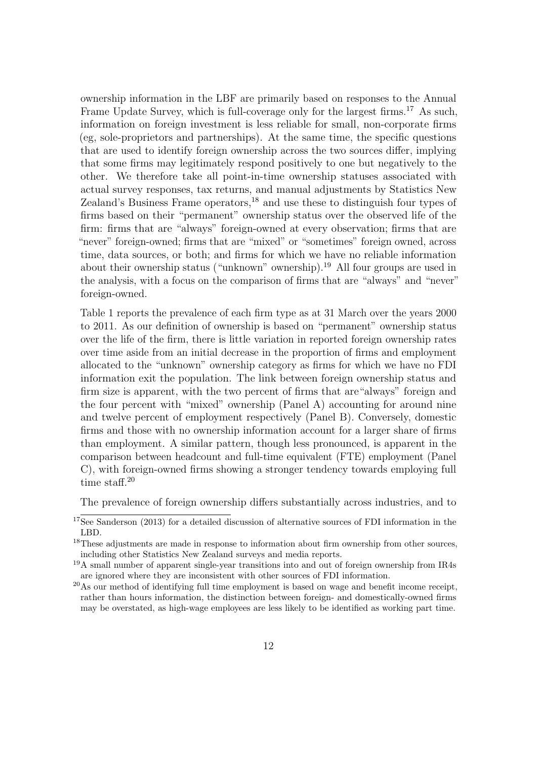ownership information in the LBF are primarily based on responses to the Annual Frame Update Survey, which is full-coverage only for the largest firms.<sup>[17](#page--1-0)</sup> As such, information on foreign investment is less reliable for small, non-corporate firms (eg, sole-proprietors and partnerships). At the same time, the specific questions that are used to identify foreign ownership across the two sources differ, implying that some firms may legitimately respond positively to one but negatively to the other. We therefore take all point-in-time ownership statuses associated with actual survey responses, tax returns, and manual adjustments by Statistics New Zealand's Business Frame operators, $18$  and use these to distinguish four types of firms based on their "permanent" ownership status over the observed life of the firm: firms that are "always" foreign-owned at every observation; firms that are "never" foreign-owned; firms that are "mixed" or "sometimes" foreign owned, across time, data sources, or both; and firms for which we have no reliable information about their ownership status ("unknown" ownership).[19](#page--1-0) All four groups are used in the analysis, with a focus on the comparison of firms that are "always" and "never" foreign-owned.

Table [1](#page-39-0) reports the prevalence of each firm type as at 31 March over the years 2000 to 2011. As our definition of ownership is based on "permanent" ownership status over the life of the firm, there is little variation in reported foreign ownership rates over time aside from an initial decrease in the proportion of firms and employment allocated to the "unknown" ownership category as firms for which we have no FDI information exit the population. The link between foreign ownership status and firm size is apparent, with the two percent of firms that are"always" foreign and the four percent with "mixed" ownership (Panel A) accounting for around nine and twelve percent of employment respectively (Panel B). Conversely, domestic firms and those with no ownership information account for a larger share of firms than employment. A similar pattern, though less pronounced, is apparent in the comparison between headcount and full-time equivalent (FTE) employment (Panel C), with foreign-owned firms showing a stronger tendency towards employing full time staff.<sup>[20](#page--1-0)</sup>

The prevalence of foreign ownership differs substantially across industries, and to

<sup>17</sup>See [Sanderson](#page-56-2) [\(2013\)](#page-56-2) for a detailed discussion of alternative sources of FDI information in the LBD.

<sup>&</sup>lt;sup>18</sup>These adjustments are made in response to information about firm ownership from other sources, including other Statistics New Zealand surveys and media reports.

<sup>&</sup>lt;sup>19</sup>A small number of apparent single-year transitions into and out of foreign ownership from IR4s are ignored where they are inconsistent with other sources of FDI information.

 $^{20}\text{As}$  our method of identifying full time employment is based on wage and benefit income receipt, rather than hours information, the distinction between foreign- and domestically-owned firms may be overstated, as high-wage employees are less likely to be identified as working part time.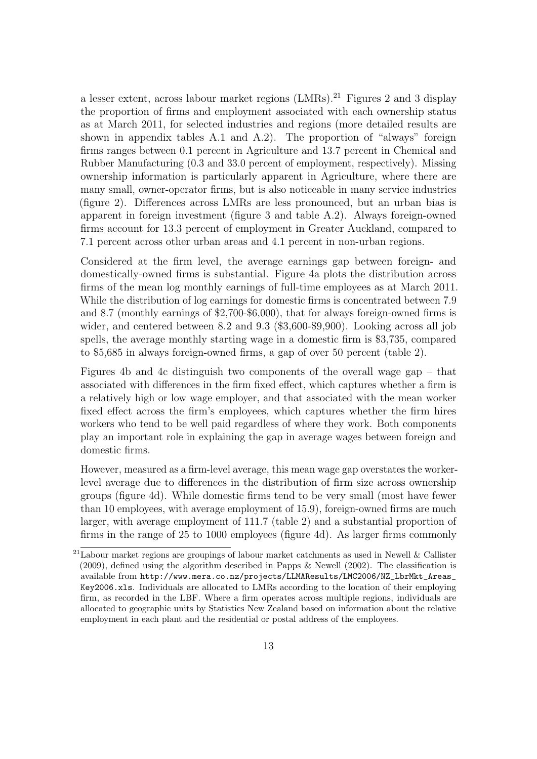a lesser extent, across labour market regions (LMRs).[21](#page--1-0) Figures [2](#page-17-0) and [3](#page-18-0) display the proportion of firms and employment associated with each ownership status as at March 2011, for selected industries and regions (more detailed results are shown in appendix tables [A.1](#page-57-0) and [A.2\)](#page-58-0). The proportion of "always" foreign firms ranges between 0.1 percent in Agriculture and 13.7 percent in Chemical and Rubber Manufacturing (0.3 and 33.0 percent of employment, respectively). Missing ownership information is particularly apparent in Agriculture, where there are many small, owner-operator firms, but is also noticeable in many service industries (figure [2\)](#page-17-0). Differences across LMRs are less pronounced, but an urban bias is apparent in foreign investment (figure [3](#page-18-0) and table [A.2\)](#page-58-0). Always foreign-owned firms account for 13.3 percent of employment in Greater Auckland, compared to 7.1 percent across other urban areas and 4.1 percent in non-urban regions.

Considered at the firm level, the average earnings gap between foreign- and domestically-owned firms is substantial. Figure [4a](#page-19-0) plots the distribution across firms of the mean log monthly earnings of full-time employees as at March 2011. While the distribution of log earnings for domestic firms is concentrated between 7.9 and 8.7 (monthly earnings of \$2,700-\$6,000), that for always foreign-owned firms is wider, and centered between 8.2 and 9.3 (\$3,600-\$9,900). Looking across all job spells, the average monthly starting wage in a domestic firm is \$3,735, compared to \$5,685 in always foreign-owned firms, a gap of over 50 percent (table [2\)](#page-40-0).

Figures [4b](#page-19-1) and [4c](#page-19-2) distinguish two components of the overall wage gap – that associated with differences in the firm fixed effect, which captures whether a firm is a relatively high or low wage employer, and that associated with the mean worker fixed effect across the firm's employees, which captures whether the firm hires workers who tend to be well paid regardless of where they work. Both components play an important role in explaining the gap in average wages between foreign and domestic firms.

However, measured as a firm-level average, this mean wage gap overstates the workerlevel average due to differences in the distribution of firm size across ownership groups (figure [4d\)](#page-19-3). While domestic firms tend to be very small (most have fewer than 10 employees, with average employment of 15.9), foreign-owned firms are much larger, with average employment of 111.7 (table [2\)](#page-40-0) and a substantial proportion of firms in the range of 25 to 1000 employees (figure [4d\)](#page-19-3). As larger firms commonly

 $^{21}$ Labour market regions are groupings of labour market catchments as used in [Newell & Callister](#page-55-10) [\(2009\)](#page-55-10), defined using the algorithm described in [Papps & Newell](#page-56-4) [\(2002\)](#page-56-4). The classification is available from [http://www.mera.co.nz/projects/LLMAResults/LMC2006/NZ\\_LbrMkt\\_Areas\\_](http://www.mera.co.nz/projects/LLMAResults/LMC2006/NZ_LbrMkt_Areas_Key2006.xls) [Key2006.xls](http://www.mera.co.nz/projects/LLMAResults/LMC2006/NZ_LbrMkt_Areas_Key2006.xls). Individuals are allocated to LMRs according to the location of their employing firm, as recorded in the LBF. Where a firm operates across multiple regions, individuals are allocated to geographic units by Statistics New Zealand based on information about the relative employment in each plant and the residential or postal address of the employees.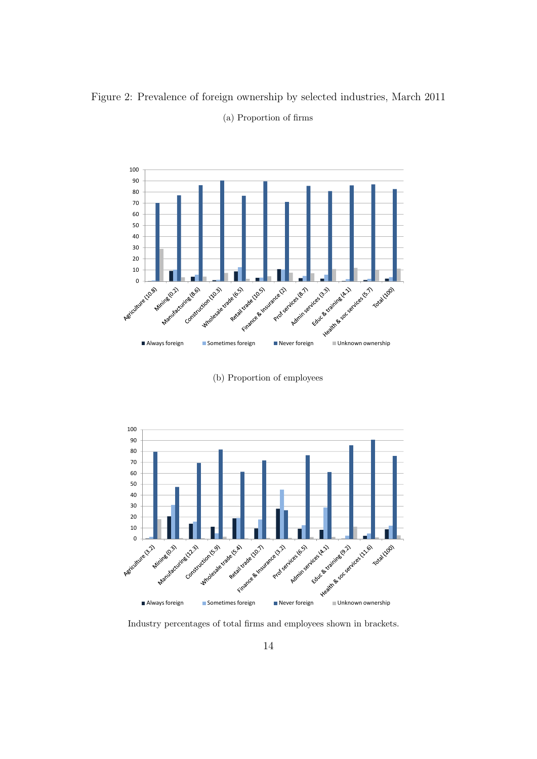<span id="page-17-0"></span>Figure 2: Prevalence of foreign ownership by selected industries, March 2011



(a) Proportion of firms

(b) Proportion of employees



Industry percentages of total firms and employees shown in brackets.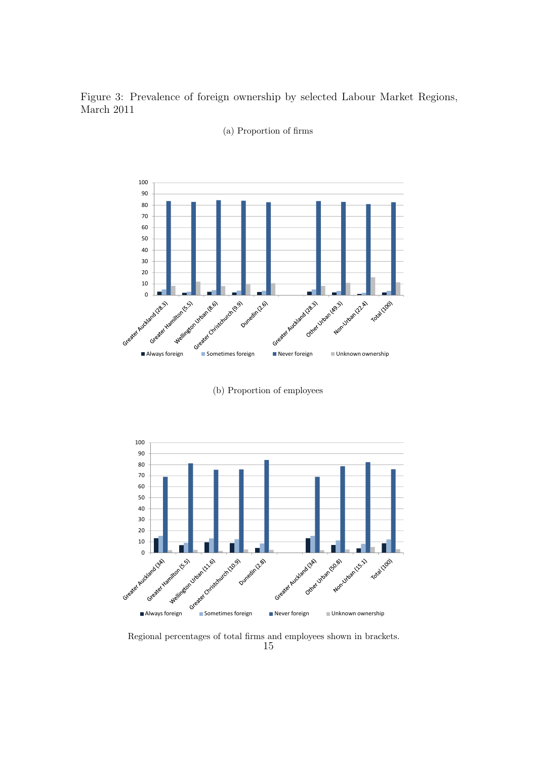<span id="page-18-0"></span>Figure 3: Prevalence of foreign ownership by selected Labour Market Regions, March 2011



(a) Proportion of firms

(b) Proportion of employees



Regional percentages of total firms and employees shown in brackets.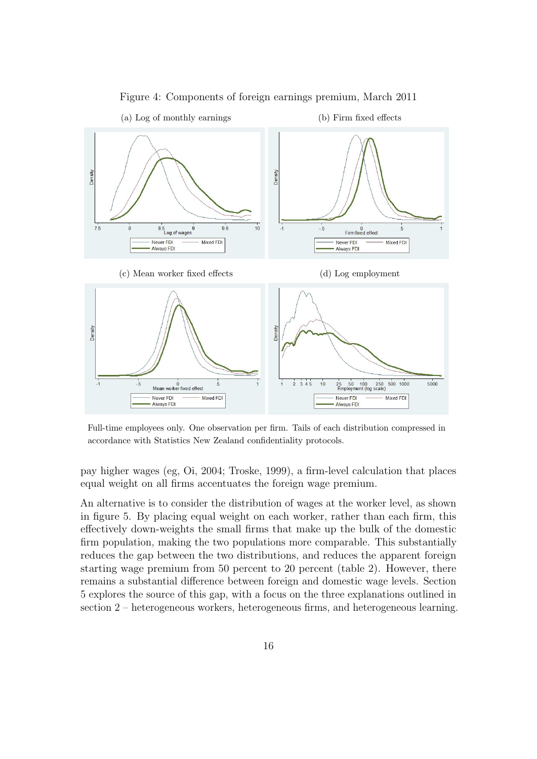<span id="page-19-0"></span>

<span id="page-19-3"></span><span id="page-19-1"></span>Figure 4: Components of foreign earnings premium, March 2011

<span id="page-19-2"></span>Full-time employees only. One observation per firm. Tails of each distribution compressed in accordance with Statistics New Zealand confidentiality protocols.

pay higher wages (eg, [Oi,](#page-55-11) [2004;](#page-55-11) [Troske,](#page-56-5) [1999\)](#page-56-5), a firm-level calculation that places equal weight on all firms accentuates the foreign wage premium.

An alternative is to consider the distribution of wages at the worker level, as shown in figure [5.](#page-20-0) By placing equal weight on each worker, rather than each firm, this effectively down-weights the small firms that make up the bulk of the domestic firm population, making the two populations more comparable. This substantially reduces the gap between the two distributions, and reduces the apparent foreign starting wage premium from 50 percent to 20 percent (table [2\)](#page-40-0). However, there remains a substantial difference between foreign and domestic wage levels. Section [5](#page-22-0) explores the source of this gap, with a focus on the three explanations outlined in section [2](#page-5-0) – heterogeneous workers, heterogeneous firms, and heterogeneous learning.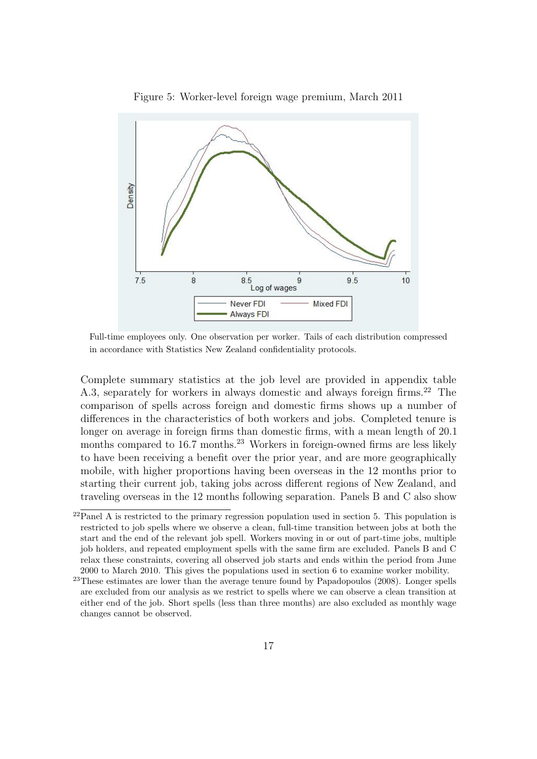<span id="page-20-0"></span>

Figure 5: Worker-level foreign wage premium, March 2011

Full-time employees only. One observation per worker. Tails of each distribution compressed in accordance with Statistics New Zealand confidentiality protocols.

Complete summary statistics at the job level are provided in appendix table [A.3,](#page-59-0) separately for workers in always domestic and always foreign firms.<sup>[22](#page--1-0)</sup> The comparison of spells across foreign and domestic firms shows up a number of differences in the characteristics of both workers and jobs. Completed tenure is longer on average in foreign firms than domestic firms, with a mean length of 20.1 months compared to 16.7 months.<sup>[23](#page--1-0)</sup> Workers in foreign-owned firms are less likely to have been receiving a benefit over the prior year, and are more geographically mobile, with higher proportions having been overseas in the 12 months prior to starting their current job, taking jobs across different regions of New Zealand, and traveling overseas in the 12 months following separation. Panels B and C also show

 $22$ Panel A is restricted to the primary regression population used in section [5.](#page-22-0) This population is restricted to job spells where we observe a clean, full-time transition between jobs at both the start and the end of the relevant job spell. Workers moving in or out of part-time jobs, multiple job holders, and repeated employment spells with the same firm are excluded. Panels B and C relax these constraints, covering all observed job starts and ends within the period from June 2000 to March 2010. This gives the populations used in section [6](#page-34-0) to examine worker mobility.

 $23$ These estimates are lower than the average tenure found by [Papadopoulos](#page-55-12) [\(2008\)](#page-55-12). Longer spells are excluded from our analysis as we restrict to spells where we can observe a clean transition at either end of the job. Short spells (less than three months) are also excluded as monthly wage changes cannot be observed.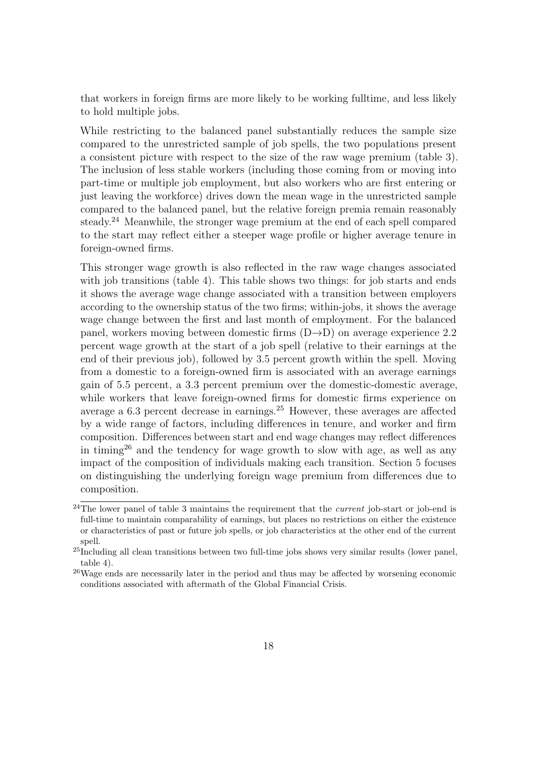that workers in foreign firms are more likely to be working fulltime, and less likely to hold multiple jobs.

While restricting to the balanced panel substantially reduces the sample size compared to the unrestricted sample of job spells, the two populations present a consistent picture with respect to the size of the raw wage premium (table [3\)](#page-40-1). The inclusion of less stable workers (including those coming from or moving into part-time or multiple job employment, but also workers who are first entering or just leaving the workforce) drives down the mean wage in the unrestricted sample compared to the balanced panel, but the relative foreign premia remain reasonably steady.<sup>[24](#page--1-0)</sup> Meanwhile, the stronger wage premium at the end of each spell compared to the start may reflect either a steeper wage profile or higher average tenure in foreign-owned firms.

This stronger wage growth is also reflected in the raw wage changes associated with job transitions (table [4\)](#page-41-0). This table shows two things: for job starts and ends it shows the average wage change associated with a transition between employers according to the ownership status of the two firms; within-jobs, it shows the average wage change between the first and last month of employment. For the balanced panel, workers moving between domestic firms  $(D\rightarrow D)$  on average experience 2.2 percent wage growth at the start of a job spell (relative to their earnings at the end of their previous job), followed by 3.5 percent growth within the spell. Moving from a domestic to a foreign-owned firm is associated with an average earnings gain of 5.5 percent, a 3.3 percent premium over the domestic-domestic average, while workers that leave foreign-owned firms for domestic firms experience on average a 6.3 percent decrease in earnings.[25](#page--1-0) However, these averages are affected by a wide range of factors, including differences in tenure, and worker and firm composition. Differences between start and end wage changes may reflect differences in timing<sup>[26](#page--1-0)</sup> and the tendency for wage growth to slow with age, as well as any impact of the composition of individuals making each transition. Section [5](#page-22-0) focuses on distinguishing the underlying foreign wage premium from differences due to composition.

 $^{24}$ The lower panel of table [3](#page-40-1) maintains the requirement that the *current* job-start or job-end is full-time to maintain comparability of earnings, but places no restrictions on either the existence or characteristics of past or future job spells, or job characteristics at the other end of the current spell.

<sup>&</sup>lt;sup>25</sup>Including all clean transitions between two full-time jobs shows very similar results (lower panel, table [4\)](#page-41-0).

<sup>26</sup>Wage ends are necessarily later in the period and thus may be affected by worsening economic conditions associated with aftermath of the Global Financial Crisis.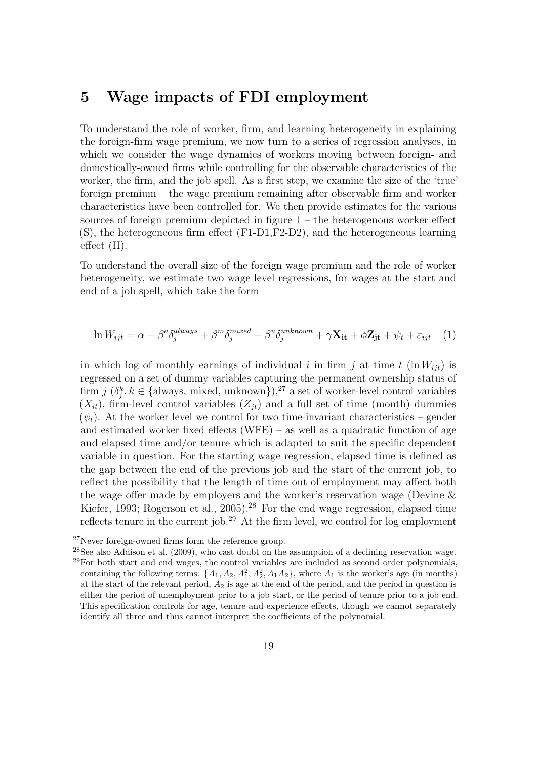#### <span id="page-22-0"></span>5 Wage impacts of FDI employment

To understand the role of worker, firm, and learning heterogeneity in explaining the foreign-firm wage premium, we now turn to a series of regression analyses, in which we consider the wage dynamics of workers moving between foreign- and domestically-owned firms while controlling for the observable characteristics of the worker, the firm, and the job spell. As a first step, we examine the size of the 'true' foreign premium – the wage premium remaining after observable firm and worker characteristics have been controlled for. We then provide estimates for the various sources of foreign premium depicted in figure [1](#page-10-1) – the heterogenous worker effect (S), the heterogeneous firm effect (F1-D1,F2-D2), and the heterogeneous learning effect (H).

To understand the overall size of the foreign wage premium and the role of worker heterogeneity, we estimate two wage level regressions, for wages at the start and end of a job spell, which take the form

<span id="page-22-1"></span>
$$
\ln W_{ijt} = \alpha + \beta^a \delta_j^{always} + \beta^m \delta_j^{mixed} + \beta^u \delta_j^{unknown} + \gamma \mathbf{X}_{it} + \phi \mathbf{Z}_{jt} + \psi_t + \varepsilon_{ijt} \tag{1}
$$

in which log of monthly earnings of individual i in firm j at time t  $(\ln W_{ijt})$  is regressed on a set of dummy variables capturing the permanent ownership status of firm  $j$   $(\delta_j^k, k \in \{\text{always}, \text{mixed}, \text{unknown}\})$ ,<sup>[27](#page--1-0)</sup> a set of worker-level control variables  $(X_{it})$ , firm-level control variables  $(Z_{it})$  and a full set of time (month) dummies  $(\psi_t)$ . At the worker level we control for two time-invariant characteristics – gender and estimated worker fixed effects (WFE) – as well as a quadratic function of age and elapsed time and/or tenure which is adapted to suit the specific dependent variable in question. For the starting wage regression, elapsed time is defined as the gap between the end of the previous job and the start of the current job, to reflect the possibility that the length of time out of employment may affect both the wage offer made by employers and the worker's reservation wage [\(Devine &](#page-53-7) [Kiefer,](#page-53-7) [1993;](#page-53-7) [Rogerson et al.,](#page-56-6) [2005\)](#page-56-6).<sup>[28](#page--1-0)</sup> For the end wage regression, elapsed time reflects tenure in the current job.[29](#page--1-0) At the firm level, we control for log employment

 $^{27}$ Never foreign-owned firms form the reference group.

<sup>&</sup>lt;sup>28</sup>See also [Addison et al.](#page-53-8) [\(2009\)](#page-53-8), who cast doubt on the assumption of a declining reservation wage.  $29$  For both start and end wages, the control variables are included as second order polynomials, containing the following terms:  $\{A_1, A_2, A_1^2, A_2^2, A_1A_2\}$ , where  $A_1$  is the worker's age (in months) at the start of the relevant period,  $A_2$  is age at the end of the period, and the period in question is either the period of unemployment prior to a job start, or the period of tenure prior to a job end. This specification controls for age, tenure and experience effects, though we cannot separately identify all three and thus cannot interpret the coefficients of the polynomial.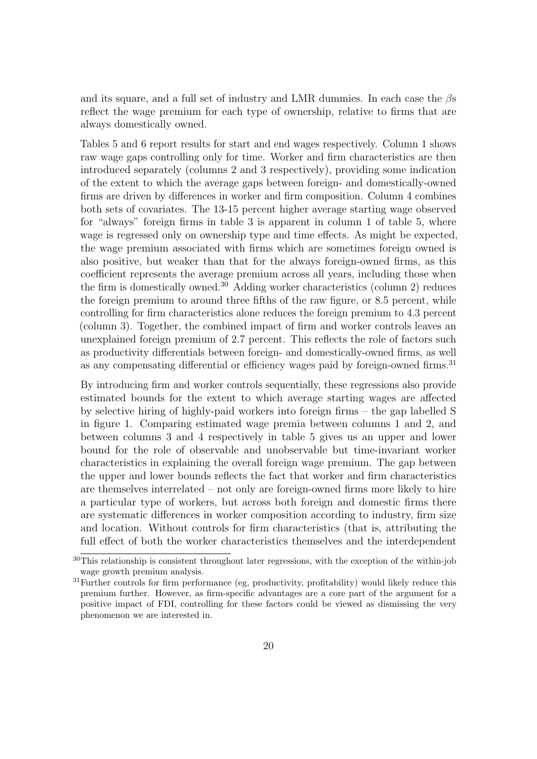and its square, and a full set of industry and LMR dummies. In each case the  $\beta s$ reflect the wage premium for each type of ownership, relative to firms that are always domestically owned.

Tables [5](#page-42-0) and [6](#page-43-0) report results for start and end wages respectively. Column 1 shows raw wage gaps controlling only for time. Worker and firm characteristics are then introduced separately (columns 2 and 3 respectively), providing some indication of the extent to which the average gaps between foreign- and domestically-owned firms are driven by differences in worker and firm composition. Column 4 combines both sets of covariates. The 13-15 percent higher average starting wage observed for "always" foreign firms in table [3](#page-40-1) is apparent in column 1 of table [5,](#page-42-0) where wage is regressed only on ownership type and time effects. As might be expected, the wage premium associated with firms which are sometimes foreign owned is also positive, but weaker than that for the always foreign-owned firms, as this coefficient represents the average premium across all years, including those when the firm is domestically owned.<sup>[30](#page--1-0)</sup> Adding worker characteristics (column 2) reduces the foreign premium to around three fifths of the raw figure, or 8.5 percent, while controlling for firm characteristics alone reduces the foreign premium to 4.3 percent (column 3). Together, the combined impact of firm and worker controls leaves an unexplained foreign premium of 2.7 percent. This reflects the role of factors such as productivity differentials between foreign- and domestically-owned firms, as well as any compensating differential or efficiency wages paid by foreign-owned firms.<sup>[31](#page--1-0)</sup>

By introducing firm and worker controls sequentially, these regressions also provide estimated bounds for the extent to which average starting wages are affected by selective hiring of highly-paid workers into foreign firms – the gap labelled S in figure [1.](#page-10-1) Comparing estimated wage premia between columns 1 and 2, and between columns 3 and 4 respectively in table [5](#page-42-0) gives us an upper and lower bound for the role of observable and unobservable but time-invariant worker characteristics in explaining the overall foreign wage premium. The gap between the upper and lower bounds reflects the fact that worker and firm characteristics are themselves interrelated – not only are foreign-owned firms more likely to hire a particular type of workers, but across both foreign and domestic firms there are systematic differences in worker composition according to industry, firm size and location. Without controls for firm characteristics (that is, attributing the full effect of both the worker characteristics themselves and the interdependent

 $30\overline{\text{This relationship is consistent throughout later regressions, with the exception of the within-job}}$ wage growth premium analysis.

<sup>&</sup>lt;sup>31</sup>Further controls for firm performance (eg, productivity, profitability) would likely reduce this premium further. However, as firm-specific advantages are a core part of the argument for a positive impact of FDI, controlling for these factors could be viewed as dismissing the very phenomenon we are interested in.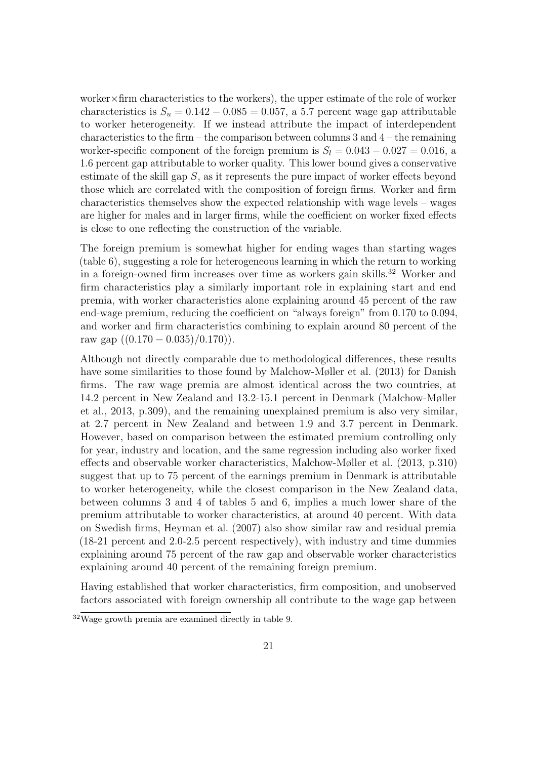worker×firm characteristics to the workers), the upper estimate of the role of worker characteristics is  $S_u = 0.142 - 0.085 = 0.057$ , a 5.7 percent wage gap attributable to worker heterogeneity. If we instead attribute the impact of interdependent characteristics to the firm – the comparison between columns 3 and  $4$  – the remaining worker-specific component of the foreign premium is  $S_l = 0.043 - 0.027 = 0.016$ , a 1.6 percent gap attributable to worker quality. This lower bound gives a conservative estimate of the skill gap  $S$ , as it represents the pure impact of worker effects beyond those which are correlated with the composition of foreign firms. Worker and firm characteristics themselves show the expected relationship with wage levels – wages are higher for males and in larger firms, while the coefficient on worker fixed effects is close to one reflecting the construction of the variable.

The foreign premium is somewhat higher for ending wages than starting wages (table [6\)](#page-43-0), suggesting a role for heterogeneous learning in which the return to working in a foreign-owned firm increases over time as workers gain skills.<sup>[32](#page--1-0)</sup> Worker and firm characteristics play a similarly important role in explaining start and end premia, with worker characteristics alone explaining around 45 percent of the raw end-wage premium, reducing the coefficient on "always foreign" from 0.170 to 0.094, and worker and firm characteristics combining to explain around 80 percent of the raw gap  $((0.170 - 0.035)/0.170)$ .

Although not directly comparable due to methodological differences, these results have some similarities to those found by [Malchow-Møller et al.](#page-55-1) [\(2013\)](#page-55-1) for Danish firms. The raw wage premia are almost identical across the two countries, at 14.2 percent in New Zealand and 13.2-15.1 percent in Denmark [\(Malchow-Møller](#page-55-1) [et al.,](#page-55-1) [2013,](#page-55-1) p.309), and the remaining unexplained premium is also very similar, at 2.7 percent in New Zealand and between 1.9 and 3.7 percent in Denmark. However, based on comparison between the estimated premium controlling only for year, industry and location, and the same regression including also worker fixed effects and observable worker characteristics, [Malchow-Møller et al.](#page-55-1) [\(2013,](#page-55-1) p.310) suggest that up to 75 percent of the earnings premium in Denmark is attributable to worker heterogeneity, while the closest comparison in the New Zealand data, between columns 3 and 4 of tables [5](#page-42-0) and [6,](#page-43-0) implies a much lower share of the premium attributable to worker characteristics, at around 40 percent. With data on Swedish firms, [Heyman et al.](#page-54-5) [\(2007\)](#page-54-5) also show similar raw and residual premia (18-21 percent and 2.0-2.5 percent respectively), with industry and time dummies explaining around 75 percent of the raw gap and observable worker characteristics explaining around 40 percent of the remaining foreign premium.

Having established that worker characteristics, firm composition, and unobserved factors associated with foreign ownership all contribute to the wage gap between

<sup>32</sup>Wage growth premia are examined directly in table [9.](#page-45-0)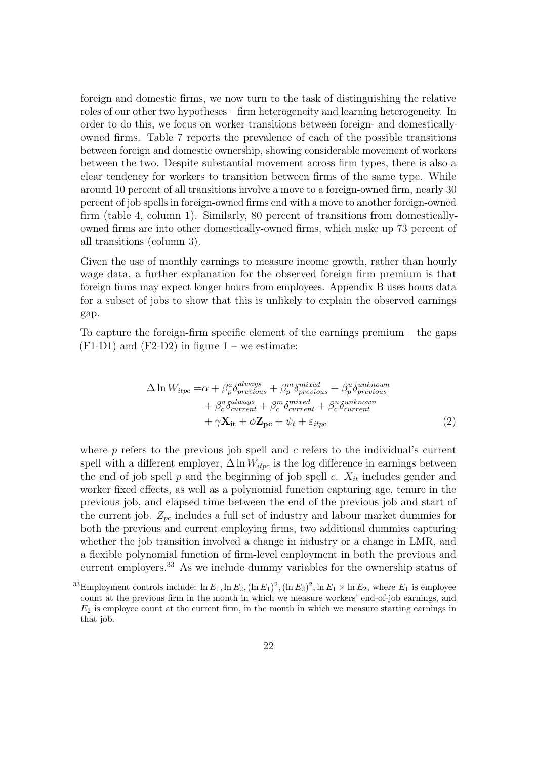foreign and domestic firms, we now turn to the task of distinguishing the relative roles of our other two hypotheses – firm heterogeneity and learning heterogeneity. In order to do this, we focus on worker transitions between foreign- and domesticallyowned firms. Table [7](#page-43-1) reports the prevalence of each of the possible transitions between foreign and domestic ownership, showing considerable movement of workers between the two. Despite substantial movement across firm types, there is also a clear tendency for workers to transition between firms of the same type. While around 10 percent of all transitions involve a move to a foreign-owned firm, nearly 30 percent of job spells in foreign-owned firms end with a move to another foreign-owned firm (table [4,](#page-41-0) column 1). Similarly, 80 percent of transitions from domesticallyowned firms are into other domestically-owned firms, which make up 73 percent of all transitions (column 3).

Given the use of monthly earnings to measure income growth, rather than hourly wage data, a further explanation for the observed foreign firm premium is that foreign firms may expect longer hours from employees. Appendix B uses hours data for a subset of jobs to show that this is unlikely to explain the observed earnings gap.

To capture the foreign-firm specific element of the earnings premium – the gaps  $(F1-D1)$  $(F1-D1)$  $(F1-D1)$  and  $(F2-D2)$  in figure  $1$  – we estimate:

<span id="page-25-0"></span>
$$
\Delta \ln W_{itpc} = \alpha + \beta_p^a \delta_{previous}^{always} + \beta_p^m \delta_{previous}^{mixed} + \beta_p^u \delta_{previous}^{unknown} + \beta_c^a \delta_{current}^{always} + \beta_c^m \delta_{current}^{mixed} + \beta_c^u \delta_{current}^{unknown} + \gamma \mathbf{X}_{it} + \phi \mathbf{Z}_{pc} + \psi_t + \varepsilon_{itpc}
$$
\n(2)

where  $p$  refers to the previous job spell and  $c$  refers to the individual's current spell with a different employer,  $\Delta \ln W_{itpc}$  is the log difference in earnings between the end of job spell p and the beginning of job spell c.  $X_{it}$  includes gender and worker fixed effects, as well as a polynomial function capturing age, tenure in the previous job, and elapsed time between the end of the previous job and start of the current job.  $Z_{pc}$  includes a full set of industry and labour market dummies for both the previous and current employing firms, two additional dummies capturing whether the job transition involved a change in industry or a change in LMR, and a flexible polynomial function of firm-level employment in both the previous and current employers.[33](#page--1-0) As we include dummy variables for the ownership status of

<sup>&</sup>lt;sup>33</sup>Employment controls include:  $\ln E_1$ ,  $\ln E_2$ ,  $(\ln E_1)^2$ ,  $(\ln E_2)^2$ ,  $\ln E_1 \times \ln E_2$ , where  $E_1$  is employee count at the previous firm in the month in which we measure workers' end-of-job earnings, and  $E_2$  is employee count at the current firm, in the month in which we measure starting earnings in that job.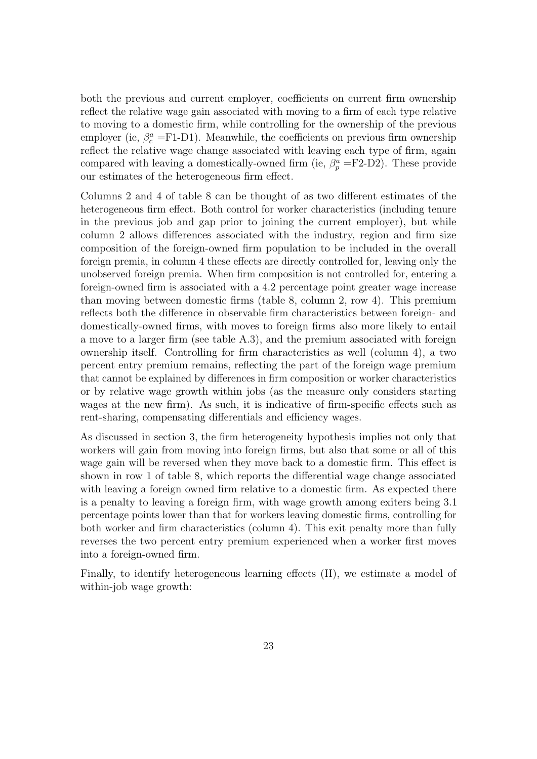both the previous and current employer, coefficients on current firm ownership reflect the relative wage gain associated with moving to a firm of each type relative to moving to a domestic firm, while controlling for the ownership of the previous employer (ie,  $\beta_c^a = F1-D1$ ). Meanwhile, the coefficients on previous firm ownership reflect the relative wage change associated with leaving each type of firm, again compared with leaving a domestically-owned firm (ie,  $\beta_p^a = F2-D2$ ). These provide our estimates of the heterogeneous firm effect.

Columns 2 and 4 of table [8](#page-44-0) can be thought of as two different estimates of the heterogeneous firm effect. Both control for worker characteristics (including tenure in the previous job and gap prior to joining the current employer), but while column 2 allows differences associated with the industry, region and firm size composition of the foreign-owned firm population to be included in the overall foreign premia, in column 4 these effects are directly controlled for, leaving only the unobserved foreign premia. When firm composition is not controlled for, entering a foreign-owned firm is associated with a 4.2 percentage point greater wage increase than moving between domestic firms (table [8,](#page-44-0) column 2, row 4). This premium reflects both the difference in observable firm characteristics between foreign- and domestically-owned firms, with moves to foreign firms also more likely to entail a move to a larger firm (see table [A.3\)](#page-59-0), and the premium associated with foreign ownership itself. Controlling for firm characteristics as well (column 4), a two percent entry premium remains, reflecting the part of the foreign wage premium that cannot be explained by differences in firm composition or worker characteristics or by relative wage growth within jobs (as the measure only considers starting wages at the new firm). As such, it is indicative of firm-specific effects such as rent-sharing, compensating differentials and efficiency wages.

As discussed in section [3,](#page-10-0) the firm heterogeneity hypothesis implies not only that workers will gain from moving into foreign firms, but also that some or all of this wage gain will be reversed when they move back to a domestic firm. This effect is shown in row 1 of table [8,](#page-44-0) which reports the differential wage change associated with leaving a foreign owned firm relative to a domestic firm. As expected there is a penalty to leaving a foreign firm, with wage growth among exiters being 3.1 percentage points lower than that for workers leaving domestic firms, controlling for both worker and firm characteristics (column 4). This exit penalty more than fully reverses the two percent entry premium experienced when a worker first moves into a foreign-owned firm.

Finally, to identify heterogeneous learning effects (H), we estimate a model of within-job wage growth: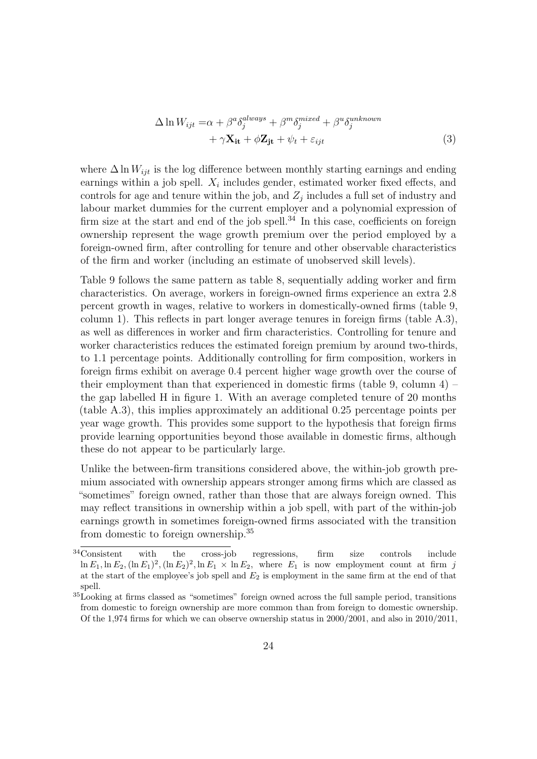<span id="page-27-0"></span>
$$
\Delta \ln W_{ijt} = \alpha + \beta^a \delta_j^{always} + \beta^m \delta_j^{mixed} + \beta^u \delta_j^{unknown} + \gamma \mathbf{X_{it}} + \phi \mathbf{Z_{jt}} + \psi_t + \varepsilon_{ijt}
$$
\n(3)

where  $\Delta \ln W_{ijt}$  is the log difference between monthly starting earnings and ending earnings within a job spell.  $X_i$  includes gender, estimated worker fixed effects, and controls for age and tenure within the job, and  $Z_j$  includes a full set of industry and labour market dummies for the current employer and a polynomial expression of firm size at the start and end of the job spell.<sup>[34](#page--1-0)</sup> In this case, coefficients on foreign ownership represent the wage growth premium over the period employed by a foreign-owned firm, after controlling for tenure and other observable characteristics of the firm and worker (including an estimate of unobserved skill levels).

Table [9](#page-45-0) follows the same pattern as table [8,](#page-44-0) sequentially adding worker and firm characteristics. On average, workers in foreign-owned firms experience an extra 2.8 percent growth in wages, relative to workers in domestically-owned firms (table [9,](#page-45-0) column 1). This reflects in part longer average tenures in foreign firms (table [A.3\)](#page-59-0), as well as differences in worker and firm characteristics. Controlling for tenure and worker characteristics reduces the estimated foreign premium by around two-thirds, to 1.1 percentage points. Additionally controlling for firm composition, workers in foreign firms exhibit on average 0.4 percent higher wage growth over the course of their employment than that experienced in domestic firms (table [9,](#page-45-0) column  $4$ ) – the gap labelled H in figure [1.](#page-10-1) With an average completed tenure of 20 months (table [A.3\)](#page-59-0), this implies approximately an additional 0.25 percentage points per year wage growth. This provides some support to the hypothesis that foreign firms provide learning opportunities beyond those available in domestic firms, although these do not appear to be particularly large.

Unlike the between-firm transitions considered above, the within-job growth premium associated with ownership appears stronger among firms which are classed as "sometimes" foreign owned, rather than those that are always foreign owned. This may reflect transitions in ownership within a job spell, with part of the within-job earnings growth in sometimes foreign-owned firms associated with the transition from domestic to foreign ownership.[35](#page--1-0)

<sup>34</sup>Consistent with the cross-job regressions, firm size controls include  $\ln E_1$ ,  $\ln E_2$ ,  $(\ln E_1)^2$ ,  $(\ln E_2)^2$ ,  $\ln E_1 \times \ln E_2$ , where  $E_1$  is now employment count at firm j at the start of the employee's job spell and  $E_2$  is employment in the same firm at the end of that spell.

<sup>35</sup>Looking at firms classed as "sometimes" foreign owned across the full sample period, transitions from domestic to foreign ownership are more common than from foreign to domestic ownership. Of the 1,974 firms for which we can observe ownership status in 2000/2001, and also in 2010/2011,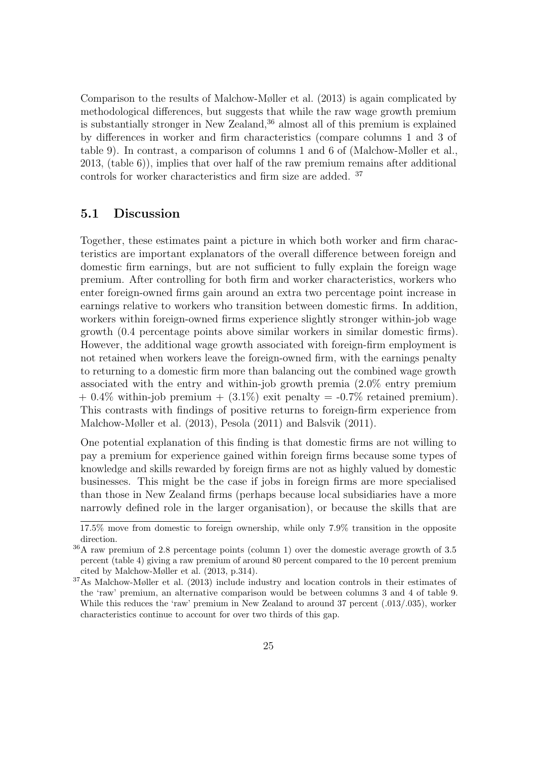Comparison to the results of [Malchow-Møller et al.](#page-55-1) [\(2013\)](#page-55-1) is again complicated by methodological differences, but suggests that while the raw wage growth premium is substantially stronger in New Zealand,[36](#page--1-0) almost all of this premium is explained by differences in worker and firm characteristics (compare columns 1 and 3 of table [9\)](#page-45-0). In contrast, a comparison of columns 1 and 6 of [\(Malchow-Møller et al.,](#page-55-1) [2013,](#page-55-1) (table 6)), implies that over half of the raw premium remains after additional controls for worker characteristics and firm size are added. [37](#page--1-0)

#### 5.1 Discussion

Together, these estimates paint a picture in which both worker and firm characteristics are important explanators of the overall difference between foreign and domestic firm earnings, but are not sufficient to fully explain the foreign wage premium. After controlling for both firm and worker characteristics, workers who enter foreign-owned firms gain around an extra two percentage point increase in earnings relative to workers who transition between domestic firms. In addition, workers within foreign-owned firms experience slightly stronger within-job wage growth (0.4 percentage points above similar workers in similar domestic firms). However, the additional wage growth associated with foreign-firm employment is not retained when workers leave the foreign-owned firm, with the earnings penalty to returning to a domestic firm more than balancing out the combined wage growth associated with the entry and within-job growth premia (2.0% entry premium  $+ 0.4\%$  within-job premium  $+ (3.1\%)$  exit penalty  $= -0.7\%$  retained premium). This contrasts with findings of positive returns to foreign-firm experience from [Malchow-Møller et al.](#page-55-1) [\(2013\)](#page-55-1), [Pesola](#page-56-0) [\(2011\)](#page-56-0) and [Balsvik](#page-53-5) [\(2011\)](#page-53-5).

One potential explanation of this finding is that domestic firms are not willing to pay a premium for experience gained within foreign firms because some types of knowledge and skills rewarded by foreign firms are not as highly valued by domestic businesses. This might be the case if jobs in foreign firms are more specialised than those in New Zealand firms (perhaps because local subsidiaries have a more narrowly defined role in the larger organisation), or because the skills that are

<sup>17.5%</sup> move from domestic to foreign ownership, while only 7.9% transition in the opposite direction.

<sup>36</sup>A raw premium of 2.8 percentage points (column 1) over the domestic average growth of 3.5 percent (table [4\)](#page-41-0) giving a raw premium of around 80 percent compared to the 10 percent premium cited by [Malchow-Møller et al.](#page-55-1) [\(2013,](#page-55-1) p.314).

<sup>37</sup>As [Malchow-Møller et al.](#page-55-1) [\(2013\)](#page-55-1) include industry and location controls in their estimates of the 'raw' premium, an alternative comparison would be between columns 3 and 4 of table [9.](#page-45-0) While this reduces the 'raw' premium in New Zealand to around 37 percent  $(.013/.035)$ , worker characteristics continue to account for over two thirds of this gap.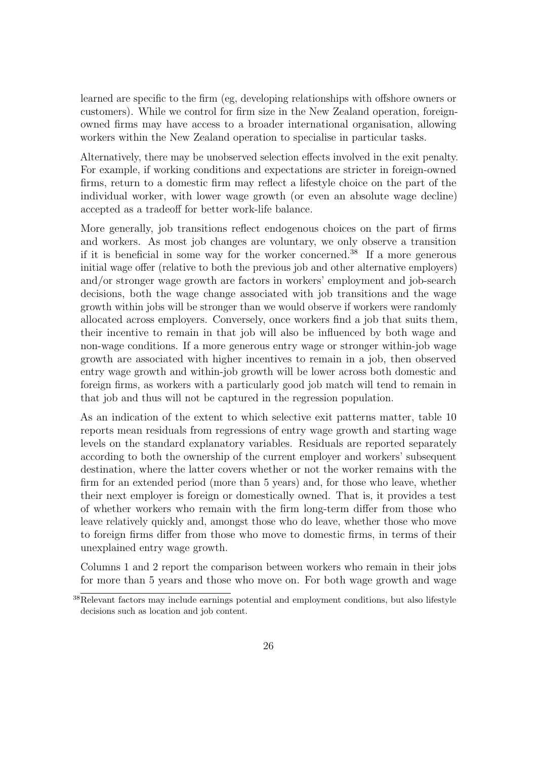learned are specific to the firm (eg, developing relationships with offshore owners or customers). While we control for firm size in the New Zealand operation, foreignowned firms may have access to a broader international organisation, allowing workers within the New Zealand operation to specialise in particular tasks.

Alternatively, there may be unobserved selection effects involved in the exit penalty. For example, if working conditions and expectations are stricter in foreign-owned firms, return to a domestic firm may reflect a lifestyle choice on the part of the individual worker, with lower wage growth (or even an absolute wage decline) accepted as a tradeoff for better work-life balance.

More generally, job transitions reflect endogenous choices on the part of firms and workers. As most job changes are voluntary, we only observe a transition if it is beneficial in some way for the worker concerned.<sup>[38](#page--1-0)</sup> If a more generous initial wage offer (relative to both the previous job and other alternative employers) and/or stronger wage growth are factors in workers' employment and job-search decisions, both the wage change associated with job transitions and the wage growth within jobs will be stronger than we would observe if workers were randomly allocated across employers. Conversely, once workers find a job that suits them, their incentive to remain in that job will also be influenced by both wage and non-wage conditions. If a more generous entry wage or stronger within-job wage growth are associated with higher incentives to remain in a job, then observed entry wage growth and within-job growth will be lower across both domestic and foreign firms, as workers with a particularly good job match will tend to remain in that job and thus will not be captured in the regression population.

As an indication of the extent to which selective exit patterns matter, table [10](#page-46-0) reports mean residuals from regressions of entry wage growth and starting wage levels on the standard explanatory variables. Residuals are reported separately according to both the ownership of the current employer and workers' subsequent destination, where the latter covers whether or not the worker remains with the firm for an extended period (more than 5 years) and, for those who leave, whether their next employer is foreign or domestically owned. That is, it provides a test of whether workers who remain with the firm long-term differ from those who leave relatively quickly and, amongst those who do leave, whether those who move to foreign firms differ from those who move to domestic firms, in terms of their unexplained entry wage growth.

Columns 1 and 2 report the comparison between workers who remain in their jobs for more than 5 years and those who move on. For both wage growth and wage

<sup>&</sup>lt;sup>38</sup>Relevant factors may include earnings potential and employment conditions, but also lifestyle decisions such as location and job content.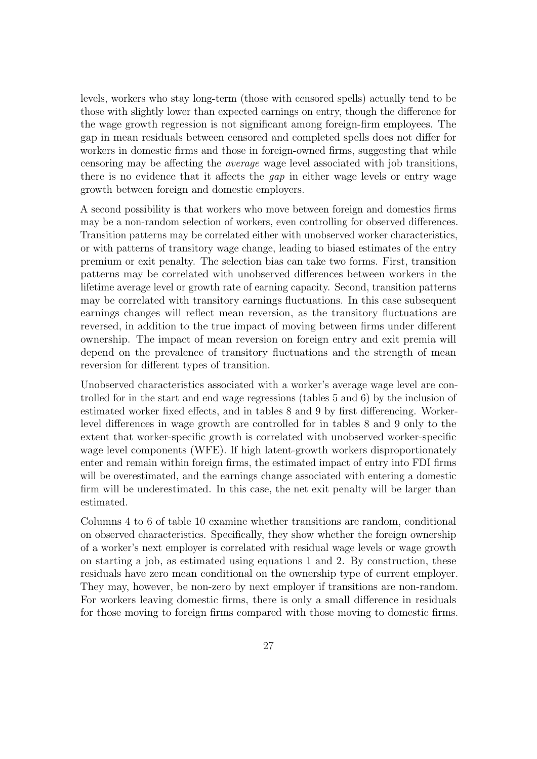levels, workers who stay long-term (those with censored spells) actually tend to be those with slightly lower than expected earnings on entry, though the difference for the wage growth regression is not significant among foreign-firm employees. The gap in mean residuals between censored and completed spells does not differ for workers in domestic firms and those in foreign-owned firms, suggesting that while censoring may be affecting the average wage level associated with job transitions, there is no evidence that it affects the gap in either wage levels or entry wage growth between foreign and domestic employers.

A second possibility is that workers who move between foreign and domestics firms may be a non-random selection of workers, even controlling for observed differences. Transition patterns may be correlated either with unobserved worker characteristics, or with patterns of transitory wage change, leading to biased estimates of the entry premium or exit penalty. The selection bias can take two forms. First, transition patterns may be correlated with unobserved differences between workers in the lifetime average level or growth rate of earning capacity. Second, transition patterns may be correlated with transitory earnings fluctuations. In this case subsequent earnings changes will reflect mean reversion, as the transitory fluctuations are reversed, in addition to the true impact of moving between firms under different ownership. The impact of mean reversion on foreign entry and exit premia will depend on the prevalence of transitory fluctuations and the strength of mean reversion for different types of transition.

Unobserved characteristics associated with a worker's average wage level are controlled for in the start and end wage regressions (tables [5](#page-42-0) and [6\)](#page-43-0) by the inclusion of estimated worker fixed effects, and in tables [8](#page-44-0) and [9](#page-45-0) by first differencing. Workerlevel differences in wage growth are controlled for in tables [8](#page-44-0) and [9](#page-45-0) only to the extent that worker-specific growth is correlated with unobserved worker-specific wage level components (WFE). If high latent-growth workers disproportionately enter and remain within foreign firms, the estimated impact of entry into FDI firms will be overestimated, and the earnings change associated with entering a domestic firm will be underestimated. In this case, the net exit penalty will be larger than estimated.

Columns 4 to 6 of table [10](#page-46-0) examine whether transitions are random, conditional on observed characteristics. Specifically, they show whether the foreign ownership of a worker's next employer is correlated with residual wage levels or wage growth on starting a job, as estimated using equations [1](#page-22-1) and [2.](#page-25-0) By construction, these residuals have zero mean conditional on the ownership type of current employer. They may, however, be non-zero by next employer if transitions are non-random. For workers leaving domestic firms, there is only a small difference in residuals for those moving to foreign firms compared with those moving to domestic firms.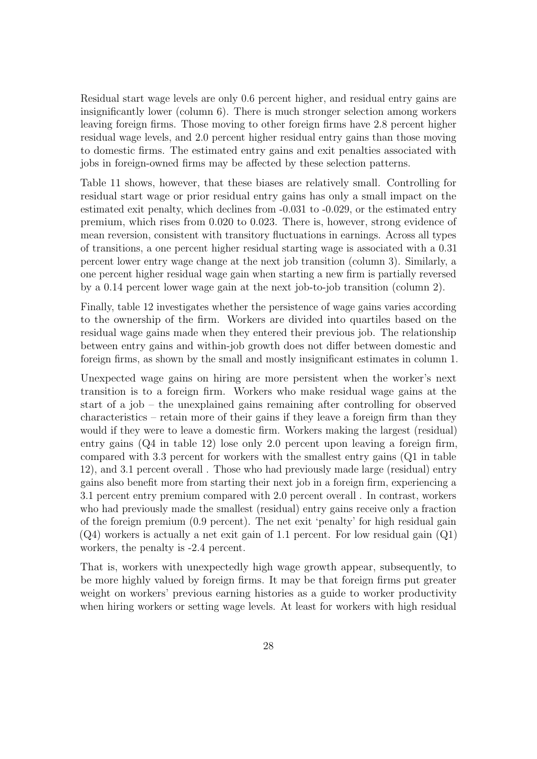Residual start wage levels are only 0.6 percent higher, and residual entry gains are insignificantly lower (column 6). There is much stronger selection among workers leaving foreign firms. Those moving to other foreign firms have 2.8 percent higher residual wage levels, and 2.0 percent higher residual entry gains than those moving to domestic firms. The estimated entry gains and exit penalties associated with jobs in foreign-owned firms may be affected by these selection patterns.

Table [11](#page-47-0) shows, however, that these biases are relatively small. Controlling for residual start wage or prior residual entry gains has only a small impact on the estimated exit penalty, which declines from -0.031 to -0.029, or the estimated entry premium, which rises from 0.020 to 0.023. There is, however, strong evidence of mean reversion, consistent with transitory fluctuations in earnings. Across all types of transitions, a one percent higher residual starting wage is associated with a 0.31 percent lower entry wage change at the next job transition (column 3). Similarly, a one percent higher residual wage gain when starting a new firm is partially reversed by a 0.14 percent lower wage gain at the next job-to-job transition (column 2).

Finally, table [12](#page-48-0) investigates whether the persistence of wage gains varies according to the ownership of the firm. Workers are divided into quartiles based on the residual wage gains made when they entered their previous job. The relationship between entry gains and within-job growth does not differ between domestic and foreign firms, as shown by the small and mostly insignificant estimates in column 1.

Unexpected wage gains on hiring are more persistent when the worker's next transition is to a foreign firm. Workers who make residual wage gains at the start of a job – the unexplained gains remaining after controlling for observed characteristics – retain more of their gains if they leave a foreign firm than they would if they were to leave a domestic firm. Workers making the largest (residual) entry gains  $(Q_4$  in table [12\)](#page-48-0) lose only 2.0 percent upon leaving a foreign firm, compared with 3.3 percent for workers with the smallest entry gains (Q1 in table [12\)](#page-48-0), and 3.1 percent overall . Those who had previously made large (residual) entry gains also benefit more from starting their next job in a foreign firm, experiencing a 3.1 percent entry premium compared with 2.0 percent overall . In contrast, workers who had previously made the smallest (residual) entry gains receive only a fraction of the foreign premium (0.9 percent). The net exit 'penalty' for high residual gain (Q4) workers is actually a net exit gain of 1.1 percent. For low residual gain (Q1) workers, the penalty is -2.4 percent.

That is, workers with unexpectedly high wage growth appear, subsequently, to be more highly valued by foreign firms. It may be that foreign firms put greater weight on workers' previous earning histories as a guide to worker productivity when hiring workers or setting wage levels. At least for workers with high residual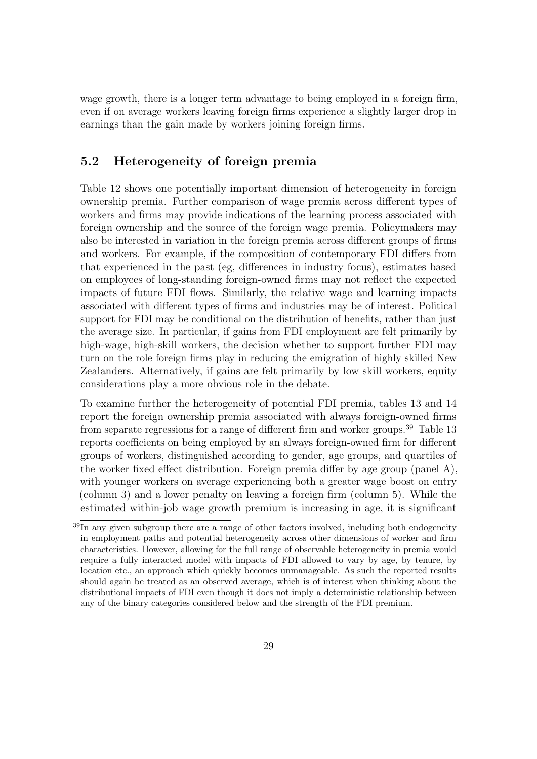wage growth, there is a longer term advantage to being employed in a foreign firm, even if on average workers leaving foreign firms experience a slightly larger drop in earnings than the gain made by workers joining foreign firms.

#### <span id="page-32-0"></span>5.2 Heterogeneity of foreign premia

Table [12](#page-48-0) shows one potentially important dimension of heterogeneity in foreign ownership premia. Further comparison of wage premia across different types of workers and firms may provide indications of the learning process associated with foreign ownership and the source of the foreign wage premia. Policymakers may also be interested in variation in the foreign premia across different groups of firms and workers. For example, if the composition of contemporary FDI differs from that experienced in the past (eg, differences in industry focus), estimates based on employees of long-standing foreign-owned firms may not reflect the expected impacts of future FDI flows. Similarly, the relative wage and learning impacts associated with different types of firms and industries may be of interest. Political support for FDI may be conditional on the distribution of benefits, rather than just the average size. In particular, if gains from FDI employment are felt primarily by high-wage, high-skill workers, the decision whether to support further FDI may turn on the role foreign firms play in reducing the emigration of highly skilled New Zealanders. Alternatively, if gains are felt primarily by low skill workers, equity considerations play a more obvious role in the debate.

To examine further the heterogeneity of potential FDI premia, tables [13](#page-49-0) and [14](#page-50-0) report the foreign ownership premia associated with always foreign-owned firms from separate regressions for a range of different firm and worker groups.<sup>[39](#page--1-0)</sup> Table [13](#page-49-0) reports coefficients on being employed by an always foreign-owned firm for different groups of workers, distinguished according to gender, age groups, and quartiles of the worker fixed effect distribution. Foreign premia differ by age group (panel A), with younger workers on average experiencing both a greater wage boost on entry (column 3) and a lower penalty on leaving a foreign firm (column 5). While the estimated within-job wage growth premium is increasing in age, it is significant

 $39\,\text{In}$  any given subgroup there are a range of other factors involved, including both endogeneity in employment paths and potential heterogeneity across other dimensions of worker and firm characteristics. However, allowing for the full range of observable heterogeneity in premia would require a fully interacted model with impacts of FDI allowed to vary by age, by tenure, by location etc., an approach which quickly becomes unmanageable. As such the reported results should again be treated as an observed average, which is of interest when thinking about the distributional impacts of FDI even though it does not imply a deterministic relationship between any of the binary categories considered below and the strength of the FDI premium.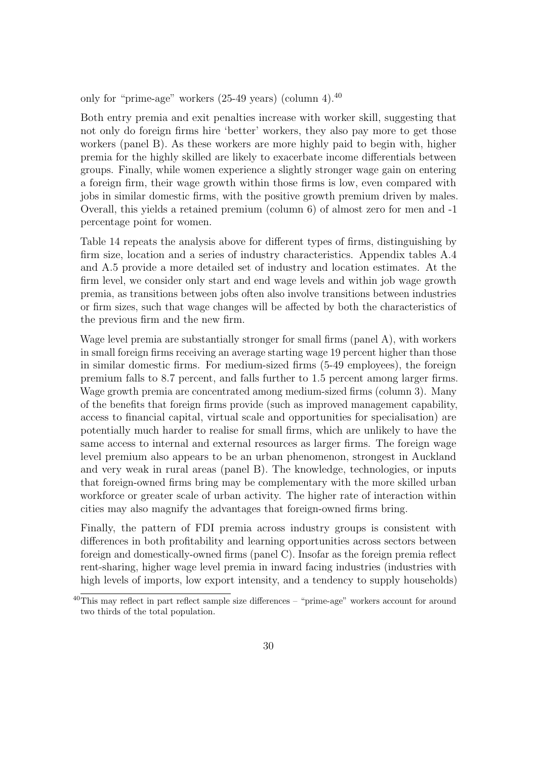only for "prime-age" workers  $(25-49 \text{ years})$  (column 4).<sup>[40](#page--1-0)</sup>

Both entry premia and exit penalties increase with worker skill, suggesting that not only do foreign firms hire 'better' workers, they also pay more to get those workers (panel B). As these workers are more highly paid to begin with, higher premia for the highly skilled are likely to exacerbate income differentials between groups. Finally, while women experience a slightly stronger wage gain on entering a foreign firm, their wage growth within those firms is low, even compared with jobs in similar domestic firms, with the positive growth premium driven by males. Overall, this yields a retained premium (column 6) of almost zero for men and -1 percentage point for women.

Table [14](#page-50-0) repeats the analysis above for different types of firms, distinguishing by firm size, location and a series of industry characteristics. Appendix tables [A.4](#page-61-0) and [A.5](#page-62-0) provide a more detailed set of industry and location estimates. At the firm level, we consider only start and end wage levels and within job wage growth premia, as transitions between jobs often also involve transitions between industries or firm sizes, such that wage changes will be affected by both the characteristics of the previous firm and the new firm.

Wage level premia are substantially stronger for small firms (panel A), with workers in small foreign firms receiving an average starting wage 19 percent higher than those in similar domestic firms. For medium-sized firms (5-49 employees), the foreign premium falls to 8.7 percent, and falls further to 1.5 percent among larger firms. Wage growth premia are concentrated among medium-sized firms (column 3). Many of the benefits that foreign firms provide (such as improved management capability, access to financial capital, virtual scale and opportunities for specialisation) are potentially much harder to realise for small firms, which are unlikely to have the same access to internal and external resources as larger firms. The foreign wage level premium also appears to be an urban phenomenon, strongest in Auckland and very weak in rural areas (panel B). The knowledge, technologies, or inputs that foreign-owned firms bring may be complementary with the more skilled urban workforce or greater scale of urban activity. The higher rate of interaction within cities may also magnify the advantages that foreign-owned firms bring.

Finally, the pattern of FDI premia across industry groups is consistent with differences in both profitability and learning opportunities across sectors between foreign and domestically-owned firms (panel C). Insofar as the foreign premia reflect rent-sharing, higher wage level premia in inward facing industries (industries with high levels of imports, low export intensity, and a tendency to supply households)

 $40$ This may reflect in part reflect sample size differences – "prime-age" workers account for around two thirds of the total population.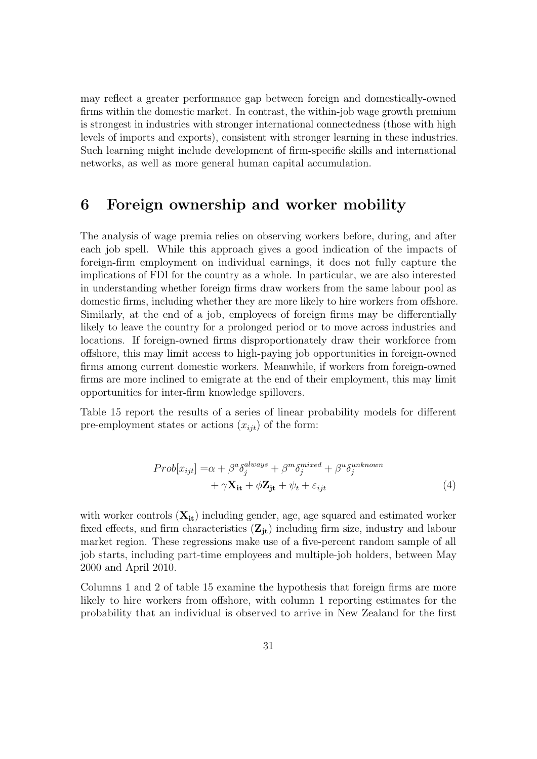may reflect a greater performance gap between foreign and domestically-owned firms within the domestic market. In contrast, the within-job wage growth premium is strongest in industries with stronger international connectedness (those with high levels of imports and exports), consistent with stronger learning in these industries. Such learning might include development of firm-specific skills and international networks, as well as more general human capital accumulation.

#### <span id="page-34-0"></span>6 Foreign ownership and worker mobility

The analysis of wage premia relies on observing workers before, during, and after each job spell. While this approach gives a good indication of the impacts of foreign-firm employment on individual earnings, it does not fully capture the implications of FDI for the country as a whole. In particular, we are also interested in understanding whether foreign firms draw workers from the same labour pool as domestic firms, including whether they are more likely to hire workers from offshore. Similarly, at the end of a job, employees of foreign firms may be differentially likely to leave the country for a prolonged period or to move across industries and locations. If foreign-owned firms disproportionately draw their workforce from offshore, this may limit access to high-paying job opportunities in foreign-owned firms among current domestic workers. Meanwhile, if workers from foreign-owned firms are more inclined to emigrate at the end of their employment, this may limit opportunities for inter-firm knowledge spillovers.

Table [15](#page-51-0) report the results of a series of linear probability models for different pre-employment states or actions  $(x_{iit})$  of the form:

$$
Prob[x_{ijt}] = \alpha + \beta^a \delta_j^{always} + \beta^m \delta_j^{mixed} + \beta^u \delta_j^{unknown} + \gamma \mathbf{X_{it}} + \phi \mathbf{Z_{jt}} + \psi_t + \varepsilon_{ijt}
$$
\n(4)

with worker controls  $(X_{it})$  including gender, age, age squared and estimated worker fixed effects, and firm characteristics  $(\mathbf{Z}_{\text{jt}})$  including firm size, industry and labour market region. These regressions make use of a five-percent random sample of all job starts, including part-time employees and multiple-job holders, between May 2000 and April 2010.

Columns 1 and 2 of table [15](#page-51-0) examine the hypothesis that foreign firms are more likely to hire workers from offshore, with column 1 reporting estimates for the probability that an individual is observed to arrive in New Zealand for the first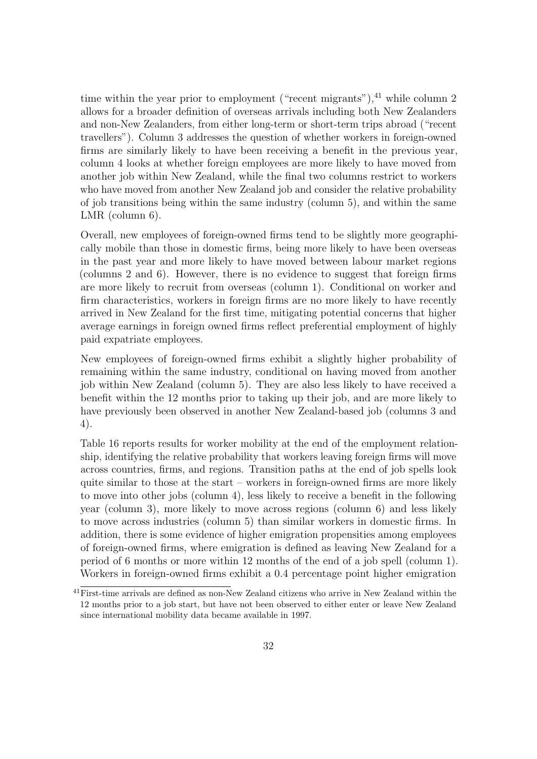time within the year prior to employment ("recent migrants"), $^{41}$  $^{41}$  $^{41}$  while column 2 allows for a broader definition of overseas arrivals including both New Zealanders and non-New Zealanders, from either long-term or short-term trips abroad ("recent travellers"). Column 3 addresses the question of whether workers in foreign-owned firms are similarly likely to have been receiving a benefit in the previous year, column 4 looks at whether foreign employees are more likely to have moved from another job within New Zealand, while the final two columns restrict to workers who have moved from another New Zealand job and consider the relative probability of job transitions being within the same industry (column 5), and within the same LMR (column 6).

Overall, new employees of foreign-owned firms tend to be slightly more geographically mobile than those in domestic firms, being more likely to have been overseas in the past year and more likely to have moved between labour market regions (columns 2 and 6). However, there is no evidence to suggest that foreign firms are more likely to recruit from overseas (column 1). Conditional on worker and firm characteristics, workers in foreign firms are no more likely to have recently arrived in New Zealand for the first time, mitigating potential concerns that higher average earnings in foreign owned firms reflect preferential employment of highly paid expatriate employees.

New employees of foreign-owned firms exhibit a slightly higher probability of remaining within the same industry, conditional on having moved from another job within New Zealand (column 5). They are also less likely to have received a benefit within the 12 months prior to taking up their job, and are more likely to have previously been observed in another New Zealand-based job (columns 3 and 4).

Table [16](#page-52-0) reports results for worker mobility at the end of the employment relationship, identifying the relative probability that workers leaving foreign firms will move across countries, firms, and regions. Transition paths at the end of job spells look quite similar to those at the start – workers in foreign-owned firms are more likely to move into other jobs (column 4), less likely to receive a benefit in the following year (column 3), more likely to move across regions (column 6) and less likely to move across industries (column 5) than similar workers in domestic firms. In addition, there is some evidence of higher emigration propensities among employees of foreign-owned firms, where emigration is defined as leaving New Zealand for a period of 6 months or more within 12 months of the end of a job spell (column 1). Workers in foreign-owned firms exhibit a 0.4 percentage point higher emigration

<sup>41</sup>First-time arrivals are defined as non-New Zealand citizens who arrive in New Zealand within the 12 months prior to a job start, but have not been observed to either enter or leave New Zealand since international mobility data became available in 1997.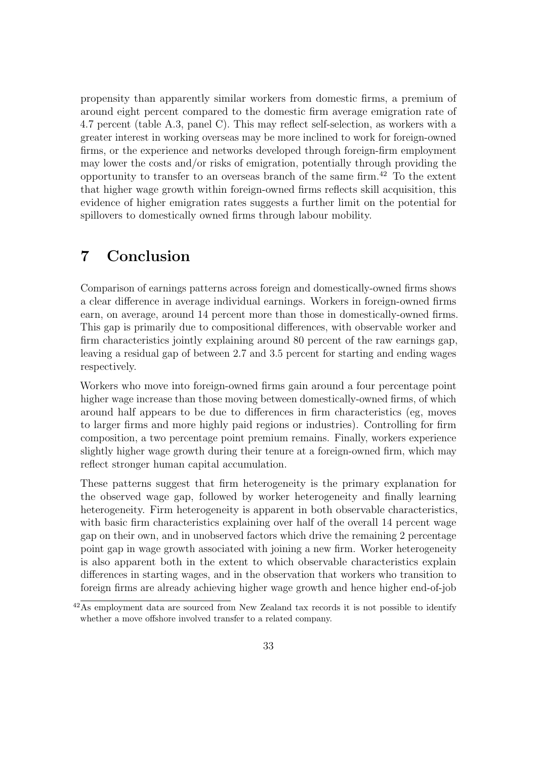propensity than apparently similar workers from domestic firms, a premium of around eight percent compared to the domestic firm average emigration rate of 4.7 percent (table [A.3,](#page-59-0) panel C). This may reflect self-selection, as workers with a greater interest in working overseas may be more inclined to work for foreign-owned firms, or the experience and networks developed through foreign-firm employment may lower the costs and/or risks of emigration, potentially through providing the opportunity to transfer to an overseas branch of the same firm.<sup>[42](#page--1-0)</sup> To the extent that higher wage growth within foreign-owned firms reflects skill acquisition, this evidence of higher emigration rates suggests a further limit on the potential for spillovers to domestically owned firms through labour mobility.

### <span id="page-36-0"></span>7 Conclusion

Comparison of earnings patterns across foreign and domestically-owned firms shows a clear difference in average individual earnings. Workers in foreign-owned firms earn, on average, around 14 percent more than those in domestically-owned firms. This gap is primarily due to compositional differences, with observable worker and firm characteristics jointly explaining around 80 percent of the raw earnings gap, leaving a residual gap of between 2.7 and 3.5 percent for starting and ending wages respectively.

Workers who move into foreign-owned firms gain around a four percentage point higher wage increase than those moving between domestically-owned firms, of which around half appears to be due to differences in firm characteristics (eg, moves to larger firms and more highly paid regions or industries). Controlling for firm composition, a two percentage point premium remains. Finally, workers experience slightly higher wage growth during their tenure at a foreign-owned firm, which may reflect stronger human capital accumulation.

These patterns suggest that firm heterogeneity is the primary explanation for the observed wage gap, followed by worker heterogeneity and finally learning heterogeneity. Firm heterogeneity is apparent in both observable characteristics, with basic firm characteristics explaining over half of the overall 14 percent wage gap on their own, and in unobserved factors which drive the remaining 2 percentage point gap in wage growth associated with joining a new firm. Worker heterogeneity is also apparent both in the extent to which observable characteristics explain differences in starting wages, and in the observation that workers who transition to foreign firms are already achieving higher wage growth and hence higher end-of-job

 $42\text{As employment data are sourceed from New Zealand tax records it is not possible to identify}$ whether a move offshore involved transfer to a related company.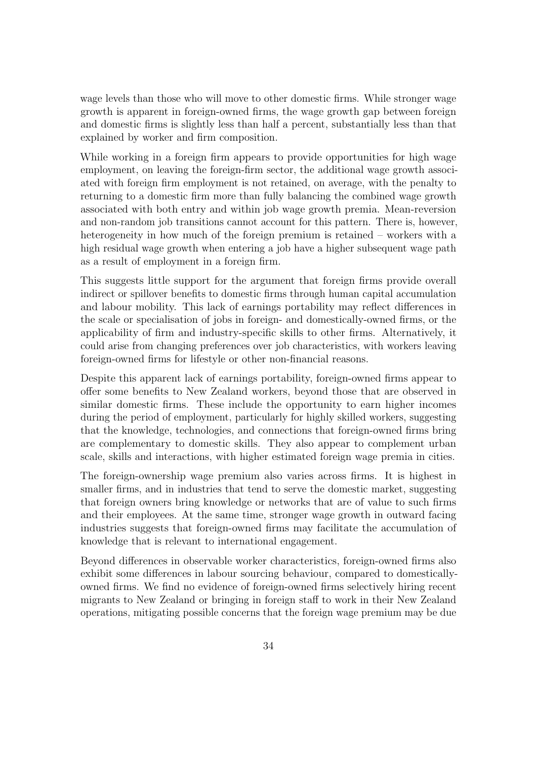wage levels than those who will move to other domestic firms. While stronger wage growth is apparent in foreign-owned firms, the wage growth gap between foreign and domestic firms is slightly less than half a percent, substantially less than that explained by worker and firm composition.

While working in a foreign firm appears to provide opportunities for high wage employment, on leaving the foreign-firm sector, the additional wage growth associated with foreign firm employment is not retained, on average, with the penalty to returning to a domestic firm more than fully balancing the combined wage growth associated with both entry and within job wage growth premia. Mean-reversion and non-random job transitions cannot account for this pattern. There is, however, heterogeneity in how much of the foreign premium is retained – workers with a high residual wage growth when entering a job have a higher subsequent wage path as a result of employment in a foreign firm.

This suggests little support for the argument that foreign firms provide overall indirect or spillover benefits to domestic firms through human capital accumulation and labour mobility. This lack of earnings portability may reflect differences in the scale or specialisation of jobs in foreign- and domestically-owned firms, or the applicability of firm and industry-specific skills to other firms. Alternatively, it could arise from changing preferences over job characteristics, with workers leaving foreign-owned firms for lifestyle or other non-financial reasons.

Despite this apparent lack of earnings portability, foreign-owned firms appear to offer some benefits to New Zealand workers, beyond those that are observed in similar domestic firms. These include the opportunity to earn higher incomes during the period of employment, particularly for highly skilled workers, suggesting that the knowledge, technologies, and connections that foreign-owned firms bring are complementary to domestic skills. They also appear to complement urban scale, skills and interactions, with higher estimated foreign wage premia in cities.

The foreign-ownership wage premium also varies across firms. It is highest in smaller firms, and in industries that tend to serve the domestic market, suggesting that foreign owners bring knowledge or networks that are of value to such firms and their employees. At the same time, stronger wage growth in outward facing industries suggests that foreign-owned firms may facilitate the accumulation of knowledge that is relevant to international engagement.

Beyond differences in observable worker characteristics, foreign-owned firms also exhibit some differences in labour sourcing behaviour, compared to domesticallyowned firms. We find no evidence of foreign-owned firms selectively hiring recent migrants to New Zealand or bringing in foreign staff to work in their New Zealand operations, mitigating possible concerns that the foreign wage premium may be due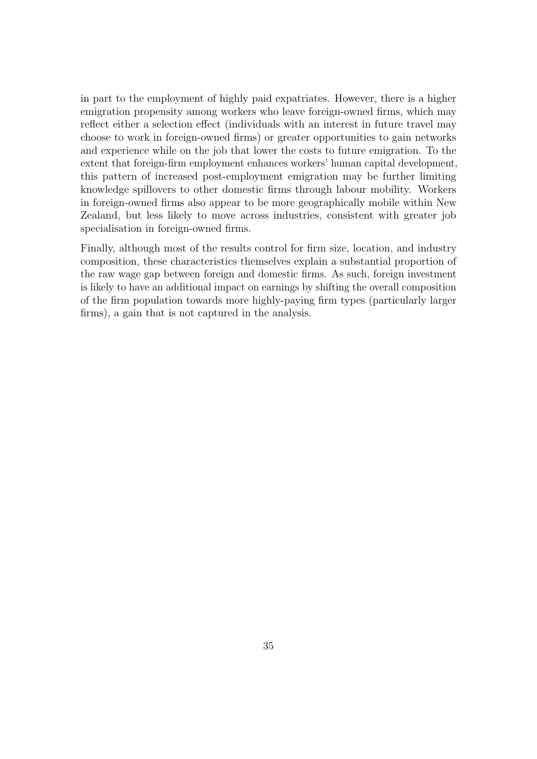in part to the employment of highly paid expatriates. However, there is a higher emigration propensity among workers who leave foreign-owned firms, which may reflect either a selection effect (individuals with an interest in future travel may choose to work in foreign-owned firms) or greater opportunities to gain networks and experience while on the job that lower the costs to future emigration. To the extent that foreign-firm employment enhances workers' human capital development, this pattern of increased post-employment emigration may be further limiting knowledge spillovers to other domestic firms through labour mobility. Workers in foreign-owned firms also appear to be more geographically mobile within New Zealand, but less likely to move across industries, consistent with greater job specialisation in foreign-owned firms.

Finally, although most of the results control for firm size, location, and industry composition, these characteristics themselves explain a substantial proportion of the raw wage gap between foreign and domestic firms. As such, foreign investment is likely to have an additional impact on earnings by shifting the overall composition of the firm population towards more highly-paying firm types (particularly larger firms), a gain that is not captured in the analysis.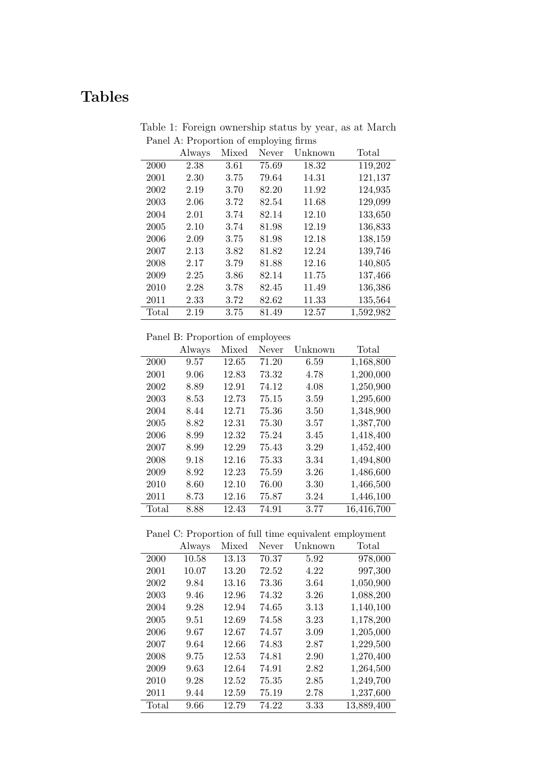## <span id="page-39-0"></span>Tables

|  | Table 1: Foreign ownership status by year, as at March |  |  |
|--|--------------------------------------------------------|--|--|
|  | Panel A: Proportion of employing firms                 |  |  |

|       | Always | Mixed | Never | Unknown | Total     |
|-------|--------|-------|-------|---------|-----------|
| 2000  | 2.38   | 3.61  | 75.69 | 18.32   | 119,202   |
| 2001  | 2.30   | 3.75  | 79.64 | 14.31   | 121,137   |
| 2002  | 2.19   | 3.70  | 82.20 | 11.92   | 124,935   |
| 2003  | 2.06   | 3.72  | 82.54 | 11.68   | 129,099   |
| 2004  | 2.01   | 3.74  | 82.14 | 12.10   | 133,650   |
| 2005  | 2.10   | 3.74  | 81.98 | 12.19   | 136,833   |
| 2006  | 2.09   | 3.75  | 81.98 | 12.18   | 138,159   |
| 2007  | 2.13   | 3.82  | 81.82 | 12.24   | 139,746   |
| 2008  | 2.17   | 3.79  | 81.88 | 12.16   | 140,805   |
| 2009  | 2.25   | 3.86  | 82.14 | 11.75   | 137,466   |
| 2010  | 2.28   | 3.78  | 82.45 | 11.49   | 136,386   |
| 2011  | 2.33   | 3.72  | 82.62 | 11.33   | 135,564   |
| Total | 2.19   | 3.75  | 81.49 | 12.57   | 1,592,982 |

Panel B: Proportion of employees

|       | Always | Mixed | Never | Unknown | Total      |
|-------|--------|-------|-------|---------|------------|
| 2000  | 9.57   | 12.65 | 71.20 | 6.59    | 1,168,800  |
| 2001  | 9.06   | 12.83 | 73.32 | 4.78    | 1,200,000  |
| 2002  | 8.89   | 12.91 | 74.12 | 4.08    | 1,250,900  |
| 2003  | 8.53   | 12.73 | 75.15 | 3.59    | 1,295,600  |
| 2004  | 8.44   | 12.71 | 75.36 | 3.50    | 1,348,900  |
| 2005  | 8.82   | 12.31 | 75.30 | 3.57    | 1,387,700  |
| 2006  | 8.99   | 12.32 | 75.24 | 3.45    | 1,418,400  |
| 2007  | 8.99   | 12.29 | 75.43 | 3.29    | 1,452,400  |
| 2008  | 9.18   | 12.16 | 75.33 | 3.34    | 1,494,800  |
| 2009  | 8.92   | 12.23 | 75.59 | 3.26    | 1,486,600  |
| 2010  | 8.60   | 12.10 | 76.00 | 3.30    | 1,466,500  |
| 2011  | 8.73   | 12.16 | 75.87 | 3.24    | 1,446,100  |
| Total | 8.88   | 12.43 | 74.91 | 3.77    | 16,416,700 |

Panel C: Proportion of full time equivalent employment

|       | Always | Mixed | Never | Unknown | Total      |
|-------|--------|-------|-------|---------|------------|
| 2000  | 10.58  | 13.13 | 70.37 | 5.92    | 978,000    |
| 2001  | 10.07  | 13.20 | 72.52 | 4.22    | 997,300    |
| 2002  | 9.84   | 13.16 | 73.36 | 3.64    | 1,050,900  |
| 2003  | 9.46   | 12.96 | 74.32 | 3.26    | 1,088,200  |
| 2004  | 9.28   | 12.94 | 74.65 | 3.13    | 1,140,100  |
| 2005  | 9.51   | 12.69 | 74.58 | 3.23    | 1,178,200  |
| 2006  | 9.67   | 12.67 | 74.57 | 3.09    | 1,205,000  |
| 2007  | 9.64   | 12.66 | 74.83 | 2.87    | 1,229,500  |
| 2008  | 9.75   | 12.53 | 74.81 | 2.90    | 1,270,400  |
| 2009  | 9.63   | 12.64 | 74.91 | 2.82    | 1,264,500  |
| 2010  | 9.28   | 12.52 | 75.35 | 2.85    | 1,249,700  |
| 2011  | 9.44   | 12.59 | 75.19 | 2.78    | 1,237,600  |
| Total | 9.66   | 12.79 | 74.22 | 3.33    | 13,889,400 |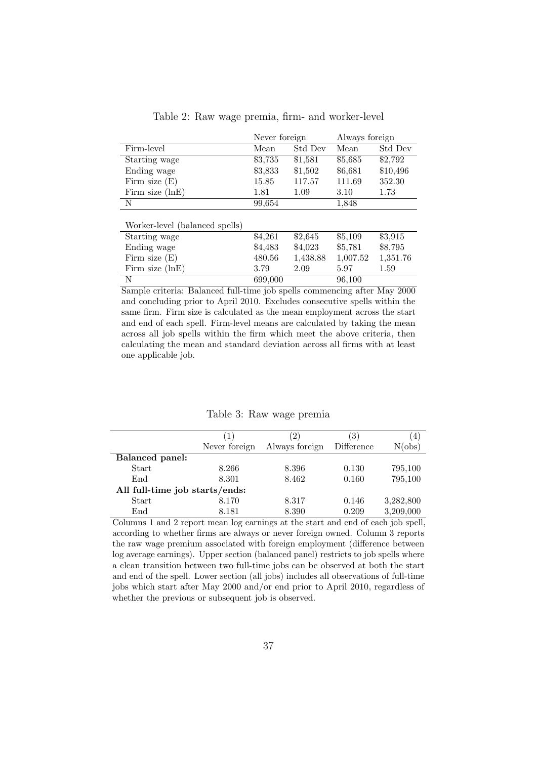<span id="page-40-0"></span>

|                                |         | Never foreign |          | Always foreign |
|--------------------------------|---------|---------------|----------|----------------|
| Firm-level                     | Mean    | Std Dev       | Mean     | Std Dev        |
| Starting wage                  | \$3,735 | \$1,581       | \$5,685  | \$2,792        |
| Ending wage                    | \$3,833 | \$1,502       | \$6,681  | \$10,496       |
| Firm size $(E)$                | 15.85   | 117.57        | 111.69   | 352.30         |
| Firm size $(lnE)$              | 1.81    | 1.09          | 3.10     | 1.73           |
| N                              | 99,654  |               | 1,848    |                |
|                                |         |               |          |                |
| Worker-level (balanced spells) |         |               |          |                |
| Starting wage                  | \$4,261 | \$2,645       | \$5,109  | \$3,915        |
| Ending wage                    | \$4,483 | \$4,023       | \$5,781  | \$8,795        |
| Firm size $(E)$                | 480.56  | 1,438.88      | 1,007.52 | 1,351.76       |
| Firm size $(lnE)$              | 3.79    | 2.09          | 5.97     | 1.59           |
| N                              | 699,000 |               | 96,100   |                |

Sample criteria: Balanced full-time job spells commencing after May 2000 and concluding prior to April 2010. Excludes consecutive spells within the same firm. Firm size is calculated as the mean employment across the start and end of each spell. Firm-level means are calculated by taking the mean across all job spells within the firm which meet the above criteria, then calculating the mean and standard deviation across all firms with at least one applicable job.

#### Table 3: Raw wage premia

<span id="page-40-1"></span>

|                                | ( 1 )         | $2^{\circ}$    | 3)         | $\overline{4}$ |  |  |  |
|--------------------------------|---------------|----------------|------------|----------------|--|--|--|
|                                | Never foreign | Always foreign | Difference | N(obs)         |  |  |  |
| <b>Balanced</b> panel:         |               |                |            |                |  |  |  |
| Start                          | 8.266         | 8.396          | 0.130      | 795,100        |  |  |  |
| End                            | 8.301         | 8.462          | 0.160      | 795,100        |  |  |  |
| All full-time job starts/ends: |               |                |            |                |  |  |  |
| Start                          | 8.170         | 8.317          | 0.146      | 3,282,800      |  |  |  |
| $\operatorname{End}$           | 8.181         | 8.390          | 0.209      | 3,209,000      |  |  |  |

Columns 1 and 2 report mean log earnings at the start and end of each job spell, according to whether firms are always or never foreign owned. Column 3 reports the raw wage premium associated with foreign employment (difference between log average earnings). Upper section (balanced panel) restricts to job spells where a clean transition between two full-time jobs can be observed at both the start and end of the spell. Lower section (all jobs) includes all observations of full-time jobs which start after May 2000 and/or end prior to April 2010, regardless of whether the previous or subsequent job is observed.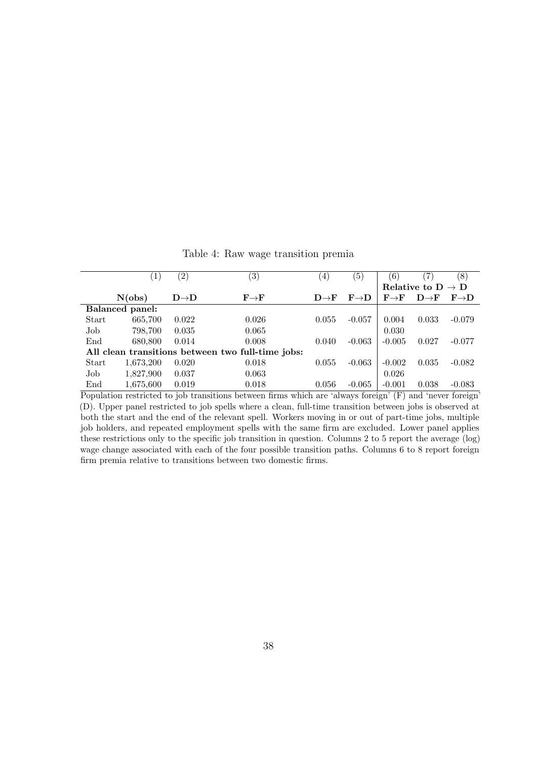<span id="page-41-0"></span>

|       | $\perp$         | $\left( 2\right)$ | (3)                                               | $\left(4\right)$ | $\left( 5\right)$ | $6^{\circ}$                         |                                   | (8)              |
|-------|-----------------|-------------------|---------------------------------------------------|------------------|-------------------|-------------------------------------|-----------------------------------|------------------|
|       |                 |                   |                                                   |                  |                   |                                     | Relative to $D \rightarrow D$     |                  |
|       | N(obs)          | $D\rightarrow D$  | $\mathbf{F}{\rightarrow}\mathbf{F}$               | $D\rightarrow F$ | $F\rightarrow D$  | $\mathbf{F}{\rightarrow}\mathbf{F}$ | $\mathbf{D}\rightarrow\mathbf{F}$ | $F\rightarrow D$ |
|       | Balanced panel: |                   |                                                   |                  |                   |                                     |                                   |                  |
| Start | 665,700         | 0.022             | 0.026                                             | 0.055            | $-0.057$          | 0.004                               | 0.033                             | $-0.079$         |
| Job   | 798,700         | 0.035             | 0.065                                             |                  |                   | 0.030                               |                                   |                  |
| End   | 680,800         | 0.014             | 0.008                                             | 0.040            | $-0.063$          | $-0.005$                            | 0.027                             | $-0.077$         |
|       |                 |                   | All clean transitions between two full-time jobs: |                  |                   |                                     |                                   |                  |
| Start | 1,673,200       | 0.020             | 0.018                                             | 0.055            | $-0.063$          | $-0.002$                            | 0.035                             | $-0.082$         |
| Job   | 1,827,900       | 0.037             | 0.063                                             |                  |                   | 0.026                               |                                   |                  |
| End   | 1,675,600       | 0.019             | 0.018                                             | 0.056            | $-0.065$          | $-0.001$                            | 0.038                             | $-0.083$         |

Table 4: Raw wage transition premia

Population restricted to job transitions between firms which are 'always foreign' (F) and 'never foreign' (D). Upper panel restricted to job spells where a clean, full-time transition between jobs is observed at both the start and the end of the relevant spell. Workers moving in or out of part-time jobs, multiple job holders, and repeated employment spells with the same firm are excluded. Lower panel applies these restrictions only to the specific job transition in question. Columns 2 to 5 report the average (log) wage change associated with each of the four possible transition paths. Columns 6 to 8 report foreign firm premia relative to transitions between two domestic firms.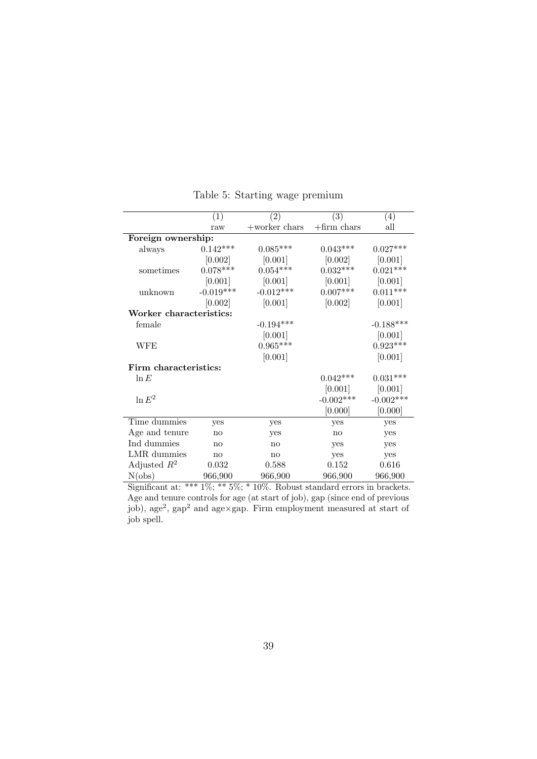<span id="page-42-0"></span>

|                         | (1)                           | $\left( 2\right)$ | (3)            | (4)         |
|-------------------------|-------------------------------|-------------------|----------------|-------------|
|                         | raw                           | $+$ worker chars  | $+$ firm chars | all         |
| Foreign ownership:      |                               |                   |                |             |
| always                  | $0.142***$                    | $0.085***$        | $0.043***$     | $0.027***$  |
|                         | [0.002]                       | [0.001]           | [0.002]        | [0.001]     |
| sometimes               | $0.078***$                    | $0.054^{***}\,$   | $0.032***$     | $0.021***$  |
|                         | [0.001]                       | [0.001]           | [0.001]        | [0.001]     |
| unknown                 | $-0.019***$                   | $-0.012***$       | $0.007***$     | $0.011***$  |
|                         | [0.002]                       | [0.001]           | [0.002]        | [0.001]     |
| Worker characteristics: |                               |                   |                |             |
| female                  |                               | $-0.194***$       |                | $-0.188***$ |
|                         |                               | [0.001]           |                | [0.001]     |
| <b>WFE</b>              |                               | $0.965***$        |                | $0.923***$  |
|                         |                               | [0.001]           |                | [0.001]     |
| Firm characteristics:   |                               |                   |                |             |
| $\ln E$                 |                               |                   | $0.042***$     | $0.031***$  |
|                         |                               |                   | [0.001]        | [0.001]     |
| $\ln E^2$               |                               |                   | $-0.002***$    | $-0.002***$ |
|                         |                               |                   | [0.000]        | [0.000]     |
| Time dummies            | yes                           | yes               | yes            | yes         |
| Age and tenure          | no                            | yes               | no             | yes         |
| Ind dummies             | no                            | no                | yes            | yes         |
| LMR dummies             | no                            | no                | yes            | yes         |
| Adjusted $R^2$          | 0.032                         | 0.588             | 0.152          | 0.616       |
| N(obs)                  | 966,900<br>$*** 107$ ** $F07$ | 966,900           | 966,900        | 966,900     |

Table 5: Starting wage premium

Significant at: \*\*\* 1%; \*\* 5%; \* 10%. Robust standard errors in brackets. Age and tenure controls for age (at start of job), gap (since end of previous job), age<sup>2</sup>, gap<sup>2</sup> and age×gap. Firm employment measured at start of job spell.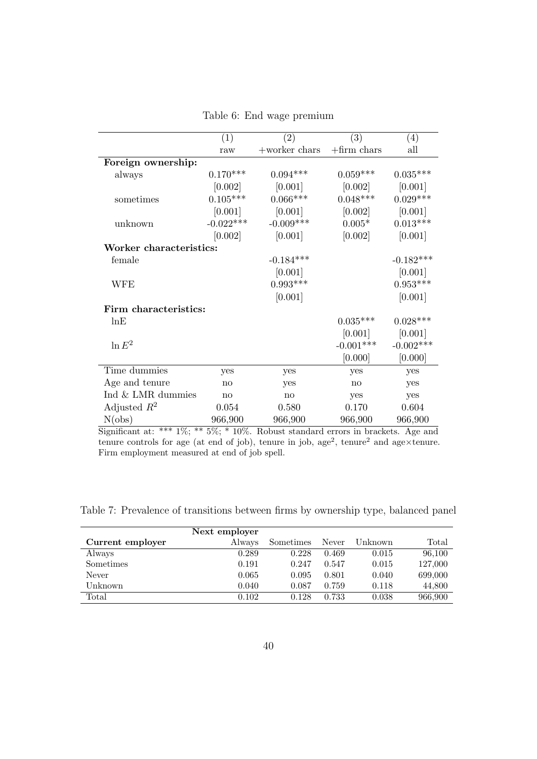<span id="page-43-0"></span>

|                         | (1)         | (2)              | (3)            | $\left( 4\right)$ |
|-------------------------|-------------|------------------|----------------|-------------------|
|                         | raw         | $+$ worker chars | $+$ firm chars | all               |
| Foreign ownership:      |             |                  |                |                   |
| always                  | $0.170***$  | $0.094***$       | $0.059***$     | $0.035***$        |
|                         | [0.002]     | [0.001]          | [0.002]        | [0.001]           |
| sometimes               | $0.105***$  | $0.066***$       | $0.048***$     | $0.029***$        |
|                         | [0.001]     | [0.001]          | [0.002]        | [0.001]           |
| unknown                 | $-0.022***$ | $-0.009***$      | $0.005*$       | $0.013***$        |
|                         | [0.002]     | [0.001]          | [0.002]        | [0.001]           |
| Worker characteristics: |             |                  |                |                   |
| female                  |             | $-0.184***$      |                | $-0.182***$       |
|                         |             | [0.001]          |                | [0.001]           |
| WFE                     |             | $0.993***$       |                | $0.953***$        |
|                         |             | [0.001]          |                | [0.001]           |
| Firm characteristics:   |             |                  |                |                   |
| lnE                     |             |                  | $0.035***$     | $0.028***$        |
|                         |             |                  | [0.001]        | [0.001]           |
| $\ln E^2$               |             |                  | $-0.001***$    | $-0.002***$       |
|                         |             |                  | [0.000]        | [0.000]           |
| Time dummies            | yes         | yes              | yes            | yes               |
| Age and tenure          | no          | yes              | no             | yes               |
| Ind & LMR dummies       | no          | no               | yes            | yes               |
| Adjusted $R^2$          | 0.054       | 0.580            | 0.170          | 0.604             |
| N(obs)                  | 966,900     | 966,900          | 966,900        | 966,900           |

Table 6: End wage premium

Significant at: \*\*\* 1%; \*\* 5%; \* 10%. Robust standard errors in brackets. Age and tenure controls for age (at end of job), tenure in job, age<sup>2</sup>, tenure<sup>2</sup> and age×tenure. Firm employment measured at end of job spell.

<span id="page-43-1"></span>Table 7: Prevalence of transitions between firms by ownership type, balanced panel

|                  | Next employer |           |       |         |         |
|------------------|---------------|-----------|-------|---------|---------|
| Current employer | Always        | Sometimes | Never | Unknown | Total   |
| Always           | 0.289         | 0.228     | 0.469 | 0.015   | 96,100  |
| Sometimes        | 0.191         | 0.247     | 0.547 | 0.015   | 127,000 |
| Never            | 0.065         | 0.095     | 0.801 | 0.040   | 699,000 |
| Unknown          | 0.040         | 0.087     | 0.759 | 0.118   | 44,800  |
| Total            | 0.102         | 0.128     | 0.733 | 0.038   | 966,900 |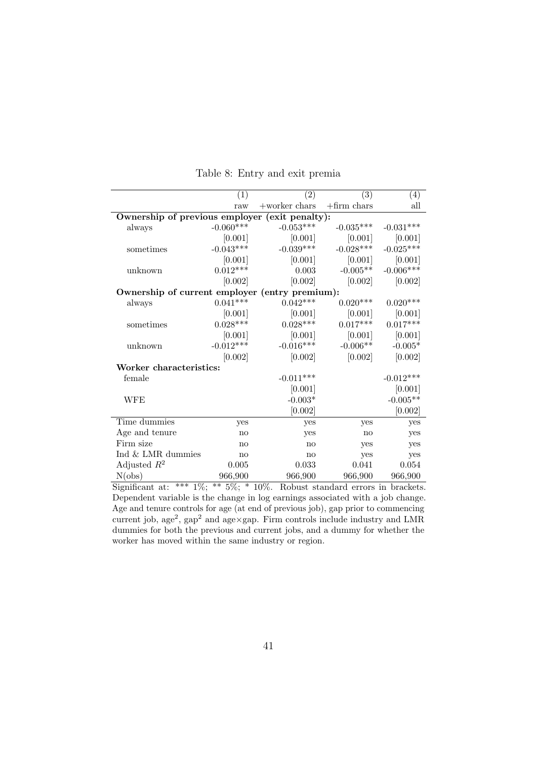<span id="page-44-0"></span>

|                                                | (1)         | $\left( 2\right)$ | (3)            | (4)         |
|------------------------------------------------|-------------|-------------------|----------------|-------------|
|                                                | raw         | $+$ worker chars  | $+$ firm chars | all         |
| Ownership of previous employer (exit penalty): |             |                   |                |             |
| always                                         | $-0.060***$ | $-0.053***$       | $-0.035***$    | $-0.031***$ |
|                                                | [0.001]     | [0.001]           | [0.001]        | [0.001]     |
| sometimes                                      | $-0.043***$ | $-0.039***$       | $-0.028***$    | $-0.025***$ |
|                                                | [0.001]     | [0.001]           | [0.001]        | [0.001]     |
| unknown                                        | $0.012***$  | 0.003             | $-0.005**$     | $-0.006***$ |
|                                                | [0.002]     | [0.002]           | [0.002]        | [0.002]     |
| Ownership of current employer (entry premium): |             |                   |                |             |
| always                                         | $0.041***$  | $0.042***$        | $0.020***$     | $0.020***$  |
|                                                | [0.001]     | [0.001]           | [0.001]        | [0.001]     |
| sometimes                                      | $0.028***$  | $0.028***$        | $0.017***$     | $0.017***$  |
|                                                | [0.001]     | [0.001]           | [0.001]        | [0.001]     |
| unknown                                        | $-0.012***$ | $-0.016***$       | $-0.006**$     | $-0.005*$   |
|                                                | [0.002]     | [0.002]           | [0.002]        | [0.002]     |
| Worker characteristics:                        |             |                   |                |             |
| female                                         |             | $-0.011***$       |                | $-0.012***$ |
|                                                |             | [0.001]           |                | [0.001]     |
| WFE                                            |             | $-0.003*$         |                | $-0.005**$  |
|                                                |             | [0.002]           |                | [0.002]     |
| Time dummies                                   | yes         | yes               | yes            | yes         |
| Age and tenure                                 | no          | yes               | no             | yes         |
| Firm size                                      | no          | no                | yes            | yes         |
| Ind & LMR dummies                              | no          | no                | yes            | yes         |
| Adjusted $R^2$                                 | $0.005\,$   | 0.033             | 0.041          | 0.054       |
| N(obs)                                         | 966,900     | 966,900           | 966,900        | 966,900     |

Table 8: Entry and exit premia

Significant at: \*\*\*  $1\%$ ; \*\*  $5\%$ ; \*  $10\%$ . Robust standard errors in brackets. Dependent variable is the change in log earnings associated with a job change. Age and tenure controls for age (at end of previous job), gap prior to commencing current job, age<sup>2</sup>, gap<sup>2</sup> and age×gap. Firm controls include industry and LMR dummies for both the previous and current jobs, and a dummy for whether the worker has moved within the same industry or region.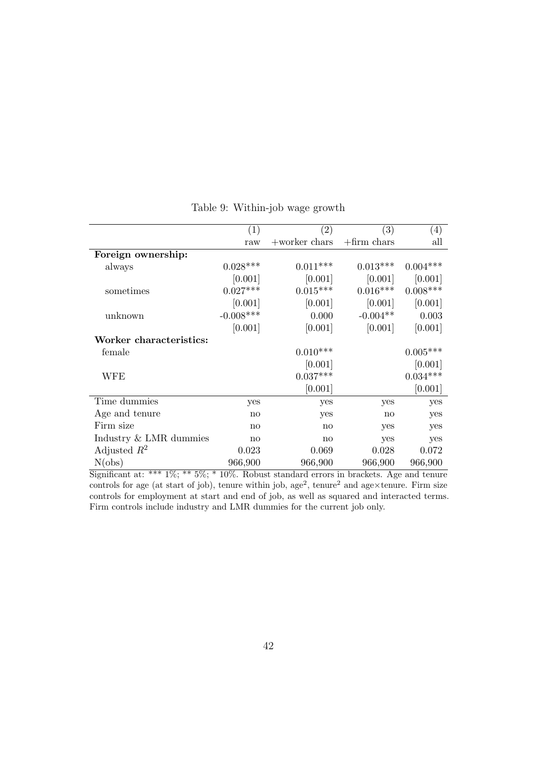<span id="page-45-0"></span>

|                         | (1)           | $\left( 2\right)$ | (3)            | $\left( 4\right)$ |
|-------------------------|---------------|-------------------|----------------|-------------------|
|                         | raw           | $+$ worker chars  | $+$ firm chars | all               |
| Foreign ownership:      |               |                   |                |                   |
| always                  | $0.028***$    | $0.011***$        | $0.013***$     | $0.004***$        |
|                         | [0.001]       | [0.001]           | [0.001]        | [0.001]           |
| sometimes               | $0.027***$    | $0.015***$        | $0.016***$     | $0.008***$        |
|                         | [0.001]       | [0.001]           | [0.001]        | [0.001]           |
| unknown                 | $-0.008***$   | 0.000             | $-0.004**$     | 0.003             |
|                         | [0.001]       | [0.001]           | [0.001]        | [0.001]           |
| Worker characteristics: |               |                   |                |                   |
| female                  |               | $0.010***$        |                | $0.005***$        |
|                         |               | [0.001]           |                | [0.001]           |
| WFE                     |               | $0.037***$        |                | $0.034***$        |
|                         |               | [0.001]           |                | [0.001]           |
| Time dummies            | yes           | yes               | yes            | yes               |
| Age and tenure          | no            | yes               | no             | yes               |
| Firm size               | $\mathbf{no}$ | no                | yes            | yes               |
| Industry & LMR dummies  | $\mathbf{no}$ | no                | yes            | yes               |
| Adjusted $R^2$          | 0.023         | 0.069             | 0.028          | 0.072             |
| N(obs)                  | 966,900       | 966,900           | 966,900        | 966,900           |

Table 9: Within-job wage growth

Significant at: \*\*\* 1%; \*\* 5%; \* 10%. Robust standard errors in brackets. Age and tenure controls for age (at start of job), tenure within job, age<sup>2</sup>, tenure<sup>2</sup> and age×tenure. Firm size controls for employment at start and end of job, as well as squared and interacted terms. Firm controls include industry and LMR dummies for the current job only.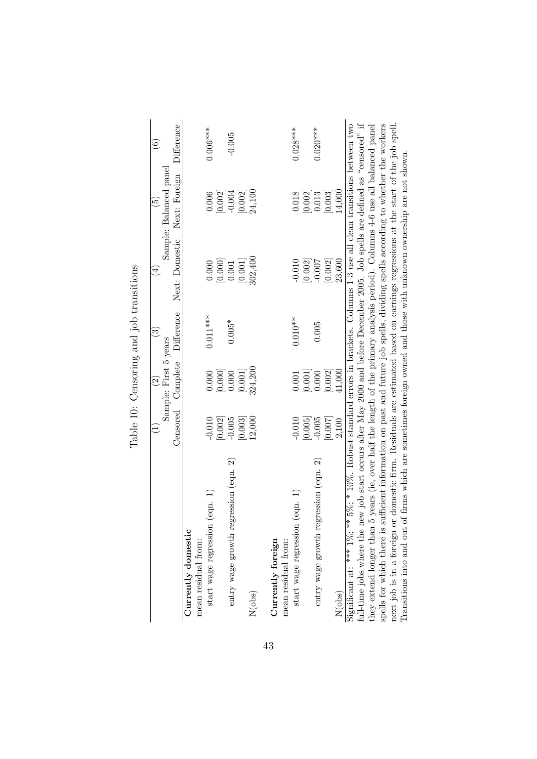|                                                                                                                                         |          |                                                   | and the common species of the common species of the common species of the common species of the common species of the common species of the common species of the common species of the common species of the common species o |                        | $\widetilde{\mathbf{e}}$                       |               |
|-----------------------------------------------------------------------------------------------------------------------------------------|----------|---------------------------------------------------|--------------------------------------------------------------------------------------------------------------------------------------------------------------------------------------------------------------------------------|------------------------|------------------------------------------------|---------------|
|                                                                                                                                         |          | Sample: First 5 years<br>$\widehat{\mathfrak{S}}$ | $\widehat{\mathbb{C}}$                                                                                                                                                                                                         | $\widehat{\mathbb{E}}$ | Sample: Balanced panel                         | $\widehat{6}$ |
|                                                                                                                                         | Censored | Complete                                          | Difference                                                                                                                                                                                                                     | Next: Domestic         | Next: Foreign                                  | Difference    |
| Currently domestic                                                                                                                      |          |                                                   |                                                                                                                                                                                                                                |                        |                                                |               |
| mean residual from:                                                                                                                     |          |                                                   |                                                                                                                                                                                                                                |                        |                                                |               |
| start wage regression (eqn. 1)                                                                                                          | $-0.010$ | 0.000                                             | $0.011***$                                                                                                                                                                                                                     | 0.000                  | 0.006                                          | $0.006***$    |
|                                                                                                                                         | [0.002]  | [0.000]                                           |                                                                                                                                                                                                                                | [0.000]                | [0.002]                                        |               |
| entry wage growth regression (eqn. 2)                                                                                                   | $-0.005$ | 0.000                                             | $0.005*$                                                                                                                                                                                                                       | $0.001\,$              | $-0.004$                                       | $-0.005$      |
|                                                                                                                                         | [0.003]  | [0.001]                                           |                                                                                                                                                                                                                                | [0.001]                | [0.002]                                        |               |
| N(obs)                                                                                                                                  | 12,000   | 324,200                                           |                                                                                                                                                                                                                                | 302,400                | 24,100                                         |               |
|                                                                                                                                         |          |                                                   |                                                                                                                                                                                                                                |                        |                                                |               |
| Currently foreign                                                                                                                       |          |                                                   |                                                                                                                                                                                                                                |                        |                                                |               |
| mean residual from:                                                                                                                     |          |                                                   |                                                                                                                                                                                                                                |                        |                                                |               |
| start wage regression (eqn. 1)                                                                                                          | $-0.010$ | 0.001                                             | $0.010**$                                                                                                                                                                                                                      | $-0.010$               | 0.018                                          | $0.028***$    |
|                                                                                                                                         | [0.005]  | [0.001]                                           |                                                                                                                                                                                                                                | [0.002]                | $\begin{bmatrix} 0.002 \\ 0.013 \end{bmatrix}$ |               |
| entry wage growth regression (eqn. 2)                                                                                                   | $-0.005$ | 0.000                                             | 0.005                                                                                                                                                                                                                          | $-0.007$               |                                                | $0.020***$    |
|                                                                                                                                         | [0.007]  | [0.002]                                           |                                                                                                                                                                                                                                | [0.002]                | [0.003]                                        |               |
| N(obs)                                                                                                                                  | 2,100    | 41,000                                            |                                                                                                                                                                                                                                | 23,600                 | 14,000                                         |               |
| Significant at: *** $1\%$ ; ** $5\%$ ; * $10\%$ . Robust standard errors in brackets. Columns 1-3 use all clean transitions between two |          |                                                   |                                                                                                                                                                                                                                |                        |                                                |               |
| full-time jobs where the new job start occurs after May 2000 and before December 2005. Job spells are defined as "censored" if          |          |                                                   |                                                                                                                                                                                                                                |                        |                                                |               |
| 5 years (ie, over half the length of the primary analysis period). Columns 4-6 use all balanced panel<br>they extend longer than        |          |                                                   |                                                                                                                                                                                                                                |                        |                                                |               |
| spells for which there is sufficient information on past and future job spells, dividing spells according to whether the workers        |          |                                                   |                                                                                                                                                                                                                                |                        |                                                |               |
| next job is in a foreign or domestic firm. Residuals are estimated based on earnings regressions at the start of the job spell.         |          |                                                   |                                                                                                                                                                                                                                |                        |                                                |               |
| of firms which are sometimes foreign owned and those with unknown ownership are not shown.<br>Transitions into and out                  |          |                                                   |                                                                                                                                                                                                                                |                        |                                                |               |

<span id="page-46-0"></span>Table 10: Censoring and job transitions Table 10: Censoring and job transitions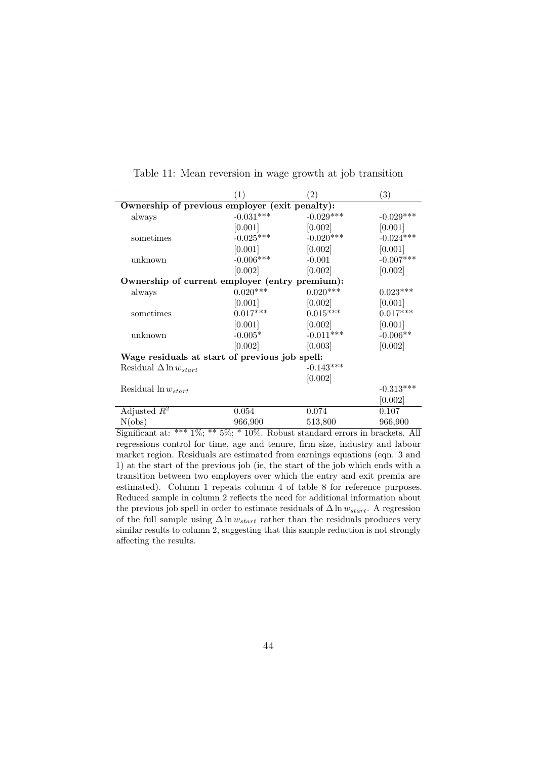<span id="page-47-0"></span>

|                                                | $\left(1\right)$ | $\left( 2\right)$ | $\left( 3\right)$ |
|------------------------------------------------|------------------|-------------------|-------------------|
| Ownership of previous employer (exit penalty): |                  |                   |                   |
| always                                         | $-0.031***$      | $-0.029***$       | $-0.029***$       |
|                                                | [0.001]          | [0.002]           | [0.001]           |
| sometimes                                      | $-0.025***$      | $-0.020***$       | $-0.024***$       |
|                                                | [0.001]          | [0.002]           | [0.001]           |
| unknown                                        | $-0.006***$      | $-0.001$          | $-0.007***$       |
|                                                | [0.002]          | [0.002]           | [0.002]           |
| Ownership of current employer (entry premium): |                  |                   |                   |
| always                                         | $0.020***$       | $0.020***$        | $0.023***$        |
|                                                | [0.001]          | [0.002]           | [0.001]           |
| sometimes                                      | $0.017***$       | $0.015***$        | $0.017***$        |
|                                                | [0.001]          | [0.002]           | [0.001]           |
| unknown                                        | $-0.005*$        | $-0.011***$       | $-0.006**$        |
|                                                | [0.002]          | [0.003]           | [0.002]           |
| Wage residuals at start of previous job spell: |                  |                   |                   |
| Residual $\Delta \ln w_{start}$                |                  | $-0.143***$       |                   |
|                                                |                  | [0.002]           |                   |
| Residual $\ln w_{start}$                       |                  |                   | $-0.313***$       |
|                                                |                  |                   | [0.002]           |
| Adjusted $R^2$                                 | 0.054            | 0.074             | 0.107             |
| N(obs)                                         | 966,900          | 513,800           | 966,900           |

Table 11: Mean reversion in wage growth at job transition

Significant at: \*\*\* 1%; \*\* 5%; \* 10%. Robust standard errors in brackets. All regressions control for time, age and tenure, firm size, industry and labour market region. Residuals are estimated from earnings equations (eqn. [3](#page-27-0) and [1\)](#page-22-1) at the start of the previous job (ie, the start of the job which ends with a transition between two employers over which the entry and exit premia are estimated). Column 1 repeats column 4 of table [8](#page-44-0) for reference purposes. Reduced sample in column 2 reflects the need for additional information about the previous job spell in order to estimate residuals of  $\Delta \ln w_{start}$ . A regression of the full sample using  $\Delta \ln w_{start}$  rather than the residuals produces very similar results to column 2, suggesting that this sample reduction is not strongly affecting the results.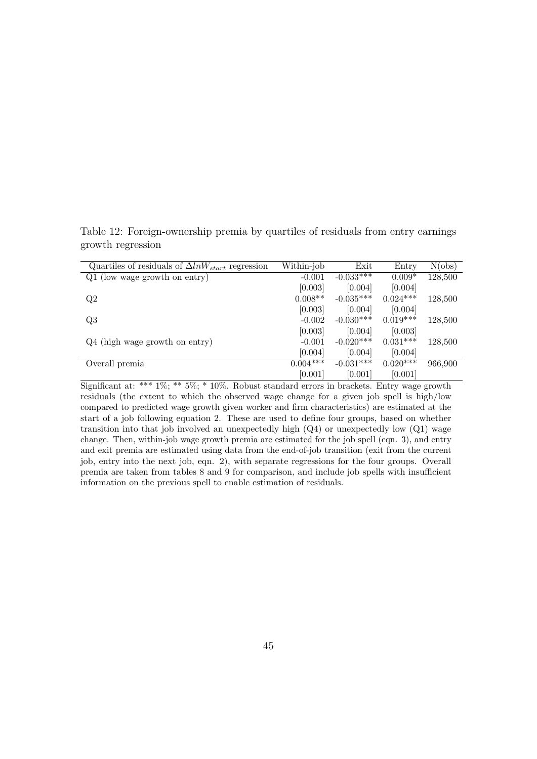| Quartiles of residuals of $\Delta ln W_{start}$ regression | Within-job  | Exit         | Entry      | N(obs)  |
|------------------------------------------------------------|-------------|--------------|------------|---------|
| Q1 (low wage growth on entry)                              | $-0.001$    | $-0.033***$  | $0.009*$   | 128,500 |
|                                                            | [0.003]     | [0.004]      | [0.004]    |         |
| Q2                                                         | $0.008**$   | $-0.035***$  | $0.024***$ | 128,500 |
|                                                            | [0.003]     | [0.004]      | [0.004]    |         |
| Q3                                                         | $-0.002$    | $-0.030***$  | $0.019***$ | 128,500 |
|                                                            | [0.003]     | [0.004]      | [0.003]    |         |
| $Q4$ (high wage growth on entry)                           | $-0.001$    | $-0.020***$  | $0.031***$ | 128,500 |
|                                                            | [0.004]     | [0.004]      | [0.004]    |         |
| Overall premia                                             | $0.004$ *** | $-0.031$ *** | $0.020***$ | 966,900 |
|                                                            | [0.001]     | [0.001]      | [0.001]    |         |

<span id="page-48-0"></span>Table 12: Foreign-ownership premia by quartiles of residuals from entry earnings growth regression

Significant at: \*\*\* 1%; \*\* 5%; \* 10%. Robust standard errors in brackets. Entry wage growth residuals (the extent to which the observed wage change for a given job spell is high/low compared to predicted wage growth given worker and firm characteristics) are estimated at the start of a job following equation [2.](#page-25-0) These are used to define four groups, based on whether transition into that job involved an unexpectedly high  $(Q4)$  or unexpectedly low  $(Q1)$  wage change. Then, within-job wage growth premia are estimated for the job spell (eqn. [3\)](#page-27-0), and entry and exit premia are estimated using data from the end-of-job transition (exit from the current job, entry into the next job, eqn. [2\)](#page-25-0), with separate regressions for the four groups. Overall premia are taken from tables [8](#page-44-0) and [9](#page-45-0) for comparison, and include job spells with insufficient information on the previous spell to enable estimation of residuals.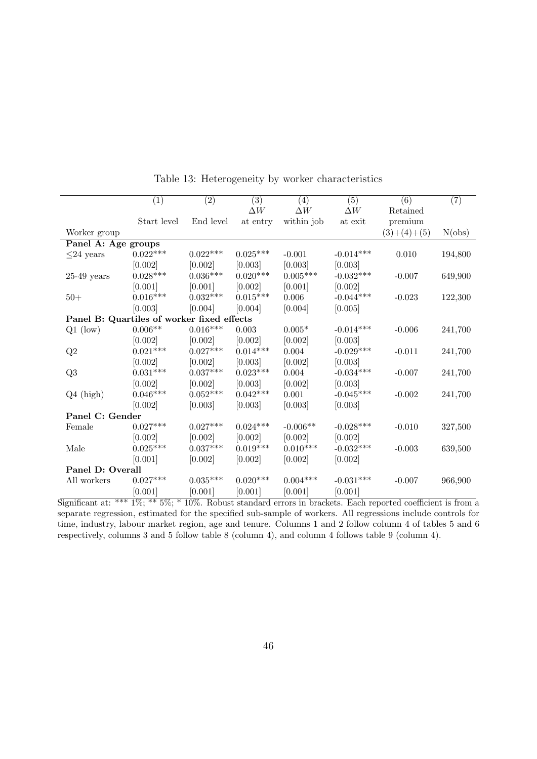<span id="page-49-0"></span>

|                                            | $\overline{(1)}$   | $\overline{(2)}$ | (3)        | (4)             | (5)         | $\overline{(6)}$ | $\overline{(7)}$ |
|--------------------------------------------|--------------------|------------------|------------|-----------------|-------------|------------------|------------------|
|                                            |                    |                  | $\Delta W$ | $\Delta W$      | $\Delta W$  | Retained         |                  |
|                                            | Start level        | End level        | at entry   | within job      | at exit     | premium          |                  |
| Worker group                               |                    |                  |            |                 |             | $(3)+(4)+(5)$    | N(obs)           |
| Panel A: Age groups                        |                    |                  |            |                 |             |                  |                  |
| $\leq$ 24 years                            | $0.022***$         | $0.022***$       | $0.025***$ | $-0.001$        | $-0.014***$ | 0.010            | 194,800          |
|                                            | [0.002]            | [0.002]          | [0.003]    | [0.003]         | [0.003]     |                  |                  |
| $25-49$ years                              | $0.028***$         | $0.036***$       | $0.020***$ | $0.005^{***}\,$ | $-0.032***$ | $-0.007$         | 649,900          |
|                                            | [0.001]            | [0.001]          | [0.002]    | [0.001]         | [0.002]     |                  |                  |
| $50+$                                      | $0.016***$         | $0.032***$       | $0.015***$ | 0.006           | $-0.044***$ | $-0.023$         | 122,300          |
|                                            | [0.003]            | [0.004]          | [0.004]    | [0.004]         | [0.005]     |                  |                  |
| Panel B: Quartiles of worker fixed effects |                    |                  |            |                 |             |                  |                  |
| $Q1$ (low)                                 | $0.006^{\ast\ast}$ | $0.016***$       | 0.003      | $0.005*$        | $-0.014***$ | $-0.006$         | 241,700          |
|                                            | [0.002]            | [0.002]          | [0.002]    | [0.002]         | [0.003]     |                  |                  |
| Q2                                         | $0.021***$         | $0.027***$       | $0.014***$ | 0.004           | $-0.029***$ | $-0.011$         | 241,700          |
|                                            | [0.002]            | [0.002]          | [0.003]    | [0.002]         | [0.003]     |                  |                  |
| Q3                                         | $0.031***$         | $0.037***$       | $0.023***$ | $0.004\,$       | $-0.034***$ | $-0.007$         | 241,700          |
|                                            | [0.002]            | [0.002]          | [0.003]    | [0.002]         | [0.003]     |                  |                  |
| $Q4$ (high)                                | $0.046***$         | $0.052***$       | $0.042***$ | 0.001           | $-0.045***$ | $-0.002$         | 241,700          |
|                                            | [0.002]            | [0.003]          | [0.003]    | [0.003]         | [0.003]     |                  |                  |
| Panel C: Gender                            |                    |                  |            |                 |             |                  |                  |
| Female                                     | $0.027***$         | $0.027***$       | $0.024***$ | $-0.006**$      | $-0.028***$ | $-0.010$         | 327,500          |
|                                            | [0.002]            | [0.002]          | [0.002]    | [0.002]         | [0.002]     |                  |                  |
| Male                                       | $0.025***$         | $0.037***$       | $0.019***$ | $0.010***$      | $-0.032***$ | $-0.003$         | 639,500          |
|                                            | [0.001]            | [0.002]          | [0.002]    | [0.002]         | [0.002]     |                  |                  |
| Panel D: Overall                           |                    |                  |            |                 |             |                  |                  |
| All workers                                | $0.027***$         | $0.035***$       | $0.020***$ | $0.004***$      | $-0.031***$ | $-0.007$         | 966,900          |
|                                            | [0.001]            | [0.001]          | [0.001]    | [0.001]         | [0.001]     |                  |                  |
| $\frac{1}{2}$                              |                    |                  |            |                 |             |                  |                  |

Table 13: Heterogeneity by worker characteristics

Significant at: \*\*\*  $1\%$ ; \*\*  $5\%$ ; \*  $10\%$ . Robust standard errors in brackets. Each reported coefficient is from a separate regression, estimated for the specified sub-sample of workers. All regressions include controls for time, industry, labour market region, age and tenure. Columns 1 and 2 follow column 4 of tables [5](#page-42-0) and [6](#page-43-0) respectively, columns 3 and 5 follow table [8](#page-44-0) (column 4), and column 4 follows table [9](#page-45-0) (column 4).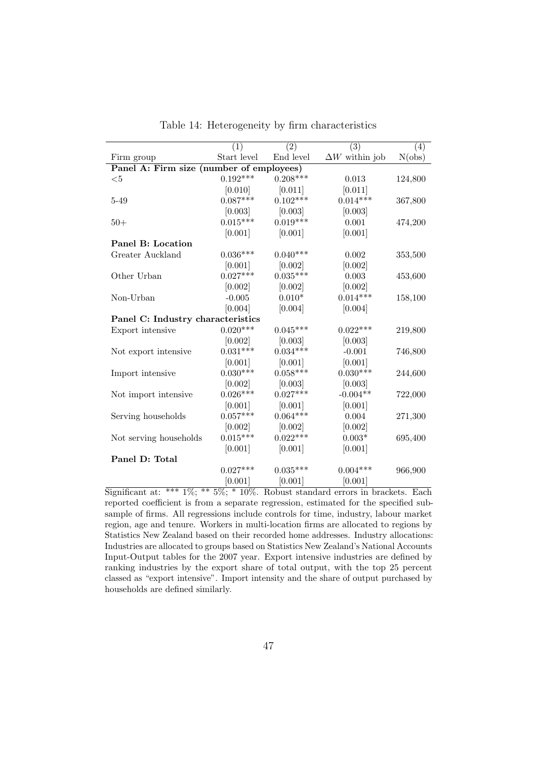<span id="page-50-0"></span>

|                                          | (1)         | (2)        | (3)                   | (4)     |
|------------------------------------------|-------------|------------|-----------------------|---------|
| Firm group                               | Start level | End level  | $\Delta W$ within job | N(obs)  |
| Panel A: Firm size (number of employees) |             |            |                       |         |
| $<$ 5                                    | $0.192***$  | $0.208***$ | 0.013                 | 124,800 |
|                                          | [0.010]     | [0.011]    | [0.011]               |         |
| $5 - 49$                                 | $0.087***$  | $0.102***$ | $0.014***$            | 367,800 |
|                                          | [0.003]     | [0.003]    | [0.003]               |         |
| $50+$                                    | $0.015***$  | $0.019***$ | 0.001                 | 474,200 |
|                                          | [0.001]     | [0.001]    | [0.001]               |         |
| Panel B: Location                        |             |            |                       |         |
| Greater Auckland                         | $0.036***$  | $0.040***$ | 0.002                 | 353,500 |
|                                          | [0.001]     | [0.002]    | [0.002]               |         |
| Other Urban                              | $0.027***$  | $0.035***$ | $\,0.003\,$           | 453,600 |
|                                          | [0.002]     | [0.002]    | [0.002]               |         |
| Non-Urban                                | $-0.005$    | $0.010*$   | $0.014***$            | 158,100 |
|                                          | [0.004]     | [0.004]    | [0.004]               |         |
| Panel C: Industry characteristics        |             |            |                       |         |
| Export intensive                         | $0.020***$  | $0.045***$ | $0.022***$            | 219,800 |
|                                          | [0.002]     | [0.003]    | [0.003]               |         |
| Not export intensive                     | $0.031***$  | $0.034***$ | $-0.001$              | 746,800 |
|                                          | [0.001]     | [0.001]    | [0.001]               |         |
| Import intensive                         | $0.030***$  | $0.058***$ | $0.030***$            | 244,600 |
|                                          | [0.002]     | [0.003]    | [0.003]               |         |
| Not import intensive                     | $0.026***$  | $0.027***$ | $-0.004**$            | 722,000 |
|                                          | [0.001]     | [0.001]    | [0.001]               |         |
| Serving households                       | $0.057***$  | $0.064***$ | 0.004                 | 271,300 |
|                                          | [0.002]     | [0.002]    | [0.002]               |         |
| Not serving households                   | $0.015***$  | $0.022***$ | $0.003*$              | 695,400 |
|                                          | [0.001]     | [0.001]    | [0.001]               |         |
| Panel D: Total                           |             |            |                       |         |
|                                          | $0.027***$  | $0.035***$ | $0.004***$            | 966,900 |
|                                          | [0.001]     | [0.001]    | [0.001]               |         |

Table 14: Heterogeneity by firm characteristics

Significant at: \*\*\* 1%; \*\* 5%; \* 10%. Robust standard errors in brackets. Each reported coefficient is from a separate regression, estimated for the specified subsample of firms. All regressions include controls for time, industry, labour market region, age and tenure. Workers in multi-location firms are allocated to regions by Statistics New Zealand based on their recorded home addresses. Industry allocations: Industries are allocated to groups based on Statistics New Zealand's National Accounts Input-Output tables for the 2007 year. Export intensive industries are defined by ranking industries by the export share of total output, with the top 25 percent classed as "export intensive". Import intensity and the share of output purchased by households are defined similarly.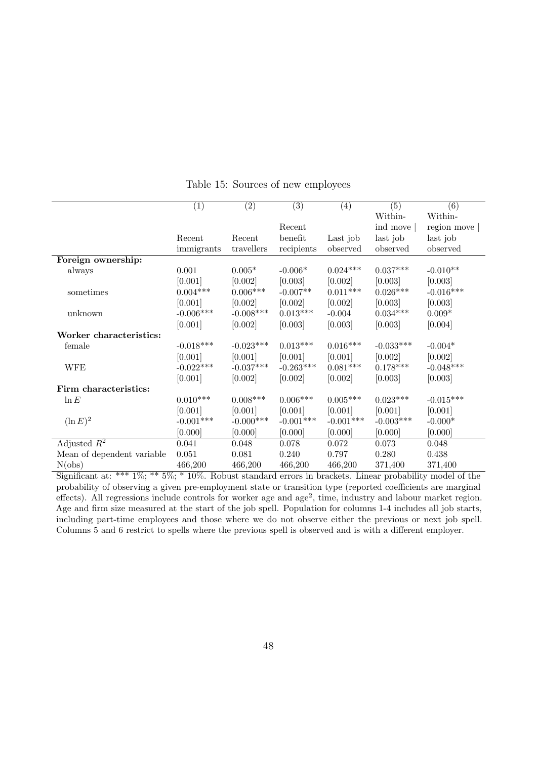<span id="page-51-0"></span>

|                            | (1)             | $\left( 2\right)$ | $\left( 3\right)$ | (4)             | (5)         | (6)         |
|----------------------------|-----------------|-------------------|-------------------|-----------------|-------------|-------------|
|                            |                 |                   |                   |                 | Within-     | Within-     |
|                            |                 |                   | Recent            |                 | ind move    | region move |
|                            | Recent          | Recent            | benefit           | Last job        | last job    | last job    |
|                            | immigrants      | travellers        | recipients        | observed        | observed    | observed    |
| Foreign ownership:         |                 |                   |                   |                 |             |             |
| always                     | 0.001           | $0.005*$          | $-0.006*$         | $0.024***$      | $0.037***$  | $-0.010**$  |
|                            | [0.001]         | [0.002]           | [0.003]           | [0.002]         | [0.003]     | [0.003]     |
| sometimes                  | $0.004^{***}\,$ | $0.006***$        | $-0.007**$        | $0.011***$      | $0.026***$  | $-0.016***$ |
|                            | [0.001]         | [0.002]           | [0.002]           | [0.002]         | [0.003]     | [0.003]     |
| unknown                    | $-0.006***$     | $-0.008***$       | $0.013***$        | $-0.004$        | $0.034***$  | $0.009*$    |
|                            | [0.001]         | [0.002]           | [0.003]           | [0.003]         | [0.003]     | [0.004]     |
| Worker characteristics:    |                 |                   |                   |                 |             |             |
| female                     | $-0.018***$     | $-0.023***$       | $0.013***$        | $0.016^{***}\,$ | $-0.033***$ | $-0.004*$   |
|                            | [0.001]         | [0.001]           | [0.001]           | [0.001]         | [0.002]     | [0.002]     |
| <b>WFE</b>                 | $-0.022***$     | $-0.037***$       | $-0.263***$       | $0.081***$      | $0.178***$  | $-0.048***$ |
|                            | [0.001]         | [0.002]           | [0.002]           | [0.002]         | [0.003]     | [0.003]     |
| Firm characteristics:      |                 |                   |                   |                 |             |             |
| $\ln E$                    | $0.010***$      | $0.008^{***}\,$   | $0.006^{***}\;$   | $0.005***$      | $0.023***$  | $-0.015***$ |
|                            | [0.001]         | [0.001]           | [0.001]           | [0.001]         | [0.001]     | [0.001]     |
| $(\ln E)^2$                | $-0.001***$     | $-0.000$ ***      | $-0.001***$       | $-0.001***$     | $-0.003***$ | $-0.000*$   |
|                            | [0.000]         | [0.000]           | [0.000]           | [0.000]         | [0.000]     | [0.000]     |
| Adjusted $R^2$             | 0.041           | 0.048             | $0.078\,$         | 0.072           | 0.073       | 0.048       |
| Mean of dependent variable | 0.051           | 0.081             | 0.240             | 0.797           | 0.280       | 0.438       |
| N(obs)                     | 466,200         | 466,200           | 466,200           | 466,200         | 371,400     | 371,400     |

Table 15: Sources of new employees

Significant at: \*\*\* 1%; \*\* 5%; \* 10%. Robust standard errors in brackets. Linear probability model of the probability of observing a given pre-employment state or transition type (reported coefficients are marginal effects). All regressions include controls for worker age and age<sup>2</sup>, time, industry and labour market region. Age and firm size measured at the start of the job spell. Population for columns 1-4 includes all job starts, including part-time employees and those where we do not observe either the previous or next job spell. Columns 5 and 6 restrict to spells where the previous spell is observed and is with a different employer.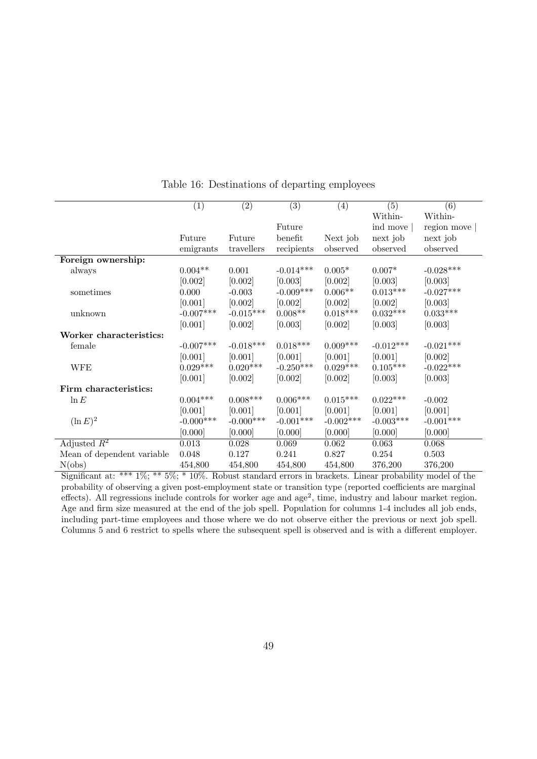<span id="page-52-0"></span>

|                            | (1)         | (2)         | (3)         | (4)         | (5)             | (6)             |
|----------------------------|-------------|-------------|-------------|-------------|-----------------|-----------------|
|                            |             |             |             |             | Within-         | Within-         |
|                            |             |             | Future      |             | ind move        | region move     |
|                            | Future      | Future      | benefit     | Next job    | next job        | next job        |
|                            | emigrants   | travellers  | recipients  | observed    | observed        | observed        |
| Foreign ownership:         |             |             |             |             |                 |                 |
| always                     | $0.004**$   | 0.001       | $-0.014***$ | $0.005*$    | $0.007*$        | $-0.028***$     |
|                            | [0.002]     | [0.002]     | [0.003]     | [0.002]     | [0.003]         | [0.003]         |
| sometimes                  | 0.000       | $-0.003$    | $-0.009***$ | $0.006**$   | $0.013***$      | $-0.027***$     |
|                            | [0.001]     | [0.002]     | [0.002]     | [0.002]     | [0.002]         | [0.003]         |
| unknown                    | $-0.007***$ | $-0.015***$ | $0.008**$   | $0.018***$  | $0.032^{***}\,$ | $0.033^{***}\,$ |
|                            | [0.001]     | [0.002]     | [0.003]     | [0.002]     | [0.003]         | [0.003]         |
| Worker characteristics:    |             |             |             |             |                 |                 |
| female                     | $-0.007***$ | $-0.018***$ | $0.018***$  | $0.009***$  | $-0.012***$     | $-0.021***$     |
|                            | [0.001]     | [0.001]     | [0.001]     | [0.001]     | [0.001]         | [0.002]         |
| <b>WFE</b>                 | $0.029***$  | $0.020***$  | $-0.250***$ | $0.029***$  | $0.105***$      | $-0.022***$     |
|                            | [0.001]     | [0.002]     | [0.002]     | [0.002]     | [0.003]         | [0.003]         |
| Firm characteristics:      |             |             |             |             |                 |                 |
| $\ln E$                    | $0.004***$  | $0.008***$  | $0.006***$  | $0.015***$  | $0.022***$      | $-0.002$        |
|                            | [0.001]     | [0.001]     | [0.001]     | [0.001]     | [0.001]         | [0.001]         |
| $(\ln E)^2$                | $-0.000***$ | $-0.000***$ | $-0.001***$ | $-0.002***$ | $-0.003***$     | $-0.001***$     |
|                            | [0.000]     | [0.000]     | [0.000]     | [0.000]     | [0.000]         | [0.000]         |
| Adjusted $R^2$             | 0.013       | 0.028       | 0.069       | 0.062       | 0.063           | 0.068           |
| Mean of dependent variable | 0.048       | 0.127       | 0.241       | 0.827       | 0.254           | $0.503\,$       |
| N(obs)                     | 454,800     | 454,800     | 454,800     | 454,800     | 376,200         | 376,200         |

Table 16: Destinations of departing employees

Significant at: \*\*\* 1%; \*\* 5%; \* 10%. Robust standard errors in brackets. Linear probability model of the probability of observing a given post-employment state or transition type (reported coefficients are marginal effects). All regressions include controls for worker age and  $age<sup>2</sup>$ , time, industry and labour market region. Age and firm size measured at the end of the job spell. Population for columns 1-4 includes all job ends, including part-time employees and those where we do not observe either the previous or next job spell. Columns 5 and 6 restrict to spells where the subsequent spell is observed and is with a different employer.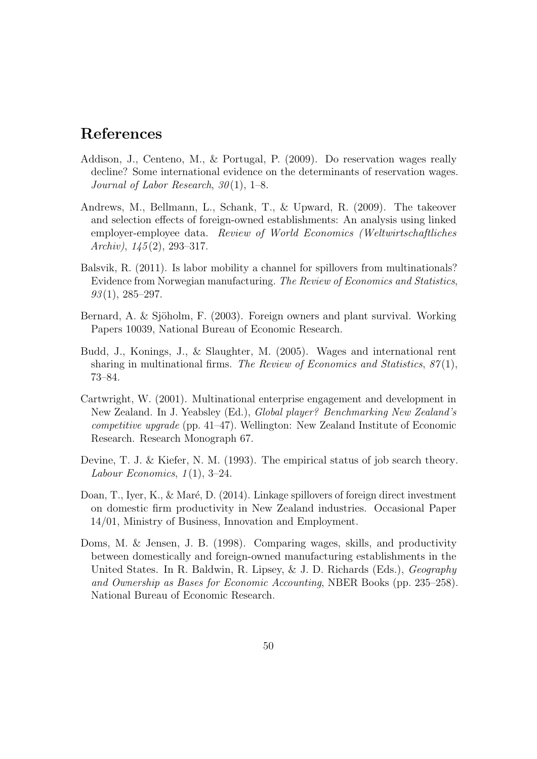### References

- <span id="page-53-8"></span>Addison, J., Centeno, M., & Portugal, P. (2009). Do reservation wages really decline? Some international evidence on the determinants of reservation wages. Journal of Labor Research,  $30(1)$ , 1–8.
- <span id="page-53-1"></span>Andrews, M., Bellmann, L., Schank, T., & Upward, R. (2009). The takeover and selection effects of foreign-owned establishments: An analysis using linked employer-employee data. Review of World Economics (Weltwirtschaftliches Archiv),  $145(2)$ , 293-317.
- <span id="page-53-5"></span>Balsvik, R. (2011). Is labor mobility a channel for spillovers from multinationals? Evidence from Norwegian manufacturing. The Review of Economics and Statistics,  $93(1), 285-297.$
- <span id="page-53-6"></span>Bernard, A. & Sjöholm, F. (2003). Foreign owners and plant survival. Working Papers 10039, National Bureau of Economic Research.
- <span id="page-53-3"></span>Budd, J., Konings, J., & Slaughter, M. (2005). Wages and international rent sharing in multinational firms. The Review of Economics and Statistics,  $87(1)$ , 73–84.
- <span id="page-53-4"></span>Cartwright, W. (2001). Multinational enterprise engagement and development in New Zealand. In J. Yeabsley (Ed.), Global player? Benchmarking New Zealand's competitive upgrade (pp. 41–47). Wellington: New Zealand Institute of Economic Research. Research Monograph 67.
- <span id="page-53-7"></span>Devine, T. J. & Kiefer, N. M. (1993). The empirical status of job search theory. Labour Economics,  $1(1)$ , 3–24.
- <span id="page-53-0"></span>Doan, T., Iyer, K., & Maré, D. (2014). Linkage spillovers of foreign direct investment on domestic firm productivity in New Zealand industries. Occasional Paper 14/01, Ministry of Business, Innovation and Employment.
- <span id="page-53-2"></span>Doms, M. & Jensen, J. B. (1998). Comparing wages, skills, and productivity between domestically and foreign-owned manufacturing establishments in the United States. In R. Baldwin, R. Lipsey, & J. D. Richards (Eds.), Geography and Ownership as Bases for Economic Accounting, NBER Books (pp. 235–258). National Bureau of Economic Research.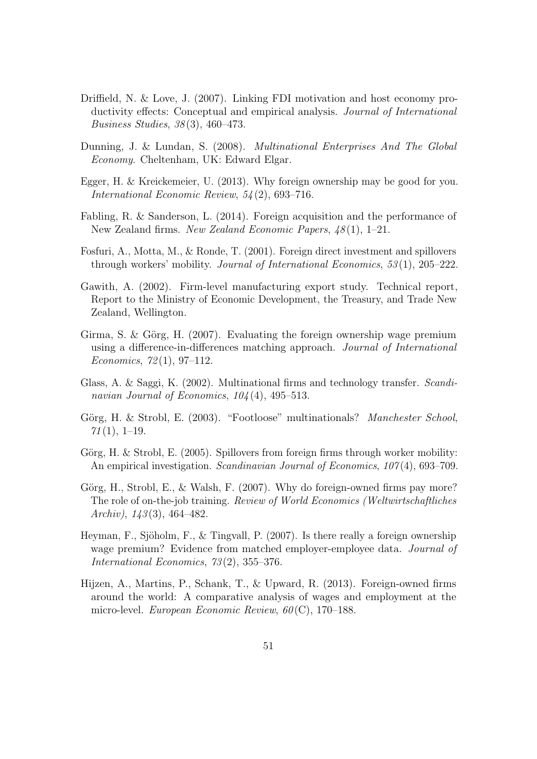- <span id="page-54-6"></span>Driffield, N. & Love, J. (2007). Linking FDI motivation and host economy productivity effects: Conceptual and empirical analysis. Journal of International Business Studies, 38 (3), 460–473.
- <span id="page-54-1"></span>Dunning, J. & Lundan, S. (2008). Multinational Enterprises And The Global Economy. Cheltenham, UK: Edward Elgar.
- <span id="page-54-7"></span>Egger, H. & Kreickemeier, U. (2013). Why foreign ownership may be good for you. International Economic Review, 54 (2), 693–716.
- <span id="page-54-2"></span>Fabling, R. & Sanderson, L. (2014). Foreign acquisition and the performance of New Zealand firms. New Zealand Economic Papers,  $48(1)$ , 1–21.
- <span id="page-54-11"></span>Fosfuri, A., Motta, M., & Ronde, T. (2001). Foreign direct investment and spillovers through workers' mobility. Journal of International Economics, 53(1), 205–222.
- <span id="page-54-8"></span>Gawith, A. (2002). Firm-level manufacturing export study. Technical report, Report to the Ministry of Economic Development, the Treasury, and Trade New Zealand, Wellington.
- <span id="page-54-3"></span>Girma, S. & Görg, H. (2007). Evaluating the foreign ownership wage premium using a difference-in-differences matching approach. Journal of International Economics,  $72(1)$ , 97-112.
- <span id="page-54-12"></span>Glass, A. & Saggi, K. (2002). Multinational firms and technology transfer. Scandinavian Journal of Economics,  $104(4)$ , 495–513.
- <span id="page-54-10"></span>Görg, H. & Strobl, E. (2003). "Footloose" multinationals? *Manchester School*,  $71(1), 1-19.$
- <span id="page-54-9"></span>Görg, H. & Strobl, E.  $(2005)$ . Spillovers from foreign firms through worker mobility: An empirical investigation. Scandinavian Journal of Economics, 107(4), 693-709.
- <span id="page-54-4"></span>Görg, H., Strobl, E., & Walsh, F.  $(2007)$ . Why do foreign-owned firms pay more? The role of on-the-job training. Review of World Economics (Weltwirtschaftliches Archiv),  $143(3)$ ,  $464-482$ .
- <span id="page-54-5"></span>Heyman, F., Sjöholm, F., & Tingvall, P.  $(2007)$ . Is there really a foreign ownership wage premium? Evidence from matched employer-employee data. Journal of International Economics, 73 (2), 355–376.
- <span id="page-54-0"></span>Hijzen, A., Martins, P., Schank, T., & Upward, R. (2013). Foreign-owned firms around the world: A comparative analysis of wages and employment at the micro-level. European Economic Review,  $60(C)$ , 170–188.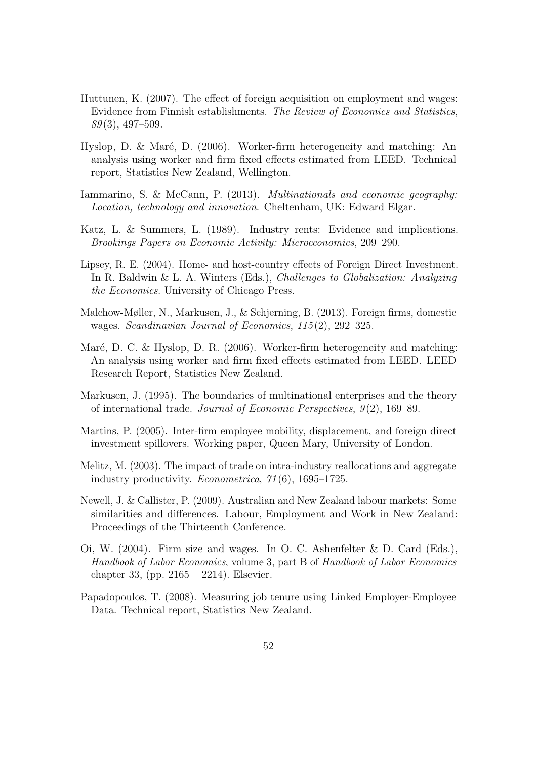- <span id="page-55-4"></span>Huttunen, K. (2007). The effect of foreign acquisition on employment and wages: Evidence from Finnish establishments. The Review of Economics and Statistics,  $89(3)$ , 497–509.
- <span id="page-55-9"></span>Hyslop, D. & Maré, D. (2006). Worker-firm heterogeneity and matching: An analysis using worker and firm fixed effects estimated from LEED. Technical report, Statistics New Zealand, Wellington.
- <span id="page-55-6"></span>Iammarino, S. & McCann, P. (2013). Multinationals and economic geography: Location, technology and innovation. Cheltenham, UK: Edward Elgar.
- <span id="page-55-7"></span>Katz, L. & Summers, L. (1989). Industry rents: Evidence and implications. Brookings Papers on Economic Activity: Microeconomics, 209–290.
- <span id="page-55-0"></span>Lipsey, R. E. (2004). Home- and host-country effects of Foreign Direct Investment. In R. Baldwin & L. A. Winters (Eds.), *Challenges to Globalization: Analyzing* the Economics. University of Chicago Press.
- <span id="page-55-1"></span>Malchow-Møller, N., Markusen, J., & Schjerning, B. (2013). Foreign firms, domestic wages. Scandinavian Journal of Economics, 115 (2), 292–325.
- <span id="page-55-8"></span>Maré, D. C. & Hyslop, D. R. (2006). Worker-firm heterogeneity and matching: An analysis using worker and firm fixed effects estimated from LEED. LEED Research Report, Statistics New Zealand.
- <span id="page-55-2"></span>Markusen, J. (1995). The boundaries of multinational enterprises and the theory of international trade. Journal of Economic Perspectives, 9 (2), 169–89.
- <span id="page-55-5"></span>Martins, P. (2005). Inter-firm employee mobility, displacement, and foreign direct investment spillovers. Working paper, Queen Mary, University of London.
- <span id="page-55-3"></span>Melitz, M. (2003). The impact of trade on intra-industry reallocations and aggregate industry productivity. Econometrica, 71 (6), 1695–1725.
- <span id="page-55-10"></span>Newell, J. & Callister, P. (2009). Australian and New Zealand labour markets: Some similarities and differences. Labour, Employment and Work in New Zealand: Proceedings of the Thirteenth Conference.
- <span id="page-55-11"></span>Oi, W. (2004). Firm size and wages. In O. C. Ashenfelter & D. Card (Eds.), Handbook of Labor Economics, volume 3, part B of Handbook of Labor Economics chapter 33, (pp. 2165 – 2214). Elsevier.
- <span id="page-55-12"></span>Papadopoulos, T. (2008). Measuring job tenure using Linked Employer-Employee Data. Technical report, Statistics New Zealand.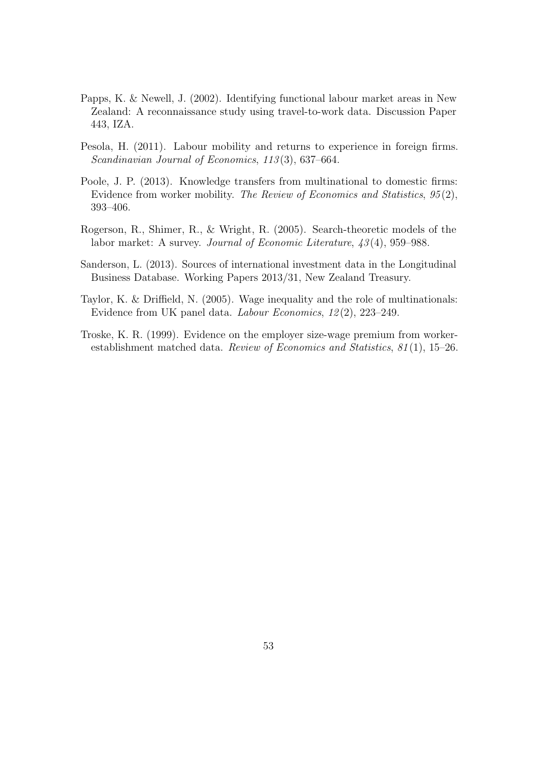- <span id="page-56-4"></span>Papps, K. & Newell, J. (2002). Identifying functional labour market areas in New Zealand: A reconnaissance study using travel-to-work data. Discussion Paper 443, IZA.
- <span id="page-56-0"></span>Pesola, H. (2011). Labour mobility and returns to experience in foreign firms. Scandinavian Journal of Economics, 113(3), 637–664.
- <span id="page-56-3"></span>Poole, J. P. (2013). Knowledge transfers from multinational to domestic firms: Evidence from worker mobility. The Review of Economics and Statistics, 95 (2), 393–406.
- <span id="page-56-6"></span>Rogerson, R., Shimer, R., & Wright, R. (2005). Search-theoretic models of the labor market: A survey. *Journal of Economic Literature*,  $\frac{43}{4}$ , 959–988.
- <span id="page-56-2"></span>Sanderson, L. (2013). Sources of international investment data in the Longitudinal Business Database. Working Papers 2013/31, New Zealand Treasury.
- <span id="page-56-1"></span>Taylor, K. & Driffield, N. (2005). Wage inequality and the role of multinationals: Evidence from UK panel data. Labour Economics, 12 (2), 223–249.
- <span id="page-56-5"></span>Troske, K. R. (1999). Evidence on the employer size-wage premium from workerestablishment matched data. Review of Economics and Statistics, 81 (1), 15–26.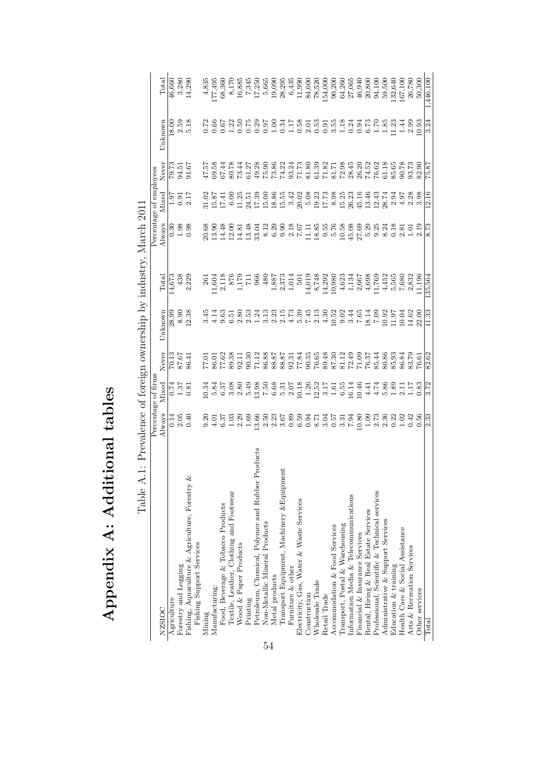| ן<br>ו<br>$\frac{1}{4}$   |
|---------------------------|
| <br> <br> <br> <br>י<br>ן |
|                           |
| こくてい                      |

<span id="page-57-0"></span>

|    | . Throman                                             | Percentage of firms                                     |                                         |                                           | financial for dimension who was a constructed to |                                                                                                                                                                                                                                                                     | $\ddot{\phantom{1}}$                                                                                                            | Percentage of employees                                                                                                                                                                                                                                                                                       |                                                                         |                                                                                                                                                                                                                                                                                                     |                                                                                          |
|----|-------------------------------------------------------|---------------------------------------------------------|-----------------------------------------|-------------------------------------------|--------------------------------------------------|---------------------------------------------------------------------------------------------------------------------------------------------------------------------------------------------------------------------------------------------------------------------|---------------------------------------------------------------------------------------------------------------------------------|---------------------------------------------------------------------------------------------------------------------------------------------------------------------------------------------------------------------------------------------------------------------------------------------------------------|-------------------------------------------------------------------------|-----------------------------------------------------------------------------------------------------------------------------------------------------------------------------------------------------------------------------------------------------------------------------------------------------|------------------------------------------------------------------------------------------|
|    | NZSIOC                                                | Always                                                  | Mixed                                   | Never                                     | Unknown                                          | Total                                                                                                                                                                                                                                                               | Always                                                                                                                          | Mixed                                                                                                                                                                                                                                                                                                         | Never                                                                   | Unknown                                                                                                                                                                                                                                                                                             | Total                                                                                    |
|    | Agriculture                                           |                                                         |                                         |                                           | 28.99                                            | $\sqrt{4,673}$                                                                                                                                                                                                                                                      |                                                                                                                                 | 1.97                                                                                                                                                                                                                                                                                                          |                                                                         | 18.00                                                                                                                                                                                                                                                                                               | 46,660                                                                                   |
|    | Forestry and Logging                                  | $0.14$<br>$0.40$                                        | $\frac{75}{0.50}$                       | 70.13<br>87.67<br>86.41                   | 8.90                                             | 438                                                                                                                                                                                                                                                                 | 53<br>533<br>5                                                                                                                  | 0.91                                                                                                                                                                                                                                                                                                          | 79.73<br>54.51<br>91.67                                                 | 2.59                                                                                                                                                                                                                                                                                                |                                                                                          |
|    | Fishing, Aquaculture & Agriculture, Forestry &        |                                                         |                                         |                                           | 12.38                                            | 2,229                                                                                                                                                                                                                                                               |                                                                                                                                 | 2.17                                                                                                                                                                                                                                                                                                          |                                                                         | 5.18                                                                                                                                                                                                                                                                                                | $3,280$<br>14,290                                                                        |
|    | Fishing Support Services                              |                                                         |                                         |                                           |                                                  |                                                                                                                                                                                                                                                                     |                                                                                                                                 |                                                                                                                                                                                                                                                                                                               |                                                                         |                                                                                                                                                                                                                                                                                                     |                                                                                          |
|    | Mining                                                | 0.20                                                    |                                         |                                           | 3.45                                             | $\overline{26}$                                                                                                                                                                                                                                                     |                                                                                                                                 |                                                                                                                                                                                                                                                                                                               |                                                                         |                                                                                                                                                                                                                                                                                                     | 4,835                                                                                    |
|    | Manufacturing:                                        |                                                         |                                         |                                           | 4.14                                             | .1,604                                                                                                                                                                                                                                                              |                                                                                                                                 |                                                                                                                                                                                                                                                                                                               | 89.58<br>25.7                                                           |                                                                                                                                                                                                                                                                                                     |                                                                                          |
|    | Food, Beverage & Tobacco Products                     |                                                         |                                         |                                           | 9.63                                             |                                                                                                                                                                                                                                                                     |                                                                                                                                 | 31.02<br>15.87<br>17.41                                                                                                                                                                                                                                                                                       | 67.44                                                                   |                                                                                                                                                                                                                                                                                                     | 177,495<br>68,360                                                                        |
|    | Textile, Leather, Clothing and Footwear               | $\frac{5}{9}$ $\frac{2}{9}$ $\frac{5}{9}$ $\frac{3}{9}$ | 3 3 5 5<br>0 1 1 1 0 1<br>0 1 1 0 1     |                                           | 6.51                                             |                                                                                                                                                                                                                                                                     |                                                                                                                                 |                                                                                                                                                                                                                                                                                                               | 80.78                                                                   |                                                                                                                                                                                                                                                                                                     |                                                                                          |
|    | Wood & Paper Products                                 | $2.29$<br>1.69                                          | 2.8(                                    | 77.01<br>86.01<br>77.62<br>89.38<br>90.30 | 2.80                                             | 2,118<br>876<br>1,179<br>1,179                                                                                                                                                                                                                                      | 20.68<br>13.90<br>14.48<br>14.81                                                                                                | $\begin{array}{c} 6.00 \\ 0.11 \\ 0.24 \\ 0.39 \\ 0.41 \\ 0.59 \\ 0.66 \\ 0.54 \\ 0.74 \\ 0.86 \\ 0.74 \\ 0.86 \\ 0.74 \\ 0.74 \\ 0.86 \\ 0.74 \\ 0.74 \\ 0.74 \\ 0.74 \\ 0.74 \\ 0.74 \\ 0.74 \\ 0.74 \\ 0.74 \\ 0.74 \\ 0.74 \\ 0.74 \\ 0.74 \\ 0.74 \\ 0.74 \\ 0.74 \\ 0.74 \\ 0.74 \\ 0.74 \\ 0.74 \\ 0.$ | $73.44$<br>61.27                                                        | $\begin{array}{c} 172 \\ 0.667 \\ 0.673 \\ 0.789 \\ 0.739 \\ 0.073 \\ 0.000 \\ 0.000 \\ 0.000 \\ 0.000 \\ 0.000 \\ 0.000 \\ 0.000 \\ 0.000 \\ 0.000 \\ 0.000 \\ 0.000 \\ 0.000 \\ 0.000 \\ 0.000 \\ 0.000 \\ 0.000 \\ 0.000 \\ 0.000 \\ 0.000 \\ 0.000 \\ 0.000 \\ 0.000 \\ 0.000 \\ 0.000 \\ 0.00$ | $\begin{array}{c} 8,170 \\ 16,885 \\ 7,345 \\ 17,250 \\ 19,090 \\ 19,090 \\ \end{array}$ |
|    | Printing                                              |                                                         | 5.49                                    |                                           | 2.53                                             |                                                                                                                                                                                                                                                                     | 13.48                                                                                                                           |                                                                                                                                                                                                                                                                                                               |                                                                         |                                                                                                                                                                                                                                                                                                     |                                                                                          |
|    | Products<br>Petroleum, Chemical, Polymer and Rubber I | 13.66                                                   | $\frac{13.98}{7.50}$                    | 71.12                                     | 1.24                                             | 966                                                                                                                                                                                                                                                                 | 33.04                                                                                                                           |                                                                                                                                                                                                                                                                                                               |                                                                         |                                                                                                                                                                                                                                                                                                     |                                                                                          |
| 54 | Non-Metallic Mineral Products                         | $2.50$<br>$2.23$                                        |                                         | $\frac{86.88}{58.87}$                     | 3.13                                             | $\frac{48}{5}$                                                                                                                                                                                                                                                      | 8.12                                                                                                                            |                                                                                                                                                                                                                                                                                                               |                                                                         |                                                                                                                                                                                                                                                                                                     |                                                                                          |
|    | Metal products                                        |                                                         |                                         |                                           | 2.25                                             |                                                                                                                                                                                                                                                                     | 6.29                                                                                                                            |                                                                                                                                                                                                                                                                                                               |                                                                         |                                                                                                                                                                                                                                                                                                     |                                                                                          |
|    | Transport Equipment, Machinery & Equipment            | 3.67                                                    | 5.31                                    |                                           | 2.15                                             | $\frac{1,887}{2,373}$                                                                                                                                                                                                                                               | 9.90                                                                                                                            |                                                                                                                                                                                                                                                                                                               |                                                                         |                                                                                                                                                                                                                                                                                                     |                                                                                          |
|    | Furniture & other                                     | 0.89                                                    | 2.0                                     |                                           | 4.73                                             |                                                                                                                                                                                                                                                                     | 2.18                                                                                                                            |                                                                                                                                                                                                                                                                                                               |                                                                         |                                                                                                                                                                                                                                                                                                     |                                                                                          |
|    | Electricity, Gas, Water & Waste Services              | 6.59                                                    |                                         |                                           | 5<br>1941<br>1941<br>1941                        | $\begin{array}{c} 501\\ 14,019\\ 8,748\\ 8,749\\ 14,292\\ 16,380\\ 16,67\\ 17,466\\ 7\\ 10,667\\ 11,769\\ 11,769\\ 11,769\\ 11,769\\ 11,769\\ 11,769\\ 11,769\\ 11,769\\ 11,769\\ 11,769\\ 11,769\\ 11,769\\ 11,769\\ 11,769\\ 11,769\\ 11,769\\ 11,769\\ 11,769\\$ | $7.67$<br>$1.185$<br>$1.585$<br>$1.585$<br>$1.585$<br>$1.585$<br>$1.585$<br>$1.585$<br>$1.585$<br>$1.585$<br>$1.585$<br>$1.585$ |                                                                                                                                                                                                                                                                                                               | 8<br>8 5 8 8 3 3 5 6 8 9 8 7 5 8 9 8 9<br>9 6 7 8 7 8 9 8 9 7 8 9 8 9 8 |                                                                                                                                                                                                                                                                                                     | $\begin{array}{c} 6,435 \\ 11,990 \\ 84,600 \\ 78,520 \end{array}$                       |
|    | Construction                                          |                                                         | 10.18<br>12.52<br>12.54<br>6.55<br>6.56 |                                           |                                                  |                                                                                                                                                                                                                                                                     |                                                                                                                                 |                                                                                                                                                                                                                                                                                                               |                                                                         |                                                                                                                                                                                                                                                                                                     |                                                                                          |
|    | Wholesale Trade                                       |                                                         |                                         |                                           |                                                  |                                                                                                                                                                                                                                                                     |                                                                                                                                 |                                                                                                                                                                                                                                                                                                               |                                                                         |                                                                                                                                                                                                                                                                                                     |                                                                                          |
|    | Retail Trade                                          | 3.04                                                    |                                         |                                           |                                                  |                                                                                                                                                                                                                                                                     |                                                                                                                                 |                                                                                                                                                                                                                                                                                                               |                                                                         |                                                                                                                                                                                                                                                                                                     | 154,000                                                                                  |
|    | Accommodation & Food Services                         |                                                         |                                         |                                           | 10.52                                            |                                                                                                                                                                                                                                                                     |                                                                                                                                 | 8.98                                                                                                                                                                                                                                                                                                          |                                                                         |                                                                                                                                                                                                                                                                                                     | 90,200                                                                                   |
|    | Transport, Postal & Warehousing                       |                                                         |                                         |                                           |                                                  |                                                                                                                                                                                                                                                                     |                                                                                                                                 |                                                                                                                                                                                                                                                                                                               |                                                                         |                                                                                                                                                                                                                                                                                                     | 64,260                                                                                   |
|    | Information Media & Telecommunications                | $0.57$<br>$7.34$<br>$0.80$<br>$0.61$                    | 16.14<br>10.46                          |                                           | $\frac{0.02}{3.44}$                              |                                                                                                                                                                                                                                                                     |                                                                                                                                 | 15.25<br>26.23                                                                                                                                                                                                                                                                                                |                                                                         |                                                                                                                                                                                                                                                                                                     | 27,065                                                                                   |
|    | Financial & Insurance Services                        |                                                         |                                         |                                           | $\frac{7.65}{18.14}$                             |                                                                                                                                                                                                                                                                     |                                                                                                                                 | 45.16                                                                                                                                                                                                                                                                                                         |                                                                         |                                                                                                                                                                                                                                                                                                     | 46,940                                                                                   |
|    | Rental, Hiring & Real Estate Services                 |                                                         | 4.41                                    |                                           |                                                  |                                                                                                                                                                                                                                                                     | 5.29                                                                                                                            |                                                                                                                                                                                                                                                                                                               |                                                                         |                                                                                                                                                                                                                                                                                                     |                                                                                          |
|    | Professional, Scientific & Technical services         |                                                         | 4.74                                    |                                           | 0.7                                              |                                                                                                                                                                                                                                                                     | 9.25                                                                                                                            | $13.46$<br>$12.43$                                                                                                                                                                                                                                                                                            | 76.62                                                                   |                                                                                                                                                                                                                                                                                                     | 20,800<br>94,100                                                                         |
|    | Administrative & Support Services                     | $0.78802$<br>$0.78001$                                  | 5.86                                    | 80.86<br>85.84<br>86.879<br>76.61         | 10.92<br>11.97<br>11.04<br>14.62<br>22.00        | $4,452$<br>5,565                                                                                                                                                                                                                                                    | 8.24                                                                                                                            | 28.74                                                                                                                                                                                                                                                                                                         | <b>61.18</b><br>85.68<br>93.73                                          |                                                                                                                                                                                                                                                                                                     | 59,500                                                                                   |
|    | Education & training                                  |                                                         | 1.85                                    |                                           |                                                  |                                                                                                                                                                                                                                                                     | 0.18                                                                                                                            | 2.94                                                                                                                                                                                                                                                                                                          |                                                                         |                                                                                                                                                                                                                                                                                                     | 132,640                                                                                  |
|    | Health Care & Social Assistance                       |                                                         | $\frac{11}{11}$                         |                                           |                                                  | 7,680                                                                                                                                                                                                                                                               | 2.81                                                                                                                            | 4.97                                                                                                                                                                                                                                                                                                          |                                                                         | $1.44$<br>2.99                                                                                                                                                                                                                                                                                      | 167,100                                                                                  |
|    | Arts & Recreation Services                            | 0.42                                                    |                                         |                                           |                                                  | 2,832                                                                                                                                                                                                                                                               | $\overline{0}$                                                                                                                  | 2.28                                                                                                                                                                                                                                                                                                          |                                                                         |                                                                                                                                                                                                                                                                                                     | 26,780                                                                                   |
|    | Other services                                        |                                                         | 0.83                                    |                                           |                                                  | 1,196                                                                                                                                                                                                                                                               | 2.19                                                                                                                            | 3.98                                                                                                                                                                                                                                                                                                          | 82.90                                                                   | 10.93                                                                                                                                                                                                                                                                                               | 50,300                                                                                   |
|    | Total                                                 | 2.33                                                    | 3.72                                    | 82.62                                     | 11.33                                            | 135,564                                                                                                                                                                                                                                                             | 8.73                                                                                                                            | 12.16                                                                                                                                                                                                                                                                                                         | 75.87                                                                   | 3.24                                                                                                                                                                                                                                                                                                | 1,446,100                                                                                |

Table A.1: Prevalence of foreign ownership by industry. March 2011 Table A.1: Prevalence of foreign ownership by industry, March 2011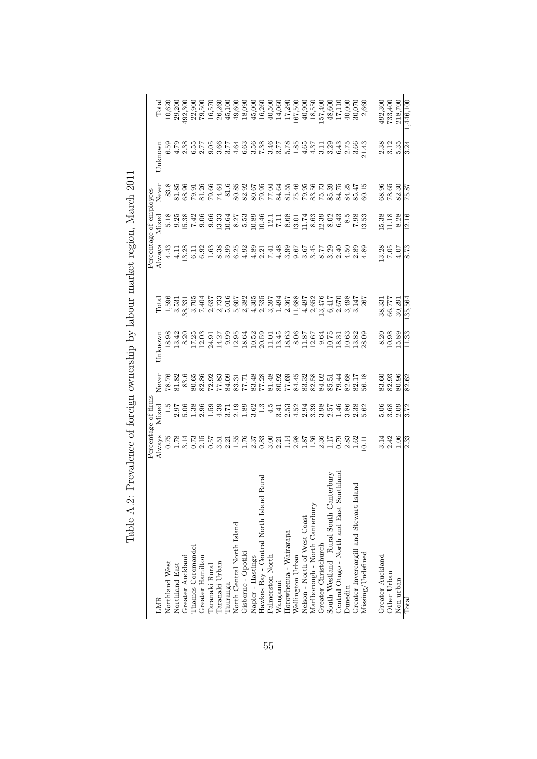|                                                  |                                                         | Percentage of firms                       |                              |                                                                         |                  |                                       | Percentage of employees                    |                                              |                  |                                                                    |
|--------------------------------------------------|---------------------------------------------------------|-------------------------------------------|------------------------------|-------------------------------------------------------------------------|------------------|---------------------------------------|--------------------------------------------|----------------------------------------------|------------------|--------------------------------------------------------------------|
| LMR                                              | Always                                                  | Mixed                                     | Never                        | Unknown                                                                 | Total            | Always                                | Mixed                                      | Never                                        | $_{\rm Unknown}$ | $\rm Total$                                                        |
| Northland West                                   |                                                         |                                           |                              | 18.98                                                                   |                  | 4.43                                  |                                            | 83.8                                         |                  | 10,620                                                             |
| Northland East                                   |                                                         |                                           |                              | 13.42                                                                   |                  | 4.11                                  |                                            | 81.85                                        |                  |                                                                    |
| Greater Auckland                                 | ្ត្រី<br>ដូច្នា<br>ដូច្នាំ                              | ris e xe xe<br>Ris e xe xe<br>Ris e xe xe | $\frac{78.76}{81.82}$        |                                                                         |                  | 3.28                                  | 8<br>8 8 9 9 8<br>8 9 9 8 9                | 68.96                                        |                  | 29,200<br>192,300                                                  |
| <b>Chames</b> Coromandel                         |                                                         |                                           |                              | $\begin{array}{r} 8.20 \\ 17.25 \\ 12.03 \\ 24.27 \\ 14.27 \end{array}$ |                  |                                       |                                            |                                              |                  |                                                                    |
| Greater Hamilton                                 |                                                         |                                           | 668386551538<br>888865515386 |                                                                         |                  | 6.92                                  |                                            | 79.36<br>81.26<br>79.54                      |                  |                                                                    |
| Taranaki Rural                                   |                                                         |                                           |                              |                                                                         |                  | 1.63                                  |                                            |                                              |                  |                                                                    |
| Taranaki Urban                                   | riske<br>Eliste<br>Elis                                 |                                           |                              |                                                                         |                  |                                       | $13.33$<br>$10.64$                         |                                              |                  |                                                                    |
| <b>Tauranga</b>                                  |                                                         |                                           |                              |                                                                         |                  | 33 53 53<br>80 60 60                  |                                            | $\begin{array}{c} 81.6 \\ 80.85 \end{array}$ |                  |                                                                    |
| North Central North Island<br>Gisborne - Opotiki |                                                         |                                           |                              |                                                                         |                  |                                       |                                            |                                              |                  |                                                                    |
|                                                  |                                                         |                                           |                              |                                                                         |                  | $4.89$<br>$4.89$                      |                                            |                                              |                  |                                                                    |
| Napier - Hastings                                |                                                         |                                           |                              |                                                                         |                  |                                       |                                            |                                              |                  |                                                                    |
| Rural<br>Hawkes Bay - Central North Island       |                                                         |                                           |                              |                                                                         |                  | 2.21                                  | 27<br>8.538941118017483<br>8.5294112801183 |                                              |                  |                                                                    |
| Palmerston North                                 |                                                         |                                           |                              |                                                                         |                  |                                       |                                            |                                              |                  |                                                                    |
| Wanganui                                         |                                                         |                                           |                              |                                                                         |                  |                                       |                                            |                                              |                  |                                                                    |
| Horowhenua - Wairarapa                           | $\begin{array}{c} 82448828887 \\ 244882414 \end{array}$ |                                           |                              |                                                                         |                  | はおのでではでののの88年のようです。 こうじょう こうしょう こうしょう |                                            |                                              |                  | $\frac{14,060}{17,290}$<br>17,290                                  |
| Wellington Urban                                 |                                                         |                                           |                              |                                                                         |                  |                                       |                                            |                                              |                  |                                                                    |
| Nelson - North of West Coast                     |                                                         |                                           |                              |                                                                         |                  |                                       |                                            |                                              |                  | $\frac{40,900}{18,550}$<br>18,550                                  |
| Marlborough - North Canterbury                   |                                                         |                                           |                              |                                                                         |                  |                                       |                                            |                                              |                  |                                                                    |
| Greater Christchurch                             |                                                         |                                           |                              |                                                                         |                  |                                       |                                            |                                              |                  |                                                                    |
| South Westland - Rural South Canterbury          | $2.58$<br>$2.58$<br>$2.58$                              |                                           |                              |                                                                         |                  |                                       | 8.02                                       |                                              |                  | 48,600                                                             |
| Central Otago - North and East Southland         |                                                         |                                           |                              |                                                                         |                  |                                       | 6.43                                       |                                              |                  |                                                                    |
| <b>Dunedin</b>                                   |                                                         |                                           |                              |                                                                         |                  |                                       | $\frac{8.5}{8}$                            |                                              |                  |                                                                    |
| Greater Invercargill and Stewart Island          | $1.62$<br>0.11                                          |                                           |                              |                                                                         |                  |                                       | $7.\overline{3}3$                          | $84.25$<br>$85.47$<br>$60.15$                |                  | $\begin{array}{c} 17,110 \\ 40,000 \\ 30,070 \\ 2,660 \end{array}$ |
| Missing/Undefined                                |                                                         |                                           |                              |                                                                         |                  |                                       |                                            |                                              |                  |                                                                    |
| Greater Auckland                                 |                                                         |                                           |                              |                                                                         |                  | 13.28                                 |                                            | 68.96                                        |                  | 492,300<br>733,400                                                 |
| Other Urban                                      | ង 3.3<br>១.១<br>១.                                      | $\frac{5.06}{3.68}$                       | 83.95<br>82.95<br>80.96      | $\begin{array}{c} 8.20 \\ 10.98 \\ 15.89 \end{array}$                   | 38,331<br>66,777 | $7.05$<br>4.07                        | 15.38<br>11.18<br>8.28                     | 78.65                                        | $2.38$<br>$3.12$ |                                                                    |
| Non-urban                                        |                                                         | 2.09                                      |                              |                                                                         | 30,291           |                                       |                                            | 82.30                                        | 5.35             | 218,700                                                            |
| Total                                            | 2.33                                                    | 3.72                                      | 82.62                        | 11.33                                                                   | 135,564          | 8.73                                  | 12.16                                      | 75.87                                        | 3.24             | 1,446,100                                                          |

<span id="page-58-0"></span>

| į                                                                                                                                                                                                                                                                  |
|--------------------------------------------------------------------------------------------------------------------------------------------------------------------------------------------------------------------------------------------------------------------|
|                                                                                                                                                                                                                                                                    |
|                                                                                                                                                                                                                                                                    |
| l                                                                                                                                                                                                                                                                  |
| $-22 - 24$                                                                                                                                                                                                                                                         |
|                                                                                                                                                                                                                                                                    |
|                                                                                                                                                                                                                                                                    |
|                                                                                                                                                                                                                                                                    |
|                                                                                                                                                                                                                                                                    |
|                                                                                                                                                                                                                                                                    |
|                                                                                                                                                                                                                                                                    |
| ו<br>ו                                                                                                                                                                                                                                                             |
|                                                                                                                                                                                                                                                                    |
|                                                                                                                                                                                                                                                                    |
|                                                                                                                                                                                                                                                                    |
|                                                                                                                                                                                                                                                                    |
| .<br>.<br>.                                                                                                                                                                                                                                                        |
|                                                                                                                                                                                                                                                                    |
|                                                                                                                                                                                                                                                                    |
|                                                                                                                                                                                                                                                                    |
|                                                                                                                                                                                                                                                                    |
|                                                                                                                                                                                                                                                                    |
| To The selection contract of the lot of the contract of the contract of the contract of the contract of the contract of the contract of the contract of the contract of the contract of the contract of the contract of the co<br>The more and company in the more |
|                                                                                                                                                                                                                                                                    |
|                                                                                                                                                                                                                                                                    |
|                                                                                                                                                                                                                                                                    |
|                                                                                                                                                                                                                                                                    |
|                                                                                                                                                                                                                                                                    |
|                                                                                                                                                                                                                                                                    |
|                                                                                                                                                                                                                                                                    |
|                                                                                                                                                                                                                                                                    |
|                                                                                                                                                                                                                                                                    |
| - 1<br>1<br>1                                                                                                                                                                                                                                                      |
|                                                                                                                                                                                                                                                                    |
|                                                                                                                                                                                                                                                                    |
| $\frac{1}{2}$                                                                                                                                                                                                                                                      |
|                                                                                                                                                                                                                                                                    |
|                                                                                                                                                                                                                                                                    |
|                                                                                                                                                                                                                                                                    |
|                                                                                                                                                                                                                                                                    |
| İ                                                                                                                                                                                                                                                                  |
|                                                                                                                                                                                                                                                                    |
| ֧֧֧֧֧֧֧֧֧֧֧֧֧֧֧֧֛֧֧֧֛֧֧֧֧֧֛֚֚֚֚֚֚֚֚֚֚֚֚֚֚֚֚֚֚֚֚֬֝֓֝֬֝֓֝֬֝֬֝֬֝֬֝֓֝֬֝֬֝֬֝֬֝֬֝֬֝֬֝֬֜֝֬֝֬֝֬֝֬֝֬                                                                                                                                                                        |
|                                                                                                                                                                                                                                                                    |
|                                                                                                                                                                                                                                                                    |
|                                                                                                                                                                                                                                                                    |
| ï                                                                                                                                                                                                                                                                  |
|                                                                                                                                                                                                                                                                    |
|                                                                                                                                                                                                                                                                    |
|                                                                                                                                                                                                                                                                    |
|                                                                                                                                                                                                                                                                    |
| $\frac{1}{2}$                                                                                                                                                                                                                                                      |
|                                                                                                                                                                                                                                                                    |
|                                                                                                                                                                                                                                                                    |
|                                                                                                                                                                                                                                                                    |
|                                                                                                                                                                                                                                                                    |
| )<br> <br> <br> <br>ļ                                                                                                                                                                                                                                              |
|                                                                                                                                                                                                                                                                    |
|                                                                                                                                                                                                                                                                    |
| $\ddot{\phantom{0}}$                                                                                                                                                                                                                                               |
|                                                                                                                                                                                                                                                                    |
|                                                                                                                                                                                                                                                                    |
| $\overline{\phantom{a}}$                                                                                                                                                                                                                                           |
|                                                                                                                                                                                                                                                                    |
| ;<br>[<br>Ì                                                                                                                                                                                                                                                        |
|                                                                                                                                                                                                                                                                    |
|                                                                                                                                                                                                                                                                    |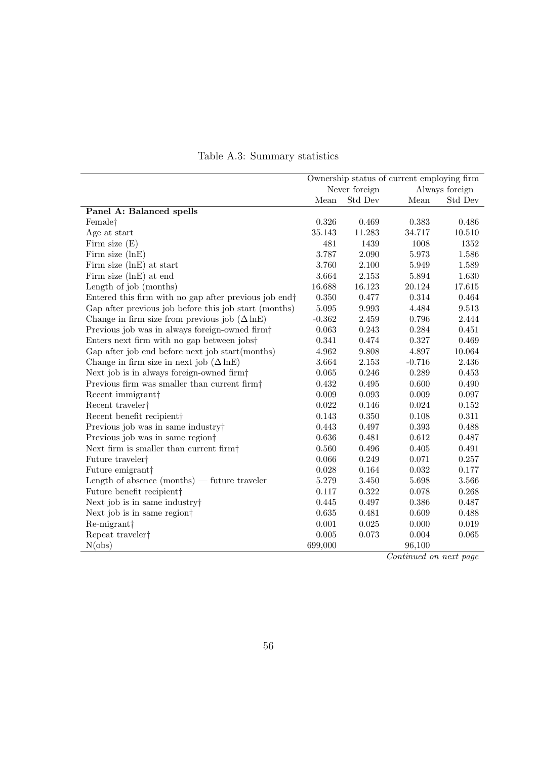<span id="page-59-0"></span>

|                                                                   | Ownership status of current employing firm |             |          |                         |
|-------------------------------------------------------------------|--------------------------------------------|-------------|----------|-------------------------|
|                                                                   | Never foreign<br>Always foreign            |             |          |                         |
|                                                                   | Mean                                       | Std Dev     | Mean     | ${\rm Std}$ ${\rm Dev}$ |
| Panel A: Balanced spells                                          |                                            |             |          |                         |
| Female <sup>†</sup>                                               | $0.326\,$                                  | 0.469       | 0.383    | 0.486                   |
| Age at start                                                      | 35.143                                     | 11.283      | 34.717   | 10.510                  |
| Firm size $(E)$                                                   | 481                                        | 1439        | 1008     | 1352                    |
| Firm size $(lnE)$                                                 | 3.787                                      | 2.090       | 5.973    | 1.586                   |
| Firm size (lnE) at start                                          | 3.760                                      | 2.100       | 5.949    | 1.589                   |
| Firm size (lnE) at end                                            | 3.664                                      | 2.153       | 5.894    | 1.630                   |
| Length of job (months)                                            | 16.688                                     | 16.123      | 20.124   | $17.615\,$              |
| Entered this firm with no gap after previous job end <sup>+</sup> | 0.350                                      | 0.477       | 0.314    | 0.464                   |
| Gap after previous job before this job start (months)             | 5.095                                      | 9.993       | 4.484    | 9.513                   |
| Change in firm size from previous job $(\Delta \ln E)$            | $-0.362$                                   | 2.459       | 0.796    | 2.444                   |
| Previous job was in always foreign-owned firm <sup>+</sup>        | 0.063                                      | 0.243       | 0.284    | 0.451                   |
| Enters next firm with no gap between jobs <sup>†</sup>            | 0.341                                      | 0.474       | 0.327    | 0.469                   |
| Gap after job end before next job start(months)                   | 4.962                                      | 9.808       | 4.897    | 10.064                  |
| Change in firm size in next job $(\Delta \ln E)$                  | 3.664                                      | 2.153       | $-0.716$ | 2.436                   |
| Next job is in always foreign-owned firm <sup>†</sup>             | 0.065                                      | 0.246       | 0.289    | 0.453                   |
| Previous firm was smaller than current firm <sup>†</sup>          | 0.432                                      | 0.495       | 0.600    | 0.490                   |
| Recent immigrant <sup>†</sup>                                     | $0.009\,$                                  | $\,0.093\,$ | 0.009    | $0.097\,$               |
| Recent traveler <sup>†</sup>                                      | 0.022                                      | 0.146       | 0.024    | $0.152\,$               |
| Recent benefit recipient                                          | 0.143                                      | 0.350       | 0.108    | $0.311\,$               |
| Previous job was in same industry                                 | 0.443                                      | 0.497       | 0.393    | 0.488                   |
| Previous job was in same region <sup>†</sup>                      | 0.636                                      | 0.481       | 0.612    | 0.487                   |
| Next firm is smaller than current firm <sup>+</sup>               | 0.560                                      | 0.496       | 0.405    | 0.491                   |
| Future traveler <sup>†</sup>                                      | 0.066                                      | 0.249       | 0.071    | 0.257                   |
| Future emigrant <sup>†</sup>                                      | 0.028                                      | 0.164       | 0.032    | 0.177                   |
| Length of absence (months) — future traveler                      | 5.279                                      | 3.450       | 5.698    | $3.566\,$               |
| Future benefit recipient†                                         | 0.117                                      | 0.322       | 0.078    | 0.268                   |
| Next job is in same industry                                      | 0.445                                      | 0.497       | 0.386    | 0.487                   |
| Next job is in same region <sup>†</sup>                           | $\,0.635\,$                                | 0.481       | 0.609    | 0.488                   |
| Re-migrant <sup>+</sup>                                           | 0.001                                      | 0.025       | 0.000    | 0.019                   |
| Repeat traveler†                                                  | $0.005\,$                                  | 0.073       | 0.004    | $\,0.065\,$             |
| N(obs)                                                            | 699,000                                    |             | 96,100   |                         |

### Table A.3: Summary statistics

Continued on next page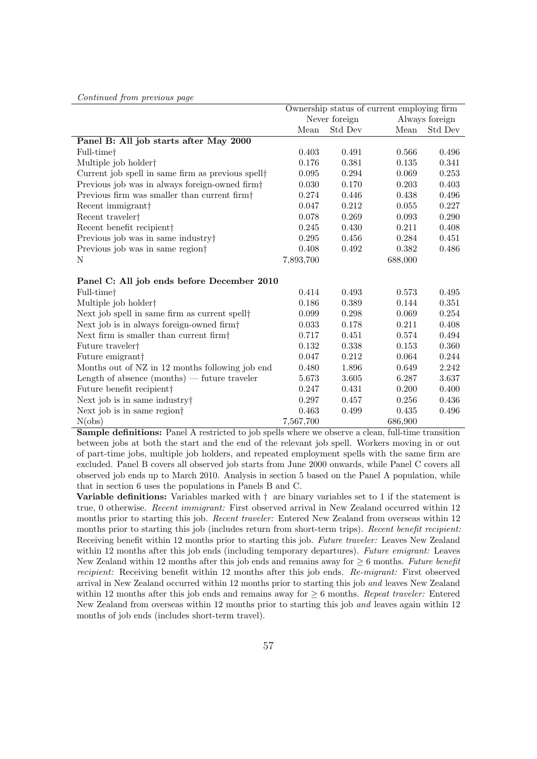|                                                               | Ownership status of current employing firm |         |         |                |  |
|---------------------------------------------------------------|--------------------------------------------|---------|---------|----------------|--|
|                                                               | Never foreign                              |         |         | Always foreign |  |
|                                                               | Mean                                       | Std Dev | Mean    | Std Dev        |  |
| Panel B: All job starts after May 2000                        |                                            |         |         |                |  |
| Full-time†                                                    | 0.403                                      | 0.491   | 0.566   | 0.496          |  |
| Multiple job holder <sup>†</sup>                              | 0.176                                      | 0.381   | 0.135   | 0.341          |  |
| Current job spell in same firm as previous spell <sup>†</sup> | 0.095                                      | 0.294   | 0.069   | 0.253          |  |
| Previous job was in always foreign-owned firm <sup>†</sup>    | 0.030                                      | 0.170   | 0.203   | 0.403          |  |
| Previous firm was smaller than current firm $\dagger$         | 0.274                                      | 0.446   | 0.438   | 0.496          |  |
| Recent immigrant                                              | 0.047                                      | 0.212   | 0.055   | 0.227          |  |
| Recent traveler <sup>†</sup>                                  | 0.078                                      | 0.269   | 0.093   | 0.290          |  |
| Recent benefit recipient                                      | 0.245                                      | 0.430   | 0.211   | 0.408          |  |
| Previous job was in same industry                             | 0.295                                      | 0.456   | 0.284   | 0.451          |  |
| Previous job was in same region                               | 0.408                                      | 0.492   | 0.382   | 0.486          |  |
| N                                                             | 7,893,700                                  |         | 688,000 |                |  |
| Panel C: All job ends before December 2010                    |                                            |         |         |                |  |
| Full-time <sup>†</sup>                                        | 0.414                                      | 0.493   | 0.573   | 0.495          |  |
| Multiple job holder <sup>†</sup>                              | 0.186                                      | 0.389   | 0.144   | 0.351          |  |
| Next job spell in same firm as current spell <sup>†</sup>     | 0.099                                      | 0.298   | 0.069   | 0.254          |  |
| Next job is in always foreign-owned firm <sup>†</sup>         | 0.033                                      | 0.178   | 0.211   | 0.408          |  |
| Next firm is smaller than current firm $\dagger$              | 0.717                                      | 0.451   | 0.574   | 0.494          |  |
| Future traveler <sup>†</sup>                                  | 0.132                                      | 0.338   | 0.153   | 0.360          |  |
| Future emigrant <sup>†</sup>                                  | 0.047                                      | 0.212   | 0.064   | 0.244          |  |
| Months out of NZ in 12 months following job end               | 0.480                                      | 1.896   | 0.649   | 2.242          |  |
| Length of absence $(months)$ — future traveler                | 5.673                                      | 3.605   | 6.287   | 3.637          |  |
| Future benefit recipient                                      | 0.247                                      | 0.431   | 0.200   | 0.400          |  |
| Next job is in same industry†                                 | 0.297                                      | 0.457   | 0.256   | 0.436          |  |
| Next job is in same region <sup>†</sup>                       | 0.463                                      | 0.499   | 0.435   | 0.496          |  |
| N(obs)                                                        | 7,567,700                                  |         | 686,900 |                |  |

Continued from previous page

Sample definitions: Panel A restricted to job spells where we observe a clean, full-time transition between jobs at both the start and the end of the relevant job spell. Workers moving in or out of part-time jobs, multiple job holders, and repeated employment spells with the same firm are excluded. Panel B covers all observed job starts from June 2000 onwards, while Panel C covers all observed job ends up to March 2010. Analysis in section [5](#page-22-0) based on the Panel A population, while that in section [6](#page-34-0) uses the populations in Panels B and C.

Variable definitions: Variables marked with  $\dagger$  are binary variables set to 1 if the statement is true, 0 otherwise. Recent immigrant: First observed arrival in New Zealand occurred within 12 months prior to starting this job. *Recent traveler:* Entered New Zealand from overseas within 12 months prior to starting this job (includes return from short-term trips). Recent benefit recipient: Receiving benefit within 12 months prior to starting this job. Future traveler: Leaves New Zealand within 12 months after this job ends (including temporary departures). Future emigrant: Leaves New Zealand within 12 months after this job ends and remains away for  $> 6$  months. Future benefit recipient: Receiving benefit within 12 months after this job ends. Re-migrant: First observed arrival in New Zealand occurred within 12 months prior to starting this job and leaves New Zealand within 12 months after this job ends and remains away for  $\geq 6$  months. Repeat traveler: Entered New Zealand from overseas within 12 months prior to starting this job and leaves again within 12 months of job ends (includes short-term travel).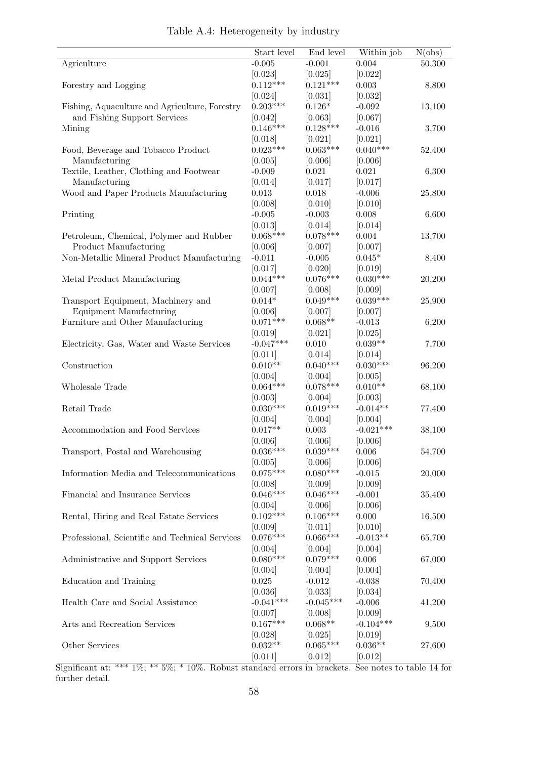<span id="page-61-0"></span>

|                                                 | Start level         | End level             | Within job            | N(obs) |
|-------------------------------------------------|---------------------|-----------------------|-----------------------|--------|
| Agriculture                                     | $-0.005$            | $-0.001$              | 0.004                 | 50,300 |
|                                                 | [0.023]             | [0.025]               | [0.022]               |        |
| Forestry and Logging                            | $0.112***$          | $0.121***$            | 0.003                 | 8,800  |
|                                                 | [0.024]             | [0.031]               | [0.032]               |        |
| Fishing, Aquaculture and Agriculture, Forestry  | $0.203***$          | $0.126*$              | $-0.092$              | 13,100 |
| and Fishing Support Services                    | [0.042]             | [0.063]               | [0.067]               |        |
| Mining                                          | $0.146***$          | $0.128***$            | $-0.016$              | 3,700  |
|                                                 | [0.018]             | [0.021]               | [0.021]               |        |
| Food, Beverage and Tobacco Product              | $0.023***$          | $0.063***$            | $0.040***$            | 52,400 |
| Manufacturing                                   | [0.005]             | [0.006]               | [0.006]               |        |
| Textile, Leather, Clothing and Footwear         | $-0.009$            | $\,0.021\,$           | 0.021                 | 6,300  |
| Manufacturing                                   | [0.014]             | [0.017]               | [0.017]               |        |
| Wood and Paper Products Manufacturing           | 0.013               | 0.018                 | $-0.006$              | 25,800 |
|                                                 | [0.008]             | [0.010]               | [0.010]               |        |
| Printing                                        | $-0.005$            | $-0.003$              | 0.008                 | 6,600  |
|                                                 | [0.013]             | [0.014]               | [0.014]               |        |
| Petroleum, Chemical, Polymer and Rubber         | $0.068***$          | $0.078***$            | 0.004                 | 13,700 |
| Product Manufacturing                           | [0.006]             | [0.007]               | [0.007]               |        |
| Non-Metallic Mineral Product Manufacturing      | $-0.011$            | $-0.005$              | $0.045*$              | 8,400  |
|                                                 | [0.017]             | [0.020]               |                       |        |
| Metal Product Manufacturing                     | $0.044***$          | $0.076***$            | [0.019]<br>$0.030***$ | 20,200 |
|                                                 |                     |                       |                       |        |
| Transport Equipment, Machinery and              | [0.007]<br>$0.014*$ | [0.008]<br>$0.049***$ | [0.009]<br>$0.039***$ |        |
|                                                 |                     |                       |                       | 25,900 |
| Equipment Manufacturing                         | [0.006]             | [0.007]               | [0.007]               |        |
| Furniture and Other Manufacturing               | $0.071***$          | $0.068**$             | $-0.013$              | 6,200  |
|                                                 | [0.019]             | [0.021]               | [0.025]               |        |
| Electricity, Gas, Water and Waste Services      | $-0.047***$         | $0.010\,$             | $0.039**$             | 7,700  |
|                                                 | [0.011]             | [0.014]               | [0.014]               |        |
| Construction                                    | $0.010**$           | $0.040***$            | $0.030***$            | 96,200 |
|                                                 | [0.004]             | [0.004]               | [0.005]               |        |
| Wholesale Trade                                 | $0.064***$          | $0.078***$            | $0.010**$             | 68,100 |
|                                                 | [0.003]             | [0.004]               | [0.003]               |        |
| Retail Trade                                    | $0.030***$          | $0.019***$            | $-0.014**$            | 77,400 |
|                                                 | [0.004]             | [0.004]               | [0.004]               |        |
| Accommodation and Food Services                 | $0.017**$           | 0.003                 | $-0.021***$           | 38,100 |
|                                                 | [0.006]             | [0.006]               | [0.006]               |        |
| Transport, Postal and Warehousing               | $0.036***$          | $0.039***$            | 0.006                 | 54,700 |
|                                                 | [0.005]             | [0.006]               | [0.006]               |        |
| Information Media and Telecommunications        | $0.075***$          | $0.080***$            | $-0.015$              | 20,000 |
|                                                 | [0.008]             | [0.009]               | [0.009]               |        |
| Financial and Insurance Services                | $0.046***$          | $0.046***$            | $-0.001$              | 35,400 |
|                                                 | [0.004]             | [0.006]               | [0.006]               |        |
| Rental, Hiring and Real Estate Services         | $0.102***$          | $0.106***$            | 0.000                 | 16,500 |
|                                                 | [0.009]             | [0.011]               | [0.010]               |        |
| Professional, Scientific and Technical Services | $0.076***$          | $0.066***$            | $-0.013**$            | 65,700 |
|                                                 | [0.004]             | [0.004]               | [0.004]               |        |
| Administrative and Support Services             | $0.080***$          | $0.079***$            | 0.006                 | 67,000 |
|                                                 | [0.004]             | [0.004]               | [0.004]               |        |
| Education and Training                          | 0.025               | $-0.012$              | $-0.038$              | 70,400 |
|                                                 | [0.036]             | [0.033]               | [0.034]               |        |
| Health Care and Social Assistance               | $-0.041***$         | $-0.045***$           | $-0.006$              | 41,200 |
|                                                 | [0.007]             | [0.008]               | [0.009]               |        |
| Arts and Recreation Services                    | $0.167***$          | $0.068**$             | $-0.104***$           | 9,500  |
|                                                 | [0.028]             | [0.025]               | [0.019]               |        |
| Other Services                                  | $0.032**$           | $0.065***$            | $0.036**$             | 27,600 |
|                                                 | [0.011]             | [0.012]               | [0.012]               |        |

| Table A.4: Heterogeneity by industry |  |  |
|--------------------------------------|--|--|
|                                      |  |  |

Significant at: \*\*\* 1%; \*\* 5%; \* 10%. Robust standard errors in brackets. See notes to table [14](#page-50-0) for further detail.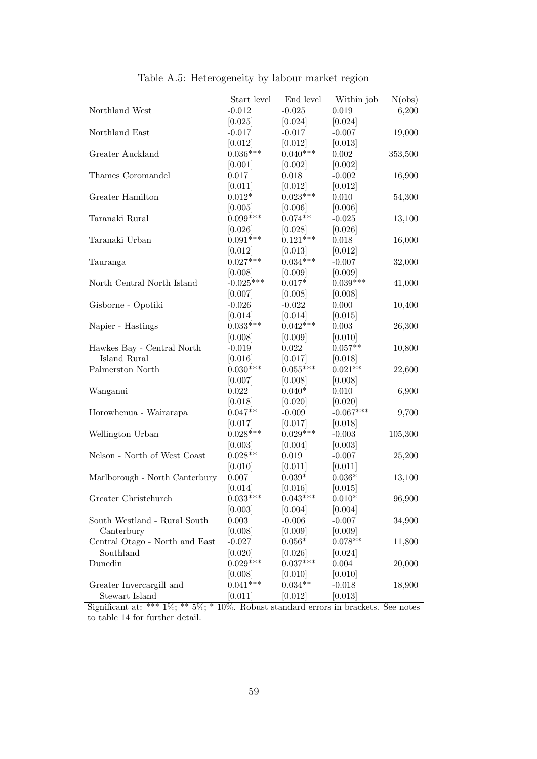<span id="page-62-0"></span>

|                                | Start level     | End level  | Within job  | N(obs)  |
|--------------------------------|-----------------|------------|-------------|---------|
| Northland West                 | $-0.012$        | $-0.025$   | 0.019       | 6,200   |
|                                | [0.025]         | [0.024]    | [0.024]     |         |
| Northland East                 | $-0.017$        | $-0.017$   | $-0.007$    | 19,000  |
|                                | [0.012]         | [0.012]    | [0.013]     |         |
| Greater Auckland               | $0.036^{***}\,$ | $0.040***$ | $0.002\,$   | 353,500 |
|                                | [0.001]         | [0.002]    | [0.002]     |         |
| Thames Coromandel              | 0.017           | 0.018      | $-0.002$    | 16,900  |
|                                | [0.011]         | [0.012]    | [0.012]     |         |
| Greater Hamilton               | $0.012*$        | $0.023***$ | 0.010       | 54,300  |
|                                | [0.005]         | [0.006]    | [0.006]     |         |
| Taranaki Rural                 | $0.099***$      | $0.074**$  | $-0.025$    | 13,100  |
|                                | [0.026]         | [0.028]    | [0.026]     |         |
| Taranaki Urban                 | $0.091***$      | $0.121***$ | 0.018       | 16,000  |
|                                | [0.012]         | [0.013]    | [0.012]     |         |
| Tauranga                       | $0.027***$      | $0.034***$ | $-0.007$    | 32,000  |
|                                | [0.008]         | [0.009]    | [0.009]     |         |
| North Central North Island     | $-0.025***$     | $0.017*$   | $0.039***$  | 41,000  |
|                                | [0.007]         | [0.008]    | [0.008]     |         |
| Gisborne - Opotiki             | $-0.026$        | $-0.022$   | 0.000       | 10,400  |
|                                | [0.014]         | [0.014]    | [0.015]     |         |
| Napier - Hastings              | $0.033***$      | $0.042***$ | 0.003       | 26,300  |
|                                | [0.008]         | [0.009]    | [0.010]     |         |
| Hawkes Bay - Central North     | $-0.019$        | $0.022\,$  | $0.057**$   | 10,800  |
| Island Rural                   | [0.016]         | [0.017]    | [0.018]     |         |
| Palmerston North               | $0.030***$      | $0.055***$ | $0.021**$   | 22,600  |
|                                | [0.007]         | [0.008]    | [0.008]     |         |
| Wanganui                       | 0.022           | $0.040*$   | 0.010       | 6,900   |
|                                | [0.018]         | [0.020]    | [0.020]     |         |
| Horowhenua - Wairarapa         | $0.047**$       | $-0.009$   | $-0.067***$ | 9,700   |
|                                | [0.017]         | [0.017]    | [0.018]     |         |
| Wellington Urban               | $0.028***$      | $0.029***$ | $-0.003$    | 105,300 |
|                                | [0.003]         | [0.004]    | [0.003]     |         |
| Nelson - North of West Coast   | $0.028**$       | 0.019      | $-0.007$    | 25,200  |
|                                | [0.010]         | [0.011]    | [0.011]     |         |
| Marlborough - North Canterbury | 0.007           | $0.039*$   | $0.036*$    | 13,100  |
|                                | [0.014]         | [0.016]    | [0.015]     |         |
| Greater Christchurch           | $0.033***$      | $0.043***$ | $0.010*$    | 96,900  |
|                                | [0.003]         | [0.004]    | [0.004]     |         |
| South Westland - Rural South   | 0.003           | $-0.006$   | $-0.007$    | 34,900  |
| Canterbury                     | [0.008]         | [0.009]    | [0.009]     |         |
| Central Otago - North and East | $-0.027$        | $0.056*$   | $0.078**$   | 11,800  |
| Southland                      | [0.020]         | [0.026]    | [0.024]     |         |
| Dunedin                        | $0.029***$      | $0.037***$ | 0.004       | 20,000  |
|                                | [0.008]         | [0.010]    | [0.010]     |         |
| Greater Invercargill and       | $0.041***$      | $0.034**$  | $-0.018$    | 18,900  |
| Stewart Island                 | [0.011]         | [0.012]    | [0.013]     |         |

Table A.5: Heterogeneity by labour market region

Significant at: \*\*\* 1%; \*\* 5%; \* 10%. Robust standard errors in brackets. See notes to table [14](#page-50-0) for further detail.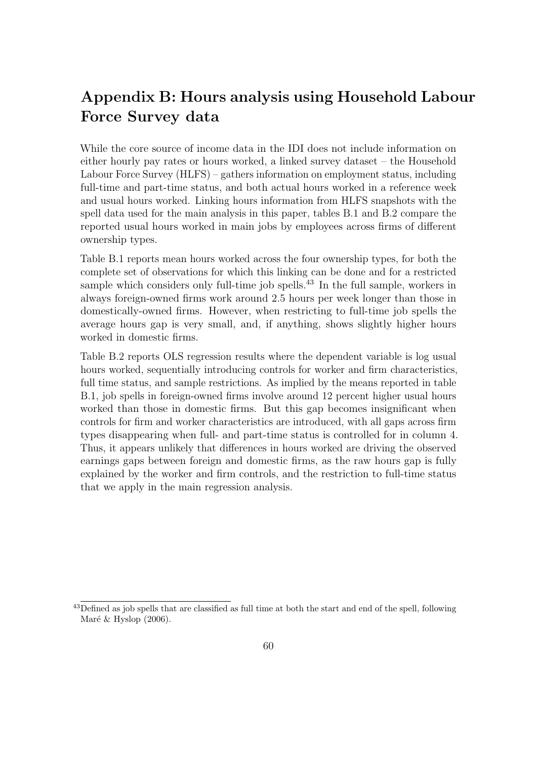## Appendix B: Hours analysis using Household Labour Force Survey data

While the core source of income data in the IDI does not include information on either hourly pay rates or hours worked, a linked survey dataset – the Household Labour Force Survey (HLFS) – gathers information on employment status, including full-time and part-time status, and both actual hours worked in a reference week and usual hours worked. Linking hours information from HLFS snapshots with the spell data used for the main analysis in this paper, tables [B.1](#page-64-0) and [B.2](#page-64-1) compare the reported usual hours worked in main jobs by employees across firms of different ownership types.

Table [B.1](#page-64-0) reports mean hours worked across the four ownership types, for both the complete set of observations for which this linking can be done and for a restricted sample which considers only full-time job spells.<sup>[43](#page--1-0)</sup> In the full sample, workers in always foreign-owned firms work around 2.5 hours per week longer than those in domestically-owned firms. However, when restricting to full-time job spells the average hours gap is very small, and, if anything, shows slightly higher hours worked in domestic firms.

Table [B.2](#page-64-1) reports OLS regression results where the dependent variable is log usual hours worked, sequentially introducing controls for worker and firm characteristics, full time status, and sample restrictions. As implied by the means reported in table [B.1,](#page-64-0) job spells in foreign-owned firms involve around 12 percent higher usual hours worked than those in domestic firms. But this gap becomes insignificant when controls for firm and worker characteristics are introduced, with all gaps across firm types disappearing when full- and part-time status is controlled for in column 4. Thus, it appears unlikely that differences in hours worked are driving the observed earnings gaps between foreign and domestic firms, as the raw hours gap is fully explained by the worker and firm controls, and the restriction to full-time status that we apply in the main regression analysis.

<sup>&</sup>lt;sup>43</sup>Defined as job spells that are classified as full time at both the start and end of the spell, following Maré  $&$  Hyslop [\(2006\)](#page-55-8).